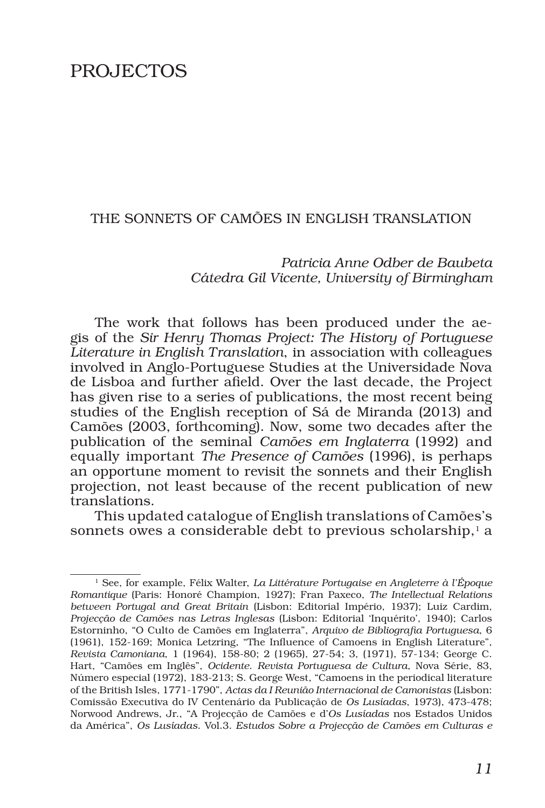# PROJECTOS

### THE SONNETS OF CAMÕES IN ENGLISH TRANSLATION

## *Patricia Anne Odber de Baubeta Cátedra Gil Vicente, University of Birmingham*

The work that follows has been produced under the aegis of the *Sir Henry Thomas Project: The History of Portuguese Literature in English Translation*, in association with colleagues involved in Anglo-Portuguese Studies at the Universidade Nova de Lisboa and further afield. Over the last decade, the Project has given rise to a series of publications, the most recent being studies of the English reception of Sá de Miranda (2013) and Camões (2003, forthcoming). Now, some two decades after the publication of the seminal *Camões em Inglaterra* (1992) and equally important *The Presence of Camões* (1996), is perhaps an opportune moment to revisit the sonnets and their English projection, not least because of the recent publication of new translations.

This updated catalogue of English translations of Camões's sonnets owes a considerable debt to previous scholarship, $<sup>1</sup>$  a</sup>

<sup>1</sup> See, for example, Félix Walter, *La Littérature Portugaise en Angleterre à l'Époque Romantique* (Paris: Honoré Champion, 1927); Fran Paxeco, *The Intellectual Relations between Portugal and Great Britain* (Lisbon: Editorial Império, 1937); Luiz Cardim, *Projecção de Camões nas Letras Inglesas* (Lisbon: Editorial 'Inquérito', 1940); Carlos Estorninho, "O Culto de Camões em Inglaterra", *Arquivo de Bibliografia Portuguesa*, 6 (1961), 152-169; Monica Letzring, "The Influence of Camoens in English Literature", *Revista Camoniana*, 1 (1964), 158-80; 2 (1965), 27-54; 3, (1971), 57-134; George C. Hart, "Camões em Inglês", *Ocidente*. *Revista Portuguesa de Cultura*, Nova Série, 83, Número especial (1972), 183-213; S. George West, "Camoens in the periodical literature of the British Isles, 1771-1790", *Actas da I Reunião Internacional de Camonistas* (Lisbon: Comissão Executiva do IV Centenário da Publicação de *Os Lusíadas*, 1973), 473-478; Norwood Andrews, Jr., "A Projecção de Camões e d'*Os Lusíadas* nos Estados Unidos da América", *Os Lusíadas*. Vol.3. *Estudos Sobre a Projecção de Camões em Culturas e*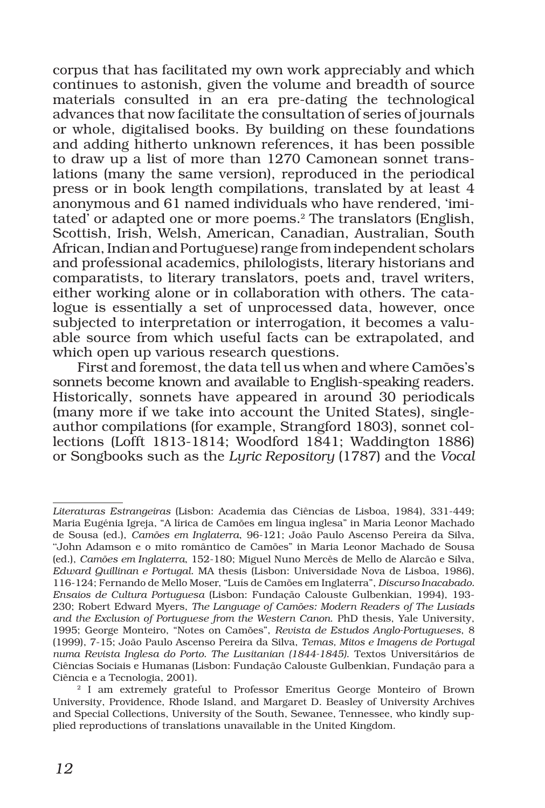corpus that has facilitated my own work appreciably and which continues to astonish, given the volume and breadth of source materials consulted in an era pre-dating the technological advances that now facilitate the consultation of series of journals or whole, digitalised books. By building on these foundations and adding hitherto unknown references, it has been possible to draw up a list of more than 1270 Camonean sonnet translations (many the same version), reproduced in the periodical press or in book length compilations, translated by at least 4 anonymous and 61 named individuals who have rendered, 'imitated<sup>'</sup> or adapted one or more poems.<sup>2</sup> The translators (English, Scottish, Irish, Welsh, American, Canadian, Australian, South African, Indian and Portuguese) range from independent scholars and professional academics, philologists, literary historians and comparatists, to literary translators, poets and, travel writers, either working alone or in collaboration with others. The catalogue is essentially a set of unprocessed data, however, once subjected to interpretation or interrogation, it becomes a valuable source from which useful facts can be extrapolated, and which open up various research questions.

First and foremost, the data tell us when and where Camões's sonnets become known and available to English-speaking readers. Historically, sonnets have appeared in around 30 periodicals (many more if we take into account the United States), singleauthor compilations (for example, Strangford 1803), sonnet collections (Lofft 1813-1814; Woodford 1841; Waddington 1886) or Songbooks such as the *Lyric Repository* (1787) and the *Vocal* 

*Literaturas Estrangeiras* (Lisbon: Academia das Ciências de Lisboa, 1984), 331-449; Maria Eugénia Igreja, "A lírica de Camões em língua inglesa" in Maria Leonor Machado de Sousa (ed.), *Camões em Inglaterra*, 96-121; João Paulo Ascenso Pereira da Silva, ''John Adamson e o mito romântico de Camões" in Maria Leonor Machado de Sousa (ed.), *Camões em Inglaterra*, 152-180; Miguel Nuno Mercês de Mello de Alarcão e Silva, *Edward Quillinan e Portugal*. MA thesis (Lisbon: Universidade Nova de Lisboa, 1986), 116-124; Fernando de Mello Moser, "Luís de Camões em Inglaterra", *Discurso Inacabado. Ensaios de Cultura Portuguesa* (Lisbon: Fundação Calouste Gulbenkian, 1994), 193- 230; Robert Edward Myers, *The Language of Camões: Modern Readers of The Lusiads and the Exclusion of Portuguese from the Western Canon*. PhD thesis, Yale University, 1995; George Monteiro, "Notes on Camões", *Revista de Estudos Anglo-Portugueses*, 8 (1999), 7-15; João Paulo Ascenso Pereira da Silva, *Temas, Mitos e Imagens de Portugal numa Revista Inglesa do Porto. The Lusitanian (1844-1845)*. Textos Universitários de Ciências Sociais e Humanas (Lisbon: Fundação Calouste Gulbenkian, Fundação para a Ciência e a Tecnologia, 2001).

<sup>&</sup>lt;sup>2</sup> I am extremely grateful to Professor Emeritus George Monteiro of Brown University, Providence, Rhode Island, and Margaret D. Beasley of University Archives and Special Collections, University of the South, Sewanee, Tennessee, who kindly supplied reproductions of translations unavailable in the United Kingdom.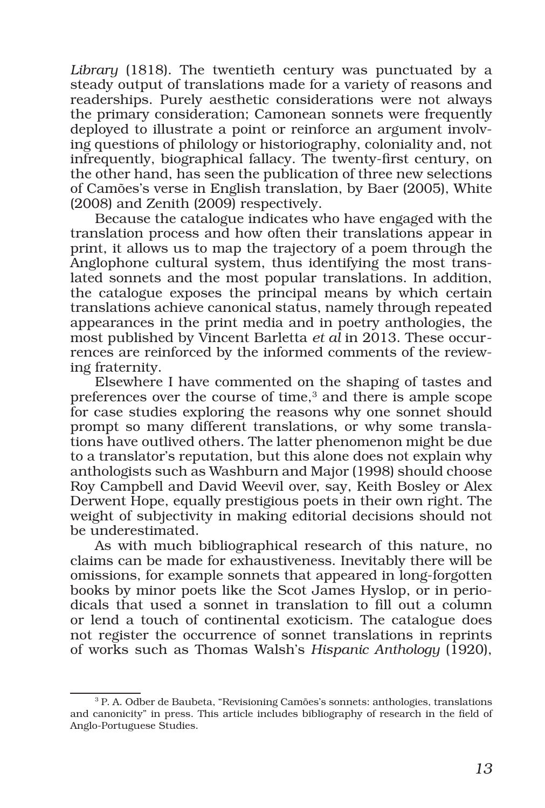*Library* (1818). The twentieth century was punctuated by a steady output of translations made for a variety of reasons and readerships. Purely aesthetic considerations were not always the primary consideration; Camonean sonnets were frequently deployed to illustrate a point or reinforce an argument involving questions of philology or historiography, coloniality and, not infrequently, biographical fallacy. The twenty-first century, on the other hand, has seen the publication of three new selections of Camões's verse in English translation, by Baer (2005), White (2008) and Zenith (2009) respectively.

Because the catalogue indicates who have engaged with the translation process and how often their translations appear in print, it allows us to map the trajectory of a poem through the Anglophone cultural system, thus identifying the most translated sonnets and the most popular translations. In addition, the catalogue exposes the principal means by which certain translations achieve canonical status, namely through repeated appearances in the print media and in poetry anthologies, the most published by Vincent Barletta *et al* in 2013. These occurrences are reinforced by the informed comments of the reviewing fraternity.

Elsewhere I have commented on the shaping of tastes and preferences over the course of time, $3$  and there is ample scope for case studies exploring the reasons why one sonnet should prompt so many different translations, or why some translations have outlived others. The latter phenomenon might be due to a translator's reputation, but this alone does not explain why anthologists such as Washburn and Major (1998) should choose Roy Campbell and David Weevil over, say, Keith Bosley or Alex Derwent Hope, equally prestigious poets in their own right. The weight of subjectivity in making editorial decisions should not be underestimated.

As with much bibliographical research of this nature, no claims can be made for exhaustiveness. Inevitably there will be omissions, for example sonnets that appeared in long-forgotten books by minor poets like the Scot James Hyslop, or in periodicals that used a sonnet in translation to fill out a column or lend a touch of continental exoticism. The catalogue does not register the occurrence of sonnet translations in reprints of works such as Thomas Walsh's *Hispanic Anthology* (1920),

<sup>3</sup> P. A. Odber de Baubeta, "Revisioning Camões's sonnets: anthologies, translations and canonicity" in press. This article includes bibliography of research in the field of Anglo-Portuguese Studies.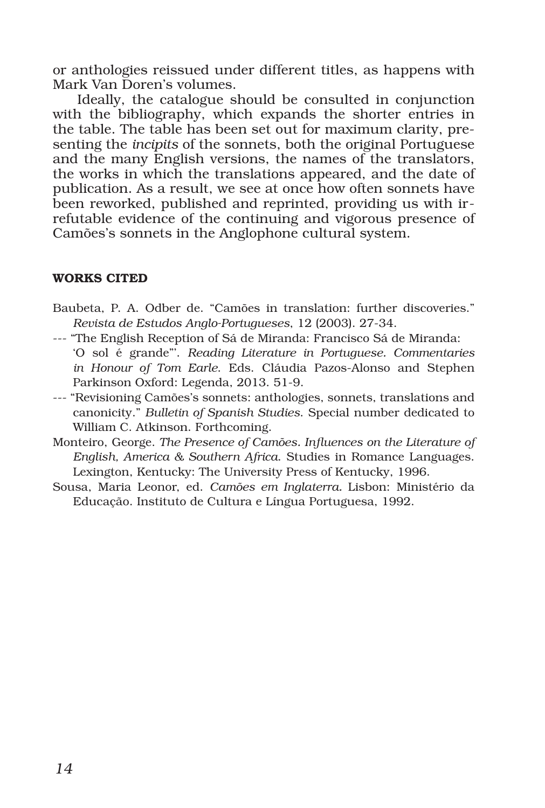or anthologies reissued under different titles, as happens with Mark Van Doren's volumes.

Ideally, the catalogue should be consulted in conjunction with the bibliography, which expands the shorter entries in the table. The table has been set out for maximum clarity, presenting the *incipits* of the sonnets, both the original Portuguese and the many English versions, the names of the translators, the works in which the translations appeared, and the date of publication. As a result, we see at once how often sonnets have been reworked, published and reprinted, providing us with irrefutable evidence of the continuing and vigorous presence of Camões's sonnets in the Anglophone cultural system.

### WORKS CITED

- Baubeta, P. A. Odber de. "Camões in translation: further discoveries." *Revista de Estudos Anglo-Portugueses*, 12 (2003). 27-34.
- --- "The English Reception of Sá de Miranda: Francisco Sá de Miranda: 'O sol é grande"'. *Reading Literature in Portuguese. Commentaries in Honour of Tom Earle*. Eds. Cláudia Pazos-Alonso and Stephen Parkinson Oxford: Legenda, 2013. 51-9.
- --- "Revisioning Camões's sonnets: anthologies, sonnets, translations and canonicity." *Bulletin of Spanish Studies*. Special number dedicated to William C. Atkinson. Forthcoming.
- Monteiro, George. *The Presence of Camões. Influences on the Literature of English, America & Southern Africa*. Studies in Romance Languages. Lexington, Kentucky: The University Press of Kentucky, 1996.
- Sousa, Maria Leonor, ed. *Camões em Inglaterra.* Lisbon: Ministério da Educação. Instituto de Cultura e Língua Portuguesa, 1992.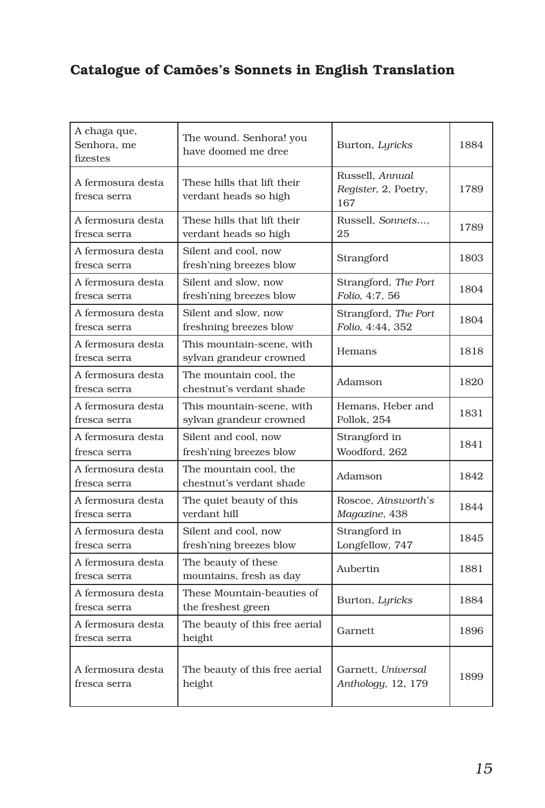# Catalogue of Camões's Sonnets in English Translation

| A chaga que,<br>Senhora, me<br>fizestes | The wound. Senhora! you<br>have doomed me dree       | Burton, Lyricks                                | 1884 |
|-----------------------------------------|------------------------------------------------------|------------------------------------------------|------|
| A fermosura desta<br>fresca serra       | These hills that lift their<br>verdant heads so high | Russell, Annual<br>Register, 2, Poetry,<br>167 | 1789 |
| A fermosura desta<br>fresca serra       | These hills that lift their<br>verdant heads so high | Russell. Sonnets<br>25                         | 1789 |
| A fermosura desta<br>fresca serra       | Silent and cool, now<br>fresh'ning breezes blow      | Strangford                                     | 1803 |
| A fermosura desta<br>fresca serra       | Silent and slow, now<br>fresh'ning breezes blow      | Strangford, The Port<br>Folio, 4:7, 56         | 1804 |
| A fermosura desta<br>fresca serra       | Silent and slow, now<br>freshning breezes blow       | Strangford, The Port<br>Folio, 4:44, 352       | 1804 |
| A fermosura desta<br>fresca serra       | This mountain-scene, with<br>sylvan grandeur crowned | Hemans                                         | 1818 |
| A fermosura desta<br>fresca serra       | The mountain cool, the<br>chestnut's verdant shade   | Adamson                                        | 1820 |
| A fermosura desta<br>fresca serra       | This mountain-scene, with<br>sylvan grandeur crowned | Hemans, Heber and<br>Pollok, 254               | 1831 |
| A fermosura desta<br>fresca serra       | Silent and cool, now<br>fresh'ning breezes blow      | Strangford in<br>Woodford, 262                 | 1841 |
| A fermosura desta<br>fresca serra       | The mountain cool, the<br>chestnut's verdant shade   | Adamson                                        | 1842 |
| A fermosura desta<br>fresca serra       | The quiet beauty of this<br>verdant hill             | Roscoe, Ainsworth's<br>Magazine, 438           | 1844 |
| A fermosura desta<br>fresca serra       | Silent and cool, now<br>fresh'ning breezes blow      | Strangford in<br>Longfellow, 747               | 1845 |
| A fermosura desta<br>fresca serra       | The beauty of these<br>mountains, fresh as day       | Aubertin                                       | 1881 |
| A fermosura desta<br>fresca serra       | These Mountain-beauties of<br>the freshest green     | Burton, Lyricks                                | 1884 |
| A fermosura desta<br>fresca serra       | The beauty of this free aerial<br>height             | Garnett                                        | 1896 |
| A fermosura desta<br>fresca serra       | The beauty of this free aerial<br>height             | Garnett. Universal<br>Anthology, 12, 179       | 1899 |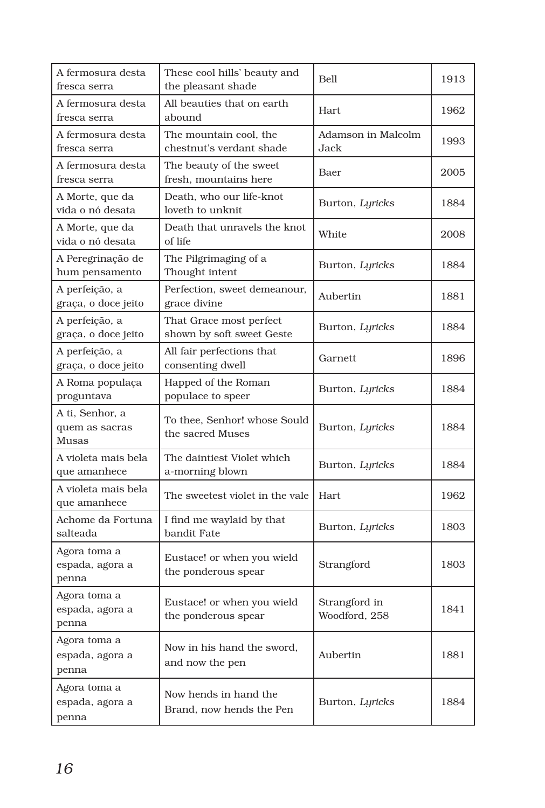| A fermosura desta<br>fresca serra          | These cool hills' beauty and<br>the pleasant shade   | Bell                           | 1913 |
|--------------------------------------------|------------------------------------------------------|--------------------------------|------|
| A fermosura desta<br>fresca serra          | All beauties that on earth<br>abound                 | Hart                           | 1962 |
| A fermosura desta<br>fresca serra          | The mountain cool, the<br>chestnut's verdant shade   | Adamson in Malcolm<br>Jack     | 1993 |
| A fermosura desta<br>fresca serra          | The beauty of the sweet<br>fresh, mountains here     | Baer                           | 2005 |
| A Morte, que da<br>vida o nó desata        | Death, who our life-knot<br>loveth to unknit         | Burton, Lyricks                | 1884 |
| A Morte, que da<br>vida o nó desata        | Death that unravels the knot<br>of life              | White                          | 2008 |
| A Peregrinação de<br>hum pensamento        | The Pilgrimaging of a<br>Thought intent              | Burton, Lyricks                | 1884 |
| A perfeição, a<br>graça, o doce jeito      | Perfection, sweet demeanour,<br>grace divine         | Aubertin                       | 1881 |
| A perfeição, a<br>graça, o doce jeito      | That Grace most perfect<br>shown by soft sweet Geste | Burton, Lyricks                | 1884 |
| A perfeição, a<br>graça, o doce jeito      | All fair perfections that<br>consenting dwell        | Garnett                        | 1896 |
| A Roma populaça<br>proguntava              | Happed of the Roman<br>populace to speer             | Burton, Lyricks                | 1884 |
| A ti, Senhor, a<br>quem as sacras<br>Musas | To thee, Senhor! whose Sould<br>the sacred Muses     | Burton, Lyricks                | 1884 |
| A violeta mais bela<br>que amanhece        | The daintiest Violet which<br>a-morning blown        | Burton, Lyricks                | 1884 |
| A violeta mais bela<br>que amanhece        | The sweetest violet in the vale                      | Hart                           | 1962 |
| Achome da Fortuna<br>salteada              | I find me waylaid by that<br>bandit Fate             | Burton, Lyricks                | 1803 |
| Agora toma a<br>espada, agora a<br>penna   | Eustace! or when you wield<br>the ponderous spear    | Strangford                     | 1803 |
| Agora toma a<br>espada, agora a<br>penna   | Eustace! or when you wield<br>the ponderous spear    | Strangford in<br>Woodford, 258 | 1841 |
| Agora toma a<br>espada, agora a<br>penna   | Now in his hand the sword,<br>and now the pen        | Aubertin                       | 1881 |
| Agora toma a<br>espada, agora a<br>penna   | Now hends in hand the<br>Brand, now hends the Pen    | Burton, Lyricks                | 1884 |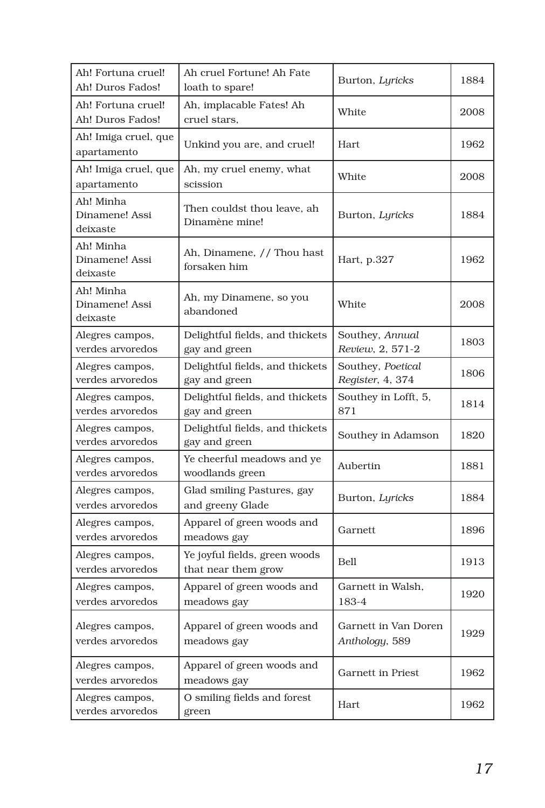| Ah! Fortuna cruel!<br>Ah! Duros Fados!  | Ah cruel Fortune! Ah Fate<br>loath to spare!         | Burton, Lyricks                        | 1884 |
|-----------------------------------------|------------------------------------------------------|----------------------------------------|------|
| Ah! Fortuna cruel!<br>Ah! Duros Fados!  | Ah, implacable Fates! Ah<br>cruel stars,             | White                                  | 2008 |
| Ah! Imiga cruel, que<br>apartamento     | Unkind you are, and cruel!                           | Hart                                   | 1962 |
| Ah! Imiga cruel, que<br>apartamento     | Ah, my cruel enemy, what<br>scission                 | White                                  | 2008 |
| Ah! Minha<br>Dinamene! Assi<br>deixaste | Then couldst thou leave, ah<br>Dinamène mine!        | Burton, Lyricks                        | 1884 |
| Ah! Minha<br>Dinamene! Assi<br>deixaste | Ah, Dinamene, // Thou hast<br>forsaken him           | Hart, p.327                            | 1962 |
| Ah! Minha<br>Dinamene! Assi<br>deixaste | Ah, my Dinamene, so you<br>abandoned                 | White                                  | 2008 |
| Alegres campos,<br>verdes arvoredos     | Delightful fields, and thickets<br>gay and green     | Southey, Annual<br>Review, 2, 571-2    | 1803 |
| Alegres campos,<br>verdes arvoredos     | Delightful fields, and thickets<br>gay and green     | Southey, Poetical<br>Register, 4, 374  | 1806 |
| Alegres campos,<br>verdes arvoredos     | Delightful fields, and thickets<br>gay and green     | Southey in Lofft, 5,<br>871            | 1814 |
| Alegres campos,<br>verdes arvoredos     | Delightful fields, and thickets<br>gay and green     | Southey in Adamson                     | 1820 |
| Alegres campos,<br>verdes arvoredos     | Ye cheerful meadows and ye<br>woodlands green        | Aubertin                               | 1881 |
| Alegres campos,<br>verdes arvoredos     | Glad smiling Pastures, gay<br>and greeny Glade       | Burton, Lyricks                        | 1884 |
| Alegres campos,<br>verdes arvoredos     | Apparel of green woods and<br>meadows gay            | Garnett                                | 1896 |
| Alegres campos,<br>verdes arvoredos     | Ye joyful fields, green woods<br>that near them grow | <b>Bell</b>                            | 1913 |
| Alegres campos,<br>verdes arvoredos     | Apparel of green woods and<br>meadows gay            | Garnett in Walsh,<br>183-4             | 1920 |
| Alegres campos,<br>verdes arvoredos     | Apparel of green woods and<br>meadows gay            | Garnett in Van Doren<br>Anthology, 589 | 1929 |
| Alegres campos,<br>verdes arvoredos     | Apparel of green woods and<br>meadows gay            | Garnett in Priest                      | 1962 |
| Alegres campos,<br>verdes arvoredos     | O smiling fields and forest<br>green                 | Hart                                   | 1962 |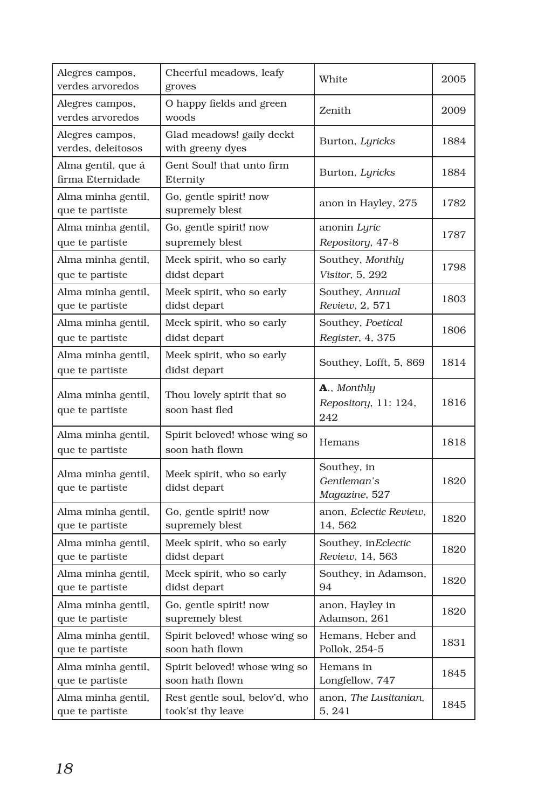| Alegres campos,<br>verdes arvoredos    | Cheerful meadows, leafy<br>groves                | White                                       | 2005 |
|----------------------------------------|--------------------------------------------------|---------------------------------------------|------|
| Alegres campos,<br>verdes arvoredos    | O happy fields and green<br>woods                | Zenith                                      | 2009 |
| Alegres campos,<br>verdes, deleitosos  | Glad meadows! gaily deckt<br>with greeny dyes    | Burton, Lyricks                             | 1884 |
| Alma gentil, que á<br>firma Eternidade | Gent Soul! that unto firm<br>Eternity            | Burton, Lyricks                             | 1884 |
| Alma minha gentil,<br>que te partiste  | Go, gentle spirit! now<br>supremely blest        | anon in Hayley, 275                         | 1782 |
| Alma minha gentil,                     | Go, gentle spirit! now                           | anonin <i>Lyric</i>                         | 1787 |
| que te partiste                        | supremely blest                                  | Repository, 47-8                            |      |
| Alma minha gentil,                     | Meek spirit, who so early                        | Southey, Monthly                            | 1798 |
| que te partiste                        | didst depart                                     | Visitor, 5, 292                             |      |
| Alma minha gentil,                     | Meek spirit, who so early                        | Southey, Annual                             | 1803 |
| que te partiste                        | didst depart                                     | Review, 2, 571                              |      |
| Alma minha gentil,                     | Meek spirit, who so early                        | Southey, Poetical                           | 1806 |
| que te partiste                        | didst depart                                     | Register, 4, 375                            |      |
| Alma minha gentil,<br>que te partiste  | Meek spirit, who so early<br>didst depart        | Southey, Lofft, 5, 869                      | 1814 |
| Alma minha gentil,<br>que te partiste  | Thou lovely spirit that so<br>soon hast fled     | A., Monthly<br>Repository, 11: 124,<br>242  | 1816 |
| Alma minha gentil,<br>que te partiste  | Spirit beloved! whose wing so<br>soon hath flown | Hemans                                      | 1818 |
| Alma minha gentil,<br>que te partiste  | Meek spirit, who so early<br>didst depart        | Southey, in<br>Gentleman's<br>Magazine, 527 | 1820 |
| Alma minha gentil,                     | Go, gentle spirit! now                           | anon, Eclectic Review,                      | 1820 |
| que te partiste                        | supremely blest                                  | 14, 562                                     |      |
| Alma minha gentil,                     | Meek spirit, who so early                        | Southey, inEclectic                         | 1820 |
| que te partiste                        | didst depart                                     | Review, 14, 563                             |      |
| Alma minha gentil,                     | Meek spirit, who so early                        | Southey, in Adamson,                        | 1820 |
| que te partiste                        | didst depart                                     | 94                                          |      |
| Alma minha gentil,                     | Go, gentle spirit! now                           | anon, Hayley in                             | 1820 |
| que te partiste                        | supremely blest                                  | Adamson, 261                                |      |
| Alma minha gentil,                     | Spirit beloved! whose wing so                    | Hemans, Heber and                           | 1831 |
| que te partiste                        | soon hath flown                                  | Pollok, 254-5                               |      |
| Alma minha gentil,                     | Spirit beloved! whose wing so                    | Hemans in                                   | 1845 |
| que te partiste                        | soon hath flown                                  | Longfellow, 747                             |      |
| Alma minha gentil,                     | Rest gentle soul, belov'd, who                   | anon, The Lusitanian,                       | 1845 |
| que te partiste                        | took'st thy leave                                | 5, 241                                      |      |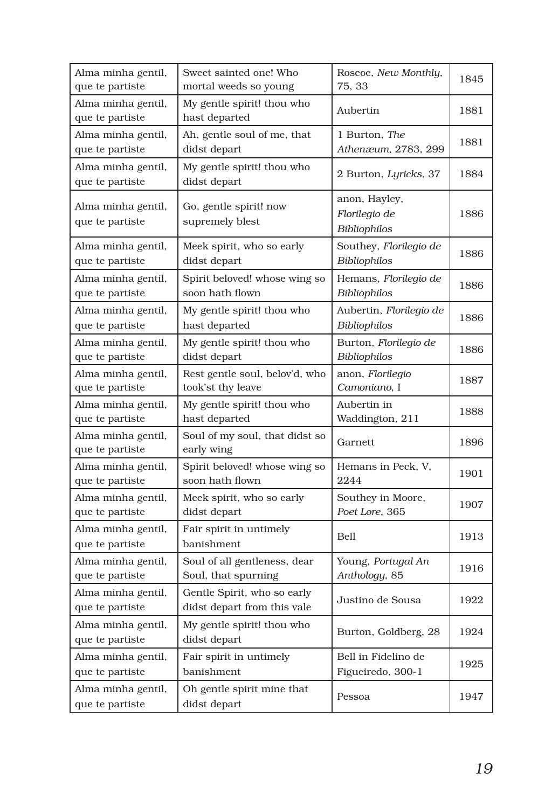| Alma minha gentil,                    | Sweet sainted one! Who                                     | Roscoe, New Monthly,                           | 1845 |
|---------------------------------------|------------------------------------------------------------|------------------------------------------------|------|
| que te partiste                       | mortal weeds so young                                      | 75, 33                                         |      |
| Alma minha gentil,<br>que te partiste | My gentle spirit! thou who<br>hast departed                | Aubertin                                       | 1881 |
| Alma minha gentil,                    | Ah, gentle soul of me, that                                | 1 Burton, The                                  | 1881 |
| que te partiste                       | didst depart                                               | Athenæum, 2783, 299                            |      |
| Alma minha gentil,<br>que te partiste | My gentle spirit! thou who<br>didst depart                 | 2 Burton, Lyricks, 37                          | 1884 |
| Alma minha gentil,<br>que te partiste | Go, gentle spirit! now<br>supremely blest                  | anon, Hayley,<br>Florilegio de<br>Bibliophilos | 1886 |
| Alma minha gentil,                    | Meek spirit, who so early                                  | Southey, Florilegio de                         | 1886 |
| que te partiste                       | didst depart                                               | <b>Bibliophilos</b>                            |      |
| Alma minha gentil,                    | Spirit beloved! whose wing so                              | Hemans, Florilegio de                          | 1886 |
| que te partiste                       | soon hath flown                                            | Bibliophilos                                   |      |
| Alma minha gentil,                    | My gentle spirit! thou who                                 | Aubertin, Florilegio de                        | 1886 |
| que te partiste                       | hast departed                                              | Bibliophilos                                   |      |
| Alma minha gentil,                    | My gentle spirit! thou who                                 | Burton, Florilegio de                          | 1886 |
| que te partiste                       | didst depart                                               | Bibliophilos                                   |      |
| Alma minha gentil,                    | Rest gentle soul, belov'd, who                             | anon, Florilegio                               | 1887 |
| que te partiste                       | took'st thy leave                                          | Camoniano, I                                   |      |
| Alma minha gentil,                    | My gentle spirit! thou who                                 | Aubertin in                                    | 1888 |
| que te partiste                       | hast departed                                              | Waddington, 211                                |      |
| Alma minha gentil,<br>que te partiste | Soul of my soul, that didst so<br>early wing               | Garnett                                        | 1896 |
| Alma minha gentil,                    | Spirit beloved! whose wing so                              | Hemans in Peck, V,                             | 1901 |
| que te partiste                       | soon hath flown                                            | 2244                                           |      |
| Alma minha gentil,                    | Meek spirit, who so early                                  | Southey in Moore,                              | 1907 |
| que te partiste                       | didst depart                                               | Poet Lore, 365                                 |      |
| Alma minha gentil,<br>que te partiste | Fair spirit in untimely<br><b>banishment</b>               | Bell                                           | 1913 |
| Alma minha gentil,                    | Soul of all gentleness, dear                               | Young, Portugal An                             | 1916 |
| que te partiste                       | Soul, that spurning                                        | Anthology, 85                                  |      |
| Alma minha gentil,<br>que te partiste | Gentle Spirit, who so early<br>didst depart from this vale | Justino de Sousa                               | 1922 |
| Alma minha gentil,<br>que te partiste | My gentle spirit! thou who<br>didst depart                 | Burton, Goldberg, 28                           | 1924 |
| Alma minha gentil,                    | Fair spirit in untimely                                    | Bell in Fidelino de                            | 1925 |
| que te partiste                       | banishment                                                 | Figueiredo, 300-1                              |      |
| Alma minha gentil,<br>que te partiste | Oh gentle spirit mine that<br>didst depart                 | Pessoa                                         | 1947 |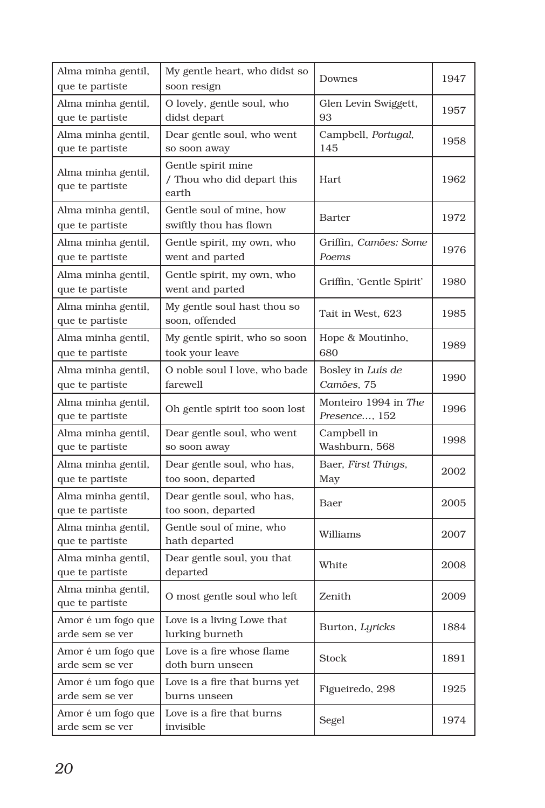| Alma minha gentil,<br>que te partiste | My gentle heart, who didst so<br>soon resign              | Downes                                | 1947 |
|---------------------------------------|-----------------------------------------------------------|---------------------------------------|------|
| Alma minha gentil,<br>que te partiste | O lovely, gentle soul, who<br>didst depart                | Glen Levin Swiggett,<br>93            | 1957 |
| Alma minha gentil,<br>que te partiste | Dear gentle soul, who went<br>so soon away                | Campbell, Portugal,<br>145            | 1958 |
| Alma minha gentil,<br>que te partiste | Gentle spirit mine<br>/ Thou who did depart this<br>earth | Hart                                  | 1962 |
| Alma minha gentil,<br>que te partiste | Gentle soul of mine, how<br>swiftly thou has flown        | <b>Barter</b>                         | 1972 |
| Alma minha gentil,<br>que te partiste | Gentle spirit, my own, who<br>went and parted             | Griffin, Camões: Some<br>Poems        | 1976 |
| Alma minha gentil,<br>que te partiste | Gentle spirit, my own, who<br>went and parted             | Griffin, 'Gentle Spirit'              | 1980 |
| Alma minha gentil,<br>que te partiste | My gentle soul hast thou so<br>soon, offended             | Tait in West, 623                     | 1985 |
| Alma minha gentil,<br>que te partiste | My gentle spirit, who so soon<br>took your leave          | Hope & Moutinho,<br>680               | 1989 |
| Alma minha gentil,<br>que te partiste | O noble soul I love, who bade<br>farewell                 | Bosley in Luís de<br>Camões, 75       | 1990 |
| Alma minha gentil,<br>que te partiste | Oh gentle spirit too soon lost                            | Monteiro 1994 in The<br>Presence, 152 | 1996 |
| Alma minha gentil,<br>que te partiste | Dear gentle soul, who went<br>so soon away                | Campbell in<br>Washburn, 568          | 1998 |
| Alma minha gentil,<br>que te partiste | Dear gentle soul, who has,<br>too soon, departed          | Baer, First Things,<br>May            | 2002 |
| Alma minha gentil,<br>que te partiste | Dear gentle soul, who has,<br>too soon, departed          | Baer                                  | 2005 |
| Alma minha gentil,<br>que te partiste | Gentle soul of mine, who<br>hath departed                 | Williams                              | 2007 |
| Alma minha gentil,<br>que te partiste | Dear gentle soul, you that<br>departed                    | White                                 | 2008 |
| Alma minha gentil,<br>que te partiste | O most gentle soul who left                               | Zenith                                | 2009 |
| Amor é um fogo que<br>arde sem se ver | Love is a living Lowe that<br>lurking burneth             | Burton, Lyricks                       | 1884 |
| Amor é um fogo que<br>arde sem se ver | Love is a fire whose flame<br>doth burn unseen            | <b>Stock</b>                          | 1891 |
| Amor é um fogo que<br>arde sem se ver | Love is a fire that burns yet<br>burns unseen             | Figueiredo, 298                       | 1925 |
| Amor é um fogo que<br>arde sem se ver | Love is a fire that burns<br>invisible                    | Segel                                 | 1974 |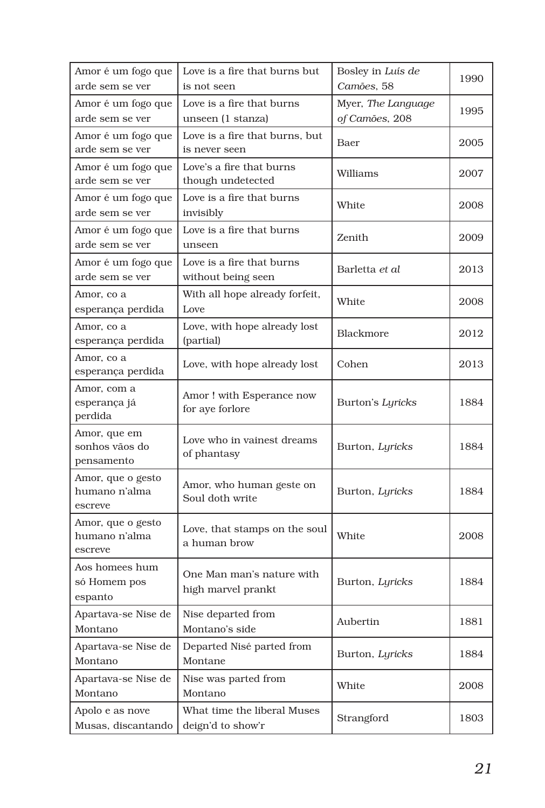| Amor é um fogo que<br>arde sem se ver         | Love is a fire that burns but<br>is not seen     | Bosley in Luís de<br>Camões, 58 | 1990 |
|-----------------------------------------------|--------------------------------------------------|---------------------------------|------|
| Amor é um fogo que                            | Love is a fire that burns                        | Myer, The Language              | 1995 |
| arde sem se ver                               | unseen (1 stanza)                                | of Camões, 208                  |      |
| Amor é um fogo que<br>arde sem se ver         | Love is a fire that burns, but<br>is never seen  | Baer                            | 2005 |
| Amor é um fogo que<br>arde sem se ver         | Love's a fire that burns<br>though undetected    | Williams                        | 2007 |
| Amor é um fogo que<br>arde sem se ver         | Love is a fire that burns<br>invisibly           | White                           | 2008 |
| Amor é um fogo que<br>arde sem se ver         | Love is a fire that burns<br>unseen              | Zenith                          | 2009 |
| Amor é um fogo que<br>arde sem se ver         | Love is a fire that burns<br>without being seen  | Barletta et al                  | 2013 |
| Amor, co a<br>esperança perdida               | With all hope already forfeit,<br>Love           | White                           | 2008 |
| Amor, co a<br>esperança perdida               | Love, with hope already lost<br>(partial)        | Blackmore                       | 2012 |
| Amor, co a<br>esperança perdida               | Love, with hope already lost                     | Cohen                           | 2013 |
| Amor, com a<br>esperança já<br>perdida        | Amor! with Esperance now<br>for aye forlore      | Burton's Lyricks                | 1884 |
| Amor, que em<br>sonhos vãos do<br>pensamento  | Love who in vainest dreams<br>of phantasy        | Burton, Lyricks                 | 1884 |
| Amor, que o gesto<br>humano n'alma<br>escreve | Amor, who human geste on<br>Soul doth write      | Burton, Lyricks                 | 1884 |
| Amor, que o gesto<br>humano n'alma<br>escreve | Love, that stamps on the soul<br>a human brow    | White                           | 2008 |
| Aos homees hum<br>só Homem pos<br>espanto     | One Man man's nature with<br>high marvel prankt  | Burton, Lyricks                 | 1884 |
| Apartava-se Nise de<br>Montano                | Nise departed from<br>Montano's side             | Aubertin                        | 1881 |
| Apartava-se Nise de<br>Montano                | Departed Nisé parted from<br>Montane             | Burton, Lyricks                 | 1884 |
| Apartava-se Nise de<br>Montano                | Nise was parted from<br>Montano                  | White                           | 2008 |
| Apolo e as nove<br>Musas, discantando         | What time the liberal Muses<br>deign'd to show'r | Strangford                      | 1803 |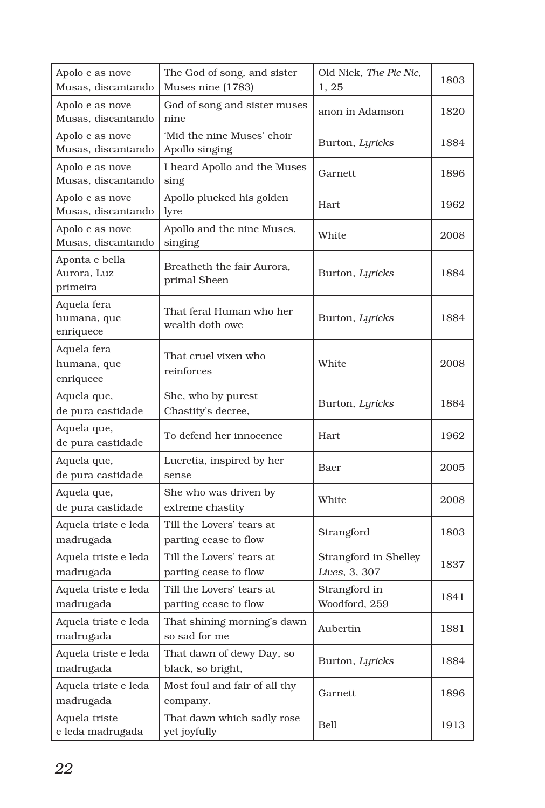| Apolo e as nove<br>Musas, discantando     | The God of song, and sister<br>Muses nine (1783)   | Old Nick, The Pic Nic,<br>1, 25        | 1803 |
|-------------------------------------------|----------------------------------------------------|----------------------------------------|------|
| Apolo e as nove<br>Musas, discantando     | God of song and sister muses<br>nine               | anon in Adamson                        | 1820 |
| Apolo e as nove<br>Musas, discantando     | 'Mid the nine Muses' choir<br>Apollo singing       | Burton, Lyricks                        | 1884 |
| Apolo e as nove<br>Musas, discantando     | I heard Apollo and the Muses<br>sing               | Garnett                                | 1896 |
| Apolo e as nove<br>Musas, discantando     | Apollo plucked his golden<br>lyre                  | Hart                                   | 1962 |
| Apolo e as nove<br>Musas, discantando     | Apollo and the nine Muses,<br>singing              | White                                  | 2008 |
| Aponta e bella<br>Aurora, Luz<br>primeira | Breatheth the fair Aurora,<br>primal Sheen         | Burton, Lyricks                        | 1884 |
| Aquela fera<br>humana, que<br>enriquece   | That feral Human who her<br>wealth doth owe        | Burton, Lyricks                        | 1884 |
| Aquela fera<br>humana, que<br>enriquece   | That cruel vixen who<br>reinforces                 | White                                  | 2008 |
| Aquela que,<br>de pura castidade          | She, who by purest<br>Chastity's decree,           | Burton, Lyricks                        | 1884 |
| Aquela que,<br>de pura castidade          | To defend her innocence                            | Hart                                   | 1962 |
| Aquela que,<br>de pura castidade          | Lucretia, inspired by her<br>sense                 | Baer                                   | 2005 |
| Aquela que,<br>de pura castidade          | She who was driven by<br>extreme chastity          | White                                  | 2008 |
| Aquela triste e leda<br>madrugada         | Till the Lovers' tears at<br>parting cease to flow | Strangford                             | 1803 |
| Aquela triste e leda<br>madrugada         | Till the Lovers' tears at<br>parting cease to flow | Strangford in Shelley<br>Lives, 3, 307 | 1837 |
| Aquela triste e leda<br>madrugada         | Till the Lovers' tears at<br>parting cease to flow | Strangford in<br>Woodford, 259         | 1841 |
| Aquela triste e leda<br>madrugada         | That shining morning's dawn<br>so sad for me       | Aubertin                               | 1881 |
| Aquela triste e leda<br>madrugada         | That dawn of dewy Day, so<br>black, so bright,     | Burton, Lyricks                        | 1884 |
| Aquela triste e leda<br>madrugada         | Most foul and fair of all thy<br>company.          | Garnett                                | 1896 |
| Aquela triste<br>e leda madrugada         | That dawn which sadly rose<br>yet joyfully         | Bell                                   | 1913 |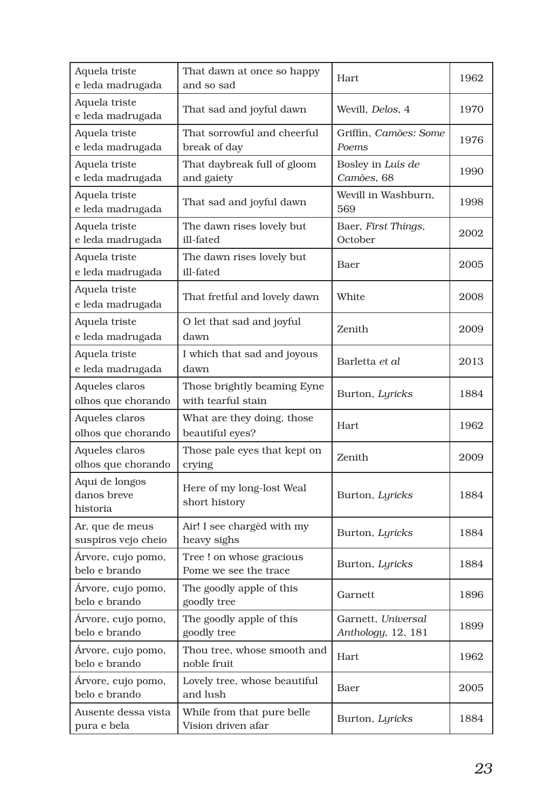| Aquela triste<br>e leda madrugada         | That dawn at once so happy<br>and so sad          | Hart                                     | 1962 |
|-------------------------------------------|---------------------------------------------------|------------------------------------------|------|
| Aquela triste<br>e leda madrugada         | That sad and joyful dawn                          | Wevill, Delos, 4                         | 1970 |
| Aquela triste<br>e leda madrugada         | That sorrowful and cheerful<br>break of day       | Griffin, Camões: Some<br>Poems           | 1976 |
| Aquela triste<br>e leda madrugada         | That daybreak full of gloom<br>and gaiety         | Bosley in Luís de<br>Camões, 68          | 1990 |
| Aquela triste<br>e leda madrugada         | That sad and joyful dawn                          | Wevill in Washburn,<br>569               | 1998 |
| Aquela triste<br>e leda madrugada         | The dawn rises lovely but<br>ill-fated            | Baer, First Things,<br>October           | 2002 |
| Aquela triste<br>e leda madrugada         | The dawn rises lovely but<br>ill-fated            | Baer                                     | 2005 |
| Aquela triste<br>e leda madrugada         | That fretful and lovely dawn                      | White                                    | 2008 |
| Aquela triste<br>e leda madrugada         | O let that sad and joyful<br>dawn                 | Zenith                                   | 2009 |
| Aquela triste<br>e leda madrugada         | I which that sad and joyous<br>dawn               | Barletta et al                           | 2013 |
| Aqueles claros<br>olhos que chorando      | Those brightly beaming Eyne<br>with tearful stain | Burton, Lyricks                          | 1884 |
| Aqueles claros<br>olhos que chorando      | What are they doing, those<br>beautiful eyes?     | Hart                                     | 1962 |
| Aqueles claros<br>olhos que chorando      | Those pale eyes that kept on<br>crying            | Zenith                                   | 2009 |
| Aqui de longos<br>danos breve<br>historia | Here of my long-lost Weal<br>short history        | Burton, Lyricks                          | 1884 |
| Ar, que de meus<br>suspiros vejo cheio    | Air! I see charged with my<br>heavy sighs         | Burton, Lyricks                          | 1884 |
| Árvore, cujo pomo,<br>belo e brando       | Tree! on whose gracious<br>Pome we see the trace  | Burton, Lyricks                          | 1884 |
| Árvore, cujo pomo,<br>belo e brando       | The goodly apple of this<br>goodly tree           | Garnett                                  | 1896 |
| Árvore, cujo pomo,<br>belo e brando       | The goodly apple of this<br>goodly tree           | Garnett, Universal<br>Anthology, 12, 181 | 1899 |
| Árvore, cujo pomo,<br>belo e brando       | Thou tree, whose smooth and<br>noble fruit        | Hart                                     | 1962 |
| Árvore, cujo pomo,<br>belo e brando       | Lovely tree, whose beautiful<br>and lush          | Baer                                     | 2005 |
| Ausente dessa vista<br>pura e bela        | While from that pure belle<br>Vision driven afar  | Burton, Lyricks                          | 1884 |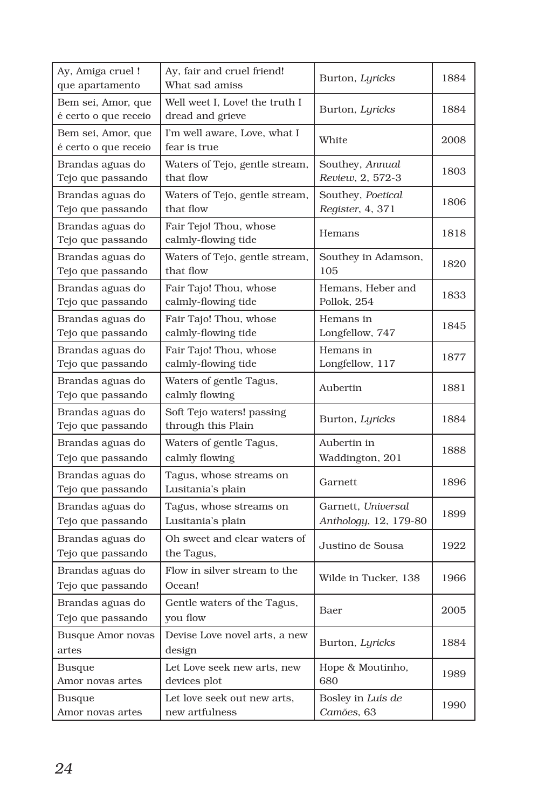| Ay, Amiga cruel!<br>que apartamento        | Ay, fair and cruel friend!<br>What sad amiss       | Burton, Lyricks                             | 1884 |
|--------------------------------------------|----------------------------------------------------|---------------------------------------------|------|
| Bem sei, Amor, que<br>é certo o que receio | Well weet I, Love! the truth I<br>dread and grieve | Burton, Lyricks                             | 1884 |
| Bem sei, Amor, que<br>é certo o que receio | I'm well aware, Love, what I<br>fear is true       | White                                       | 2008 |
| Brandas aguas do<br>Tejo que passando      | Waters of Tejo, gentle stream,<br>that flow        | Southey, Annual<br>Review, 2, 572-3         | 1803 |
| Brandas aguas do<br>Tejo que passando      | Waters of Tejo, gentle stream,<br>that flow        | Southey, Poetical<br>Register, 4, 371       | 1806 |
| Brandas aguas do<br>Tejo que passando      | Fair Tejo! Thou, whose<br>calmly-flowing tide      | Hemans                                      | 1818 |
| Brandas aguas do<br>Tejo que passando      | Waters of Tejo, gentle stream,<br>that flow        | Southey in Adamson,<br>105                  | 1820 |
| Brandas aguas do<br>Tejo que passando      | Fair Tajo! Thou, whose<br>calmly-flowing tide      | Hemans, Heber and<br>Pollok, 254            | 1833 |
| Brandas aguas do<br>Tejo que passando      | Fair Tajo! Thou, whose<br>calmly-flowing tide      | Hemans in<br>Longfellow, 747                | 1845 |
| Brandas aguas do<br>Tejo que passando      | Fair Tajo! Thou, whose<br>calmly-flowing tide      | Hemans in<br>Longfellow, 117                | 1877 |
| Brandas aguas do<br>Tejo que passando      | Waters of gentle Tagus,<br>calmly flowing          | Aubertin                                    | 1881 |
| Brandas aguas do<br>Tejo que passando      | Soft Tejo waters! passing<br>through this Plain    | Burton, Lyricks                             | 1884 |
| Brandas aguas do<br>Tejo que passando      | Waters of gentle Tagus,<br>calmly flowing          | Aubertin in<br>Waddington, 201              | 1888 |
| Brandas aguas do<br>Tejo que passando      | Tagus, whose streams on<br>Lusitania's plain       | Garnett                                     | 1896 |
| Brandas aguas do<br>Tejo que passando      | Tagus, whose streams on<br>Lusitania's plain       | Garnett, Universal<br>Anthology, 12, 179-80 | 1899 |
| Brandas aguas do<br>Tejo que passando      | Oh sweet and clear waters of<br>the Tagus,         | Justino de Sousa                            | 1922 |
| Brandas aguas do<br>Tejo que passando      | Flow in silver stream to the<br>Ocean!             | Wilde in Tucker, 138                        | 1966 |
| Brandas aguas do<br>Tejo que passando      | Gentle waters of the Tagus,<br>you flow            | Baer                                        | 2005 |
| <b>Busque Amor novas</b><br>artes          | Devise Love novel arts, a new<br>design            | Burton, Lyricks                             | 1884 |
| <b>Busque</b><br>Amor novas artes          | Let Love seek new arts, new<br>devices plot        | Hope & Moutinho,<br>680                     | 1989 |
| <b>Busque</b><br>Amor novas artes          | Let love seek out new arts,<br>new artfulness      | Bosley in Luís de<br>Camões, 63             | 1990 |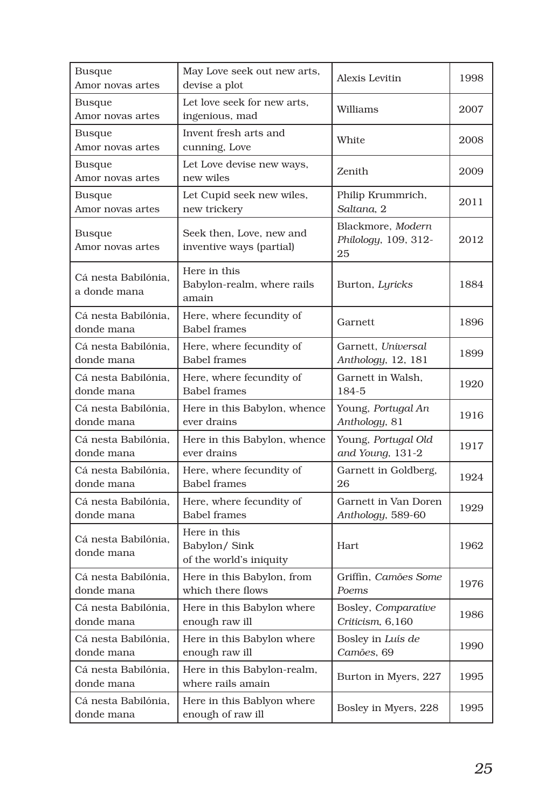| <b>Busque</b><br>Amor novas artes   | May Love seek out new arts,<br>devise a plot             | Alexis Levitin                                  | 1998 |
|-------------------------------------|----------------------------------------------------------|-------------------------------------------------|------|
| Busque<br>Amor novas artes          | Let love seek for new arts,<br>ingenious, mad            | Williams                                        | 2007 |
| Busque<br>Amor novas artes          | Invent fresh arts and<br>cunning, Love                   | White                                           | 2008 |
| Busque<br>Amor novas artes          | Let Love devise new ways,<br>new wiles                   | Zenith                                          | 2009 |
| Busque                              | Let Cupid seek new wiles,                                | Philip Krummrich,                               | 2011 |
| Amor novas artes                    | new trickery                                             | Saltana, 2                                      |      |
| Busque<br>Amor novas artes          | Seek then, Love, new and<br>inventive ways (partial)     | Blackmore, Modern<br>Philology, 109, 312-<br>25 | 2012 |
| Cá nesta Babilónia.<br>a donde mana | Here in this<br>Babylon-realm, where rails<br>amain      | Burton, Lyricks                                 | 1884 |
| Cá nesta Babilónia.<br>donde mana   | Here, where fecundity of<br><b>Babel frames</b>          | Garnett                                         | 1896 |
| Cá nesta Babilónia.                 | Here, where fecundity of                                 | Garnett, Universal                              | 1899 |
| donde mana                          | <b>Babel frames</b>                                      | Anthology, 12, 181                              |      |
| Cá nesta Babilónia.                 | Here, where fecundity of                                 | Garnett in Walsh.                               | 1920 |
| donde mana                          | <b>Babel</b> frames                                      | 184-5                                           |      |
| Cá nesta Babilónia.                 | Here in this Babylon, whence                             | Young, Portugal An                              | 1916 |
| donde mana                          | ever drains                                              | Anthology, 81                                   |      |
| Cá nesta Babilónia,                 | Here in this Babylon, whence                             | Young, Portugal Old                             | 1917 |
| donde mana                          | ever drains                                              | and Young, 131-2                                |      |
| Cá nesta Babilónia.                 | Here, where fecundity of                                 | Garnett in Goldberg,                            | 1924 |
| donde mana                          | <b>Babel frames</b>                                      | 26                                              |      |
| Cá nesta Babilónia,                 | Here, where fecundity of                                 | Garnett in Van Doren                            | 1929 |
| donde mana                          | <b>Babel frames</b>                                      | Anthology, 589-60                               |      |
| Cá nesta Babilónia.<br>donde mana   | Here in this<br>Babylon/ Sink<br>of the world's iniquity | <b>Hart</b>                                     | 1962 |
| Cá nesta Babilónia,                 | Here in this Babylon, from                               | Griffin, Camões Some                            | 1976 |
| donde mana                          | which there flows                                        | Poems                                           |      |
| Cá nesta Babilónia.                 | Here in this Babylon where                               | Bosley, Comparative                             | 1986 |
| donde mana                          | enough raw ill                                           | Criticism, 6,160                                |      |
| Cá nesta Babilónia,                 | Here in this Babylon where                               | Bosley in Luís de                               | 1990 |
| donde mana                          | enough raw ill                                           | Camões, 69                                      |      |
| Cá nesta Babilónia,<br>donde mana   | Here in this Babylon-realm,<br>where rails amain         | Burton in Myers, 227                            | 1995 |
| Cá nesta Babilónia,<br>donde mana   | Here in this Bablyon where<br>enough of raw ill          | Bosley in Myers, 228                            | 1995 |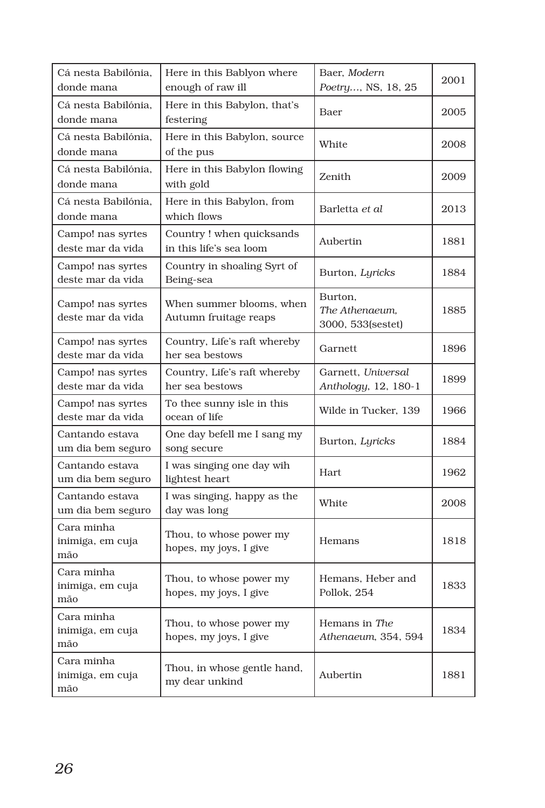| Cá nesta Babilónia,<br>donde mana      | Here in this Bablyon where<br>enough of raw ill     | Baer, Modern<br>Poetry, NS, 18, 25             | 2001 |
|----------------------------------------|-----------------------------------------------------|------------------------------------------------|------|
| Cá nesta Babilónia.<br>donde mana      | Here in this Babylon, that's<br>festering           | Baer                                           | 2005 |
| Cá nesta Babilónia.<br>donde mana      | Here in this Babylon, source<br>of the pus          | White                                          | 2008 |
| Cá nesta Babilónia.<br>donde mana      | Here in this Babylon flowing<br>with gold           | Zenith                                         | 2009 |
| Cá nesta Babilónia.<br>donde mana      | Here in this Babylon, from<br>which flows           | Barletta et al                                 | 2013 |
| Campo! nas syrtes<br>deste mar da vida | Country! when quicksands<br>in this life's sea loom | Aubertin                                       | 1881 |
| Campo! nas syrtes<br>deste mar da vida | Country in shoaling Syrt of<br>Being-sea            | Burton, Lyricks                                | 1884 |
| Campo! nas syrtes<br>deste mar da vida | When summer blooms, when<br>Autumn fruitage reaps   | Burton.<br>The Athenaeum,<br>3000, 533(sestet) | 1885 |
| Campo! nas syrtes<br>deste mar da vida | Country, Life's raft whereby<br>her sea bestows     | Garnett                                        | 1896 |
| Campo! nas syrtes<br>deste mar da vida | Country, Life's raft whereby<br>her sea bestows     | Garnett, Universal<br>Anthology, 12, 180-1     | 1899 |
| Campo! nas syrtes<br>deste mar da vida | To thee sunny isle in this<br>ocean of life         | Wilde in Tucker, 139                           | 1966 |
| Cantando estava<br>um dia bem seguro   | One day befell me I sang my<br>song secure          | Burton, Lyricks                                | 1884 |
| Cantando estava<br>um dia bem seguro   | I was singing one day wih<br>lightest heart         | Hart.                                          | 1962 |
| Cantando estava<br>um dia bem seguro   | I was singing, happy as the<br>day was long         | White                                          | 2008 |
| Cara minha<br>inimiga, em cuja<br>mão  | Thou, to whose power my<br>hopes, my joys, I give   | Hemans                                         | 1818 |
| Cara minha<br>inimiga, em cuja<br>mão  | Thou, to whose power my<br>hopes, my joys, I give   | Hemans. Heber and<br>Pollok, 254               | 1833 |
| Cara minha<br>inimiga, em cuja<br>mão  | Thou, to whose power my<br>hopes, my joys, I give   | Hemans in The<br>Athenaeum, 354, 594           | 1834 |
| Cara minha<br>inimiga, em cuja<br>mão  | Thou, in whose gentle hand,<br>my dear unkind       | Aubertin                                       | 1881 |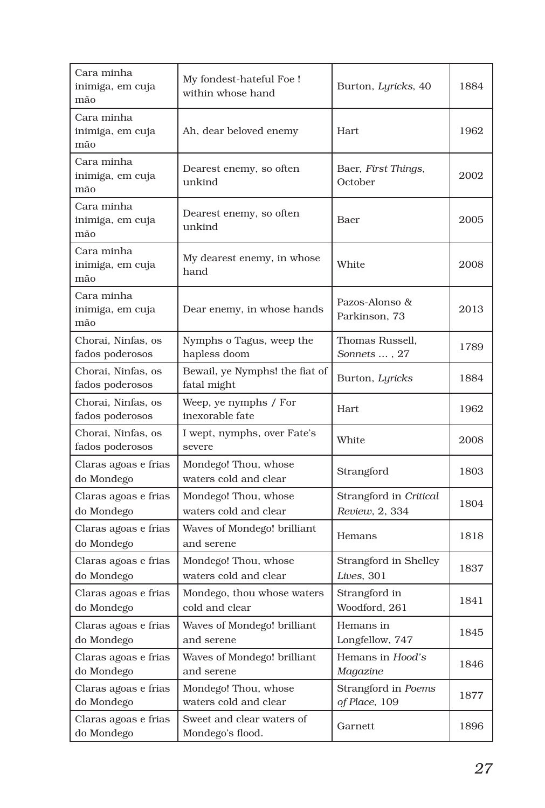| Cara minha<br>inimiga, em cuja<br>mão | My fondest-hateful Foe !<br>within whose hand | Burton, Lyricks, 40                      | 1884 |
|---------------------------------------|-----------------------------------------------|------------------------------------------|------|
| Cara minha<br>inimiga, em cuja<br>mão | Ah, dear beloved enemy                        | <b>Hart</b>                              | 1962 |
| Cara minha<br>inimiga, em cuja<br>mão | Dearest enemy, so often<br>unkind             | Baer, First Things,<br>October           | 2002 |
| Cara minha<br>inimiga, em cuja<br>mão | Dearest enemy, so often<br>unkind             | Baer                                     | 2005 |
| Cara minha<br>inimiga, em cuja<br>mão | My dearest enemy, in whose<br>hand            | White                                    | 2008 |
| Cara minha<br>inimiga, em cuja<br>mão | Dear enemy, in whose hands                    | Pazos-Alonso &<br>Parkinson, 73          | 2013 |
| Chorai, Ninfas, os<br>fados poderosos | Nymphs o Tagus, weep the<br>hapless doom      | Thomas Russell.<br>Sonnets , 27          | 1789 |
| Chorai, Ninfas, os<br>fados poderosos | Bewail, ye Nymphs! the fiat of<br>fatal might | Burton, Lyricks                          | 1884 |
| Chorai, Ninfas, os<br>fados poderosos | Weep, ye nymphs / For<br>inexorable fate      | Hart                                     | 1962 |
| Chorai, Ninfas, os<br>fados poderosos | I wept, nymphs, over Fate's<br>severe         | White                                    | 2008 |
| Claras agoas e frias<br>do Mondego    | Mondego! Thou, whose<br>waters cold and clear | Strangford                               | 1803 |
| Claras agoas e frias<br>do Mondego    | Mondego! Thou, whose<br>waters cold and clear | Strangford in Critical<br>Review, 2, 334 | 1804 |
| Claras agoas e frias<br>do Mondego    | Waves of Mondego! brilliant<br>and serene     | Hemans                                   | 1818 |
| Claras agoas e frias<br>do Mondego    | Mondego! Thou, whose<br>waters cold and clear | Strangford in Shelley<br>Lives, 301      | 1837 |
| Claras agoas e frias<br>do Mondego    | Mondego, thou whose waters<br>cold and clear  | Strangford in<br>Woodford, 261           | 1841 |
| Claras agoas e frias<br>do Mondego    | Waves of Mondego! brilliant<br>and serene     | Hemans in<br>Longfellow, 747             | 1845 |
| Claras agoas e frias<br>do Mondego    | Waves of Mondego! brilliant<br>and serene     | Hemans in Hood's<br>Magazine             | 1846 |
| Claras agoas e frias<br>do Mondego    | Mondego! Thou, whose<br>waters cold and clear | Strangford in Poems<br>of Place, 109     | 1877 |
| Claras agoas e frias<br>do Mondego    | Sweet and clear waters of<br>Mondego's flood. | Garnett                                  | 1896 |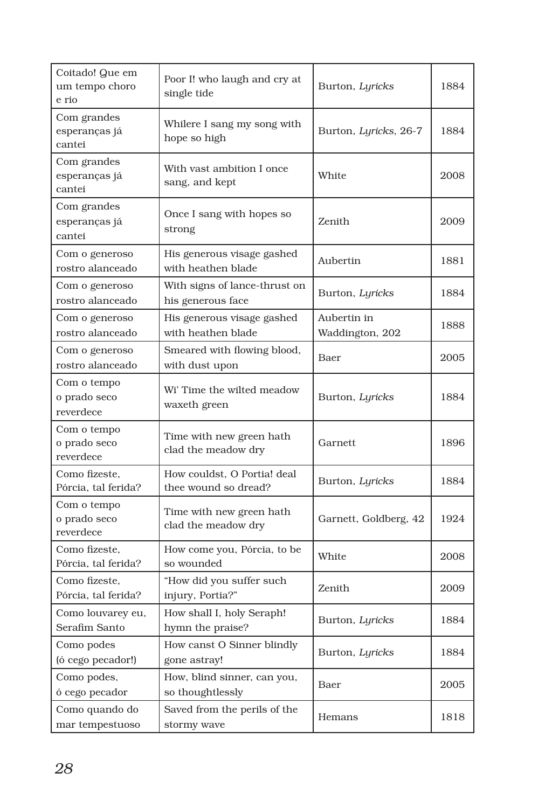| Coitado! Que em<br>um tempo choro<br>e rio | Poor I! who laugh and cry at<br>single tide         | Burton, Lyricks                | 1884 |
|--------------------------------------------|-----------------------------------------------------|--------------------------------|------|
| Com grandes<br>esperanças já<br>cantei     | Whilere I sang my song with<br>hope so high         | Burton, Lyricks, 26-7          | 1884 |
| Com grandes<br>esperanças já<br>cantei     | With vast ambition I once<br>sang, and kept         | White                          | 2008 |
| Com grandes<br>esperanças já<br>cantei     | Once I sang with hopes so<br>strong                 | Zenith                         | 2009 |
| Com o generoso<br>rostro alanceado         | His generous visage gashed<br>with heathen blade    | Aubertin                       | 1881 |
| Com o generoso<br>rostro alanceado         | With signs of lance-thrust on<br>his generous face  | Burton, Lyricks                | 1884 |
| Com o generoso<br>rostro alanceado         | His generous visage gashed<br>with heathen blade    | Aubertin in<br>Waddington, 202 | 1888 |
| Com o generoso<br>rostro alanceado         | Smeared with flowing blood,<br>with dust upon       | Baer                           | 2005 |
| Com o tempo<br>o prado seco<br>reverdece   | Wi' Time the wilted meadow<br>waxeth green          | Burton, Lyricks                | 1884 |
| Com o tempo<br>o prado seco<br>reverdece   | Time with new green hath<br>clad the meadow dry     | Garnett                        | 1896 |
| Como fizeste,<br>Pórcia, tal ferida?       | How couldst, O Portia! deal<br>thee wound so dread? | Burton, Lyricks                | 1884 |
| Com o tempo<br>o prado seco<br>reverdece   | Time with new green hath<br>clad the meadow dry     | Garnett, Goldberg, 42          | 1924 |
| Como fizeste,<br>Pórcia, tal ferida?       | How come you, Pórcia, to be<br>so wounded           | White                          | 2008 |
| Como fizeste.<br>Pórcia, tal ferida?       | "How did you suffer such<br>injury, Portia?"        | Zenith                         | 2009 |
| Como louvarey eu,<br>Serafim Santo         | How shall I, holy Seraph!<br>hymn the praise?       | Burton, Lyricks                | 1884 |
| Como podes<br>(ó cego pecador!)            | How canst O Sinner blindly<br>gone astray!          | Burton, Lyricks                | 1884 |
| Como podes,<br>ó cego pecador              | How, blind sinner, can you,<br>so thoughtlessly     | Baer                           | 2005 |
| Como quando do<br>mar tempestuoso          | Saved from the perils of the<br>stormy wave         | Hemans                         | 1818 |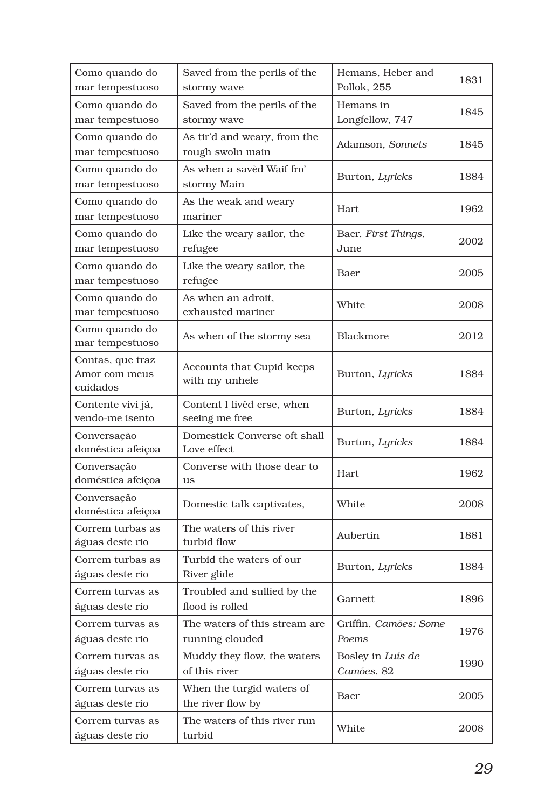| Como quando do<br>mar tempestuoso                    | Saved from the perils of the<br>stormy wave      | Hemans, Heber and<br>Pollok, 255 | 1831 |
|------------------------------------------------------|--------------------------------------------------|----------------------------------|------|
| Como quando do                                       | Saved from the perils of the                     | Hemans in                        | 1845 |
| mar tempestuoso                                      | stormy wave                                      | Longfellow, 747                  |      |
| Como quando do<br>mar tempestuoso                    | As tir'd and weary, from the<br>rough swoln main | Adamson, Sonnets                 | 1845 |
| Como quando do<br>mar tempestuoso                    | As when a savèd Waif fro'<br>stormy Main         | Burton, Lyricks                  | 1884 |
| Como quando do                                       | As the weak and weary                            | Hart                             | 1962 |
| mar tempestuoso<br>Como quando do<br>mar tempestuoso | mariner<br>Like the weary sailor, the<br>refugee | Baer, First Things,<br>June      | 2002 |
| Como quando do<br>mar tempestuoso                    | Like the weary sailor, the<br>refugee            | Baer                             | 2005 |
| Como quando do<br>mar tempestuoso                    | As when an adroit.<br>exhausted mariner          | White                            | 2008 |
| Como quando do<br>mar tempestuoso                    | As when of the stormy sea                        | Blackmore                        | 2012 |
| Contas, que traz<br>Amor com meus<br>cuidados        | Accounts that Cupid keeps<br>with my unhele      | Burton, Lyricks                  | 1884 |
| Contente vivi já,<br>vendo-me isento                 | Content I livèd erse, when<br>seeing me free     | Burton, Lyricks                  | 1884 |
| Conversação<br>doméstica afeiçoa                     | Domestick Converse oft shall<br>Love effect      | Burton, Lyricks                  | 1884 |
| Conversação<br>doméstica afeiçoa                     | Converse with those dear to<br>us                | Hart                             | 1962 |
| Conversação<br>doméstica afeiçoa                     | Domestic talk captivates,                        | White                            | 2008 |
| Correm turbas as<br>águas deste rio                  | The waters of this river<br>turbid flow          | Aubertin                         | 1881 |
| Correm turbas as<br>águas deste rio                  | Turbid the waters of our<br>River glide          | Burton, Lyricks                  | 1884 |
| Correm turvas as<br>águas deste rio                  | Troubled and sullied by the<br>flood is rolled   | Garnett                          | 1896 |
| Correm turvas as<br>águas deste rio                  | The waters of this stream are<br>running clouded | Griffin, Camões: Some<br>Poems   | 1976 |
|                                                      |                                                  |                                  |      |
| Correm turvas as<br>águas deste rio                  | Muddy they flow, the waters<br>of this river     | Bosley in Luís de<br>Camões, 82  | 1990 |
| Correm turvas as<br>águas deste rio                  | When the turgid waters of<br>the river flow by   | Baer                             | 2005 |
| Correm turvas as<br>águas deste rio                  | The waters of this river run<br>turbid           | White                            | 2008 |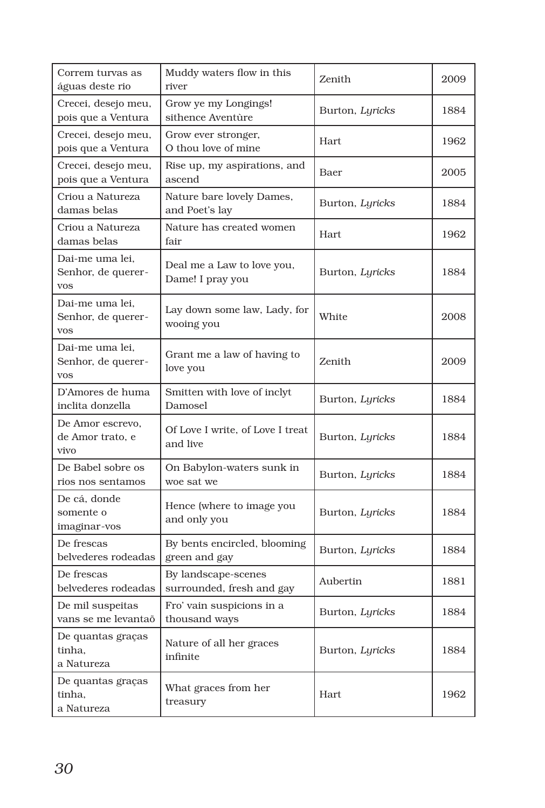| Correm turvas as<br>águas deste rio                 | Muddy waters flow in this<br>river               | Zenith          | 2009 |
|-----------------------------------------------------|--------------------------------------------------|-----------------|------|
| Crecei, desejo meu,<br>pois que a Ventura           | Grow ye my Longings!<br>sithence Aventùre        | Burton, Lyricks | 1884 |
| Crecei, desejo meu,<br>pois que a Ventura           | Grow ever stronger,<br>O thou love of mine       | Hart            | 1962 |
| Crecei, desejo meu,<br>pois que a Ventura           | Rise up, my aspirations, and<br>ascend           | Baer            | 2005 |
| Criou a Natureza<br>damas belas                     | Nature bare lovely Dames,<br>and Poet's lay      | Burton, Lyricks | 1884 |
| Criou a Natureza<br>damas belas                     | Nature has created women<br>fair                 | Hart            | 1962 |
| Dai-me uma lei,<br>Senhor, de querer-<br><b>VOS</b> | Deal me a Law to love you,<br>Dame! I pray you   | Burton, Lyricks | 1884 |
| Dai-me uma lei,<br>Senhor, de querer-<br><b>VOS</b> | Lay down some law, Lady, for<br>wooing you       | White           | 2008 |
| Dai-me uma lei,<br>Senhor, de querer-<br><b>VOS</b> | Grant me a law of having to<br>love you          | Zenith          | 2009 |
| D'Amores de huma<br>inclita donzella                | Smitten with love of inclyt<br>Damosel           | Burton, Lyricks | 1884 |
| De Amor escrevo.<br>de Amor trato, e<br>vivo        | Of Love I write, of Love I treat<br>and live     | Burton, Lyricks | 1884 |
| De Babel sobre os<br>rios nos sentamos              | On Babylon-waters sunk in<br>woe sat we          | Burton, Lyricks | 1884 |
| De cá, donde<br>somente o<br>imaginar-vos           | Hence (where to image you<br>and only you        | Burton, Lyricks | 1884 |
| De frescas<br>belvederes rodeadas                   | By bents encircled, blooming<br>green and gay    | Burton, Lyricks | 1884 |
| De frescas<br>belvederes rodeadas                   | By landscape-scenes<br>surrounded, fresh and gay | Aubertin        | 1881 |
| De mil suspeitas<br>vans se me levantaõ             | Fro' vain suspicions in a<br>thousand ways       | Burton, Lyricks | 1884 |
| De quantas graças<br>tinha,<br>a Natureza           | Nature of all her graces<br>infinite             | Burton, Lyricks | 1884 |
| De quantas graças<br>tinha,<br>a Natureza           | What graces from her<br>treasury                 | Hart            | 1962 |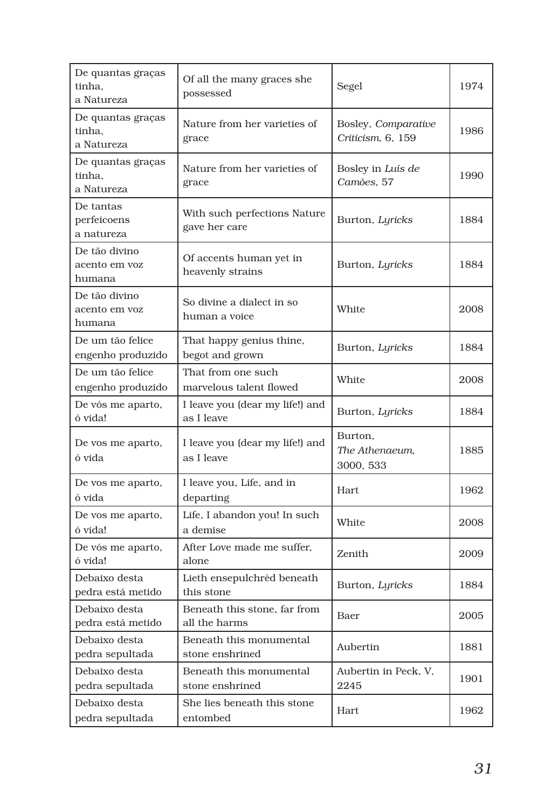| De quantas graças<br>tinha,<br>a Natureza | Of all the many graces she<br>possessed       | Segel                                    | 1974 |
|-------------------------------------------|-----------------------------------------------|------------------------------------------|------|
| De quantas graças<br>tinha,<br>a Natureza | Nature from her varieties of<br>grace         | Bosley, Comparative<br>Criticism, 6, 159 | 1986 |
| De quantas graças<br>tinha,<br>a Natureza | Nature from her varieties of<br>grace         | Bosley in Luís de<br>Camões, 57          | 1990 |
| De tantas<br>perfeicoens<br>a natureza    | With such perfections Nature<br>gave her care | Burton, Lyricks                          | 1884 |
| De tão divino<br>acento em voz<br>humana  | Of accents human yet in<br>heavenly strains   | Burton, Lyricks                          | 1884 |
| De tão divino<br>acento em voz<br>humana  | So divine a dialect in so<br>human a voice    | White                                    | 2008 |
| De um tão felice<br>engenho produzido     | That happy genius thine,<br>begot and grown   | Burton, Lyricks                          | 1884 |
| De um tão felice<br>engenho produzido     | That from one such<br>marvelous talent flowed | White                                    | 2008 |
| De vós me aparto,<br>ó vida!              | I leave you (dear my life!) and<br>as I leave | Burton, Lyricks                          | 1884 |
| De vos me aparto,<br>ó vida               | I leave you (dear my life!) and<br>as I leave | Burton,<br>The Athenaeum,<br>3000, 533   | 1885 |
| De vos me aparto,<br>ó vida               | I leave you, Life, and in<br>departing        | Hart                                     | 1962 |
| De vos me aparto,<br>ó vida!              | Life, I abandon you! In such<br>a demise      | White                                    | 2008 |
| De vós me aparto,<br>ó vida!              | After Love made me suffer,<br>alone           | Zenith                                   | 2009 |
| Debaixo desta<br>pedra está metido        | Lieth ensepulchrèd beneath<br>this stone      | Burton, Lyricks                          | 1884 |
| Debaixo desta<br>pedra está metido        | Beneath this stone, far from<br>all the harms | Baer                                     | 2005 |
| Debaixo desta<br>pedra sepultada          | Beneath this monumental<br>stone enshrined    | Aubertin                                 | 1881 |
| Debaixo desta<br>pedra sepultada          | Beneath this monumental<br>stone enshrined    | Aubertin in Peck, V,<br>2245             | 1901 |
| Debaixo desta<br>pedra sepultada          | She lies beneath this stone<br>entombed       | Hart                                     | 1962 |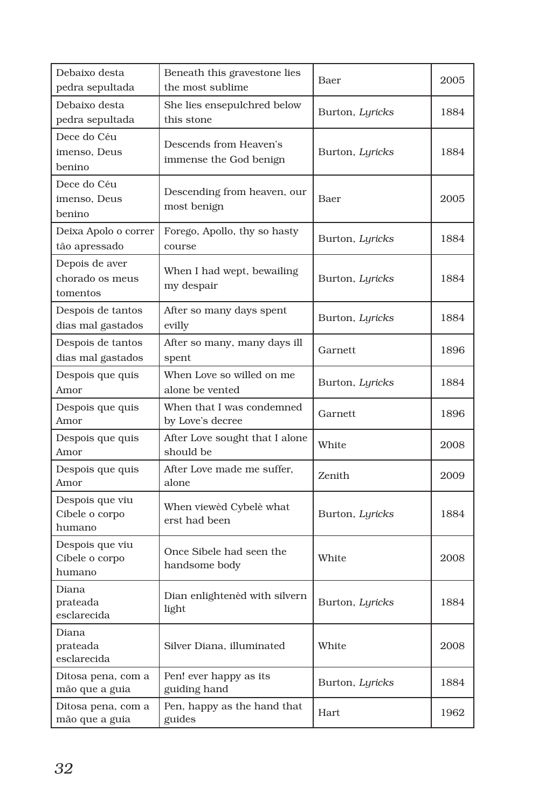| Debaixo desta<br>pedra sepultada              | Beneath this gravestone lies<br>the most sublime | Baer            | 2005 |
|-----------------------------------------------|--------------------------------------------------|-----------------|------|
| Debaixo desta<br>pedra sepultada              | She lies ensepulchred below<br>this stone        | Burton, Lyricks | 1884 |
| Dece do Céu<br>imenso. Deus<br>benino         | Descends from Heaven's<br>immense the God benign | Burton, Lyricks | 1884 |
| Dece do Céu<br>imenso, Deus<br>benino         | Descending from heaven, our<br>most benign       | Baer            | 2005 |
| Deixa Apolo o correr<br>tão apressado         | Forego, Apollo, thy so hasty<br>course           | Burton, Lyricks | 1884 |
| Depois de aver<br>chorado os meus<br>tomentos | When I had wept, bewailing<br>my despair         | Burton, Lyricks | 1884 |
| Despois de tantos<br>dias mal gastados        | After so many days spent<br>evilly               | Burton, Lyricks | 1884 |
| Despois de tantos<br>dias mal gastados        | After so many, many days ill<br>spent            | Garnett         | 1896 |
| Despois que quis<br>Amor                      | When Love so willed on me<br>alone be vented     | Burton, Lyricks | 1884 |
| Despois que quis<br>Amor                      | When that I was condemned<br>by Love's decree    | Garnett         | 1896 |
| Despois que quis<br>Amor                      | After Love sought that I alone<br>should be      | White           | 2008 |
| Despois que quis<br>Amor                      | After Love made me suffer,<br>alone              | Zenith          | 2009 |
| Despois que viu<br>Cibele o corpo<br>humano   | When viewèd Cybelè what<br>erst had been         | Burton, Lyricks | 1884 |
| Despois que viu<br>Cibele o corpo<br>humano   | Once Sibele had seen the<br>handsome body        | White           | 2008 |
| Diana<br>prateada<br>esclarecida              | Dian enlightened with silvern<br>light           | Burton, Lyricks | 1884 |
| Diana<br>prateada<br>esclarecida              | Silver Diana, illuminated                        | White           | 2008 |
| Ditosa pena, com a<br>mão que a guia          | Pen! ever happy as its<br>guiding hand           | Burton, Lyricks | 1884 |
| Ditosa pena, com a<br>mão que a guia          | Pen, happy as the hand that<br>guides            | Hart.           | 1962 |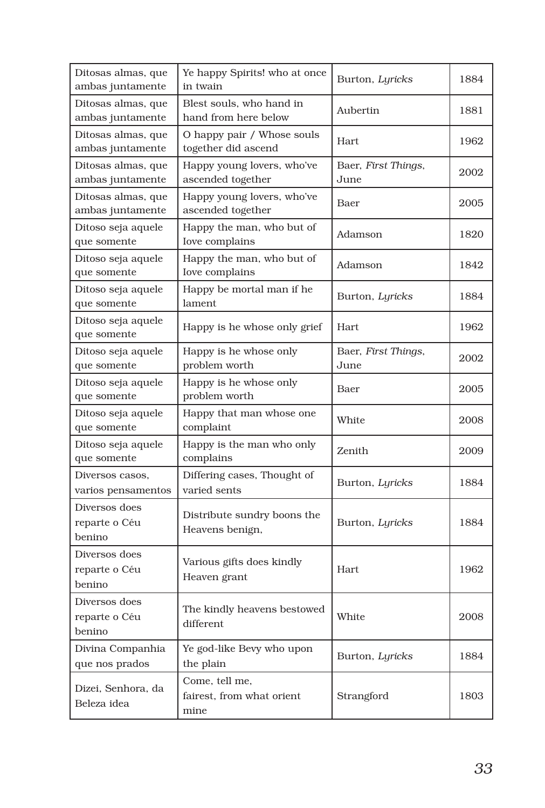| Ditosas almas, que<br>ambas juntamente   | Ye happy Spirits! who at once<br>in twain           | Burton, Lyricks             | 1884 |
|------------------------------------------|-----------------------------------------------------|-----------------------------|------|
| Ditosas almas, que<br>ambas juntamente   | Blest souls, who hand in<br>hand from here below    | Aubertin                    | 1881 |
| Ditosas almas, que<br>ambas juntamente   | O happy pair / Whose souls<br>together did ascend   | <b>Hart</b>                 | 1962 |
| Ditosas almas, que<br>ambas juntamente   | Happy young lovers, who've<br>ascended together     | Baer, First Things,<br>June | 2002 |
| Ditosas almas, que<br>ambas juntamente   | Happy young lovers, who've<br>ascended together     | Baer                        | 2005 |
| Ditoso seja aquele<br>que somente        | Happy the man, who but of<br>Iove complains         | Adamson                     | 1820 |
| Ditoso seja aquele<br>que somente        | Happy the man, who but of<br>Iove complains         | Adamson                     | 1842 |
| Ditoso seja aquele<br>que somente        | Happy be mortal man if he<br>lament                 | Burton, Lyricks             | 1884 |
| Ditoso seja aquele<br>que somente        | Happy is he whose only grief                        | Hart                        | 1962 |
| Ditoso seja aquele<br>que somente        | Happy is he whose only<br>problem worth             | Baer, First Things,<br>June | 2002 |
| Ditoso seja aquele<br>que somente        | Happy is he whose only<br>problem worth             | Baer                        | 2005 |
| Ditoso seja aquele<br>que somente        | Happy that man whose one<br>complaint               | White                       | 2008 |
| Ditoso seja aquele<br>que somente        | Happy is the man who only<br>complains              | Zenith                      | 2009 |
| Diversos casos,<br>varios pensamentos    | Differing cases, Thought of<br>varied sents         | Burton, Lyricks             | 1884 |
| Diversos does<br>reparte o Céu<br>benino | Distribute sundry boons the<br>Heavens benign,      | Burton, Lyricks             | 1884 |
| Diversos does<br>reparte o Céu<br>benino | Various gifts does kindly<br>Heaven grant           | Hart                        | 1962 |
| Diversos does<br>reparte o Céu<br>benino | The kindly heavens bestowed<br>different            | White                       | 2008 |
| Divina Companhia<br>que nos prados       | Ye god-like Bevy who upon<br>the plain              | Burton, Lyricks             | 1884 |
| Dizei, Senhora, da<br>Beleza idea        | Come, tell me,<br>fairest, from what orient<br>mine | Strangford                  | 1803 |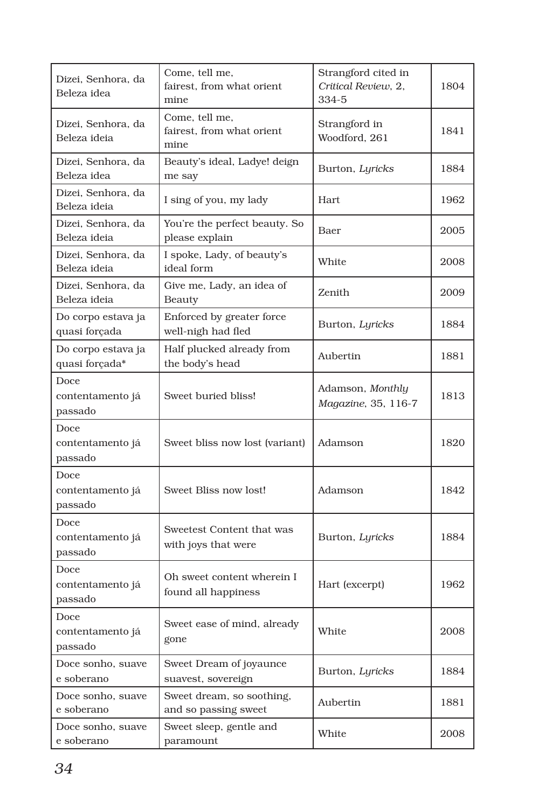| Dizei, Senhora, da<br>Beleza idea    | Come, tell me,<br>fairest, from what orient<br>mine | Strangford cited in<br>Critical Review, 2,<br>334-5 | 1804 |
|--------------------------------------|-----------------------------------------------------|-----------------------------------------------------|------|
| Dizei, Senhora, da<br>Beleza ideia   | Come, tell me,<br>fairest, from what orient<br>mine | Strangford in<br>Woodford, 261                      | 1841 |
| Dizei, Senhora, da<br>Beleza idea    | Beauty's ideal, Ladye! deign<br>me say              | Burton, Lyricks                                     | 1884 |
| Dizei, Senhora, da<br>Beleza ideia   | I sing of you, my lady                              | Hart                                                | 1962 |
| Dizei, Senhora, da<br>Beleza ideia   | You're the perfect beauty. So<br>please explain     | Baer                                                | 2005 |
| Dizei, Senhora, da<br>Beleza ideia   | I spoke, Lady, of beauty's<br>ideal form            | White                                               | 2008 |
| Dizei, Senhora, da<br>Beleza ideia   | Give me, Lady, an idea of<br>Beauty                 | Zenith                                              | 2009 |
| Do corpo estava ja<br>quasi forçada  | Enforced by greater force<br>well-nigh had fled     | Burton, Lyricks                                     | 1884 |
| Do corpo estava ja<br>quasi forçada* | Half plucked already from<br>the body's head        | Aubertin                                            | 1881 |
| Doce<br>contentamento já<br>passado  | Sweet buried bliss!                                 | Adamson, Monthly<br>Magazine, 35, 116-7             | 1813 |
| Doce<br>contentamento já<br>passado  | Sweet bliss now lost (variant)                      | Adamson                                             | 1820 |
| Doce<br>contentamento já<br>passado  | Sweet Bliss now lost!                               | Adamson                                             | 1842 |
| Doce<br>contentamento já<br>passado  | Sweetest Content that was<br>with joys that were    | Burton, Lyricks                                     | 1884 |
| Doce<br>contentamento já<br>passado  | Oh sweet content wherein I<br>found all happiness   | Hart (excerpt)                                      | 1962 |
| Doce<br>contentamento já<br>passado  | Sweet ease of mind, already<br>gone                 | White                                               | 2008 |
| Doce sonho, suave<br>e soberano      | Sweet Dream of joyaunce<br>suavest, sovereign       | Burton, Lyricks                                     | 1884 |
| Doce sonho, suave<br>e soberano      | Sweet dream, so soothing,<br>and so passing sweet   | Aubertin                                            | 1881 |
| Doce sonho, suave<br>e soberano      | Sweet sleep, gentle and<br>paramount                | White                                               | 2008 |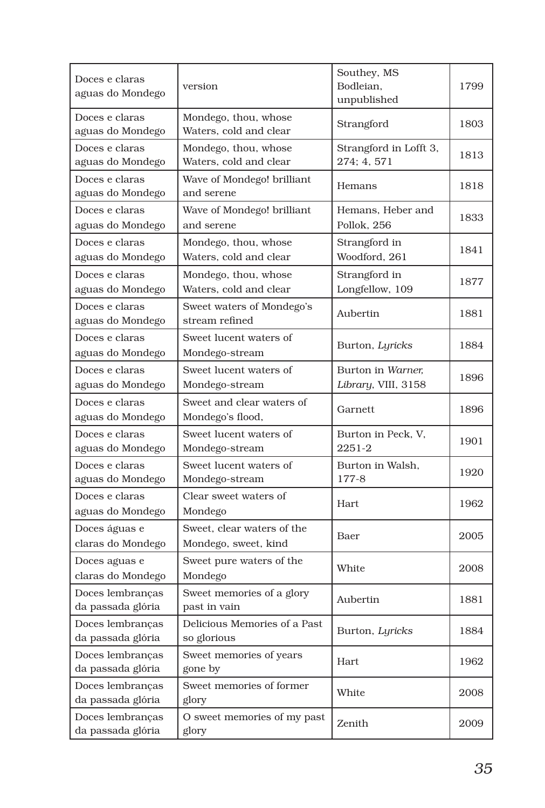| Doces e claras<br>aguas do Mondego    | version                                            | Southey, MS<br>Bodleian,<br>unpublished  | 1799 |
|---------------------------------------|----------------------------------------------------|------------------------------------------|------|
| Doces e claras<br>aguas do Mondego    | Mondego, thou, whose<br>Waters, cold and clear     | Strangford                               | 1803 |
| Doces e claras<br>aguas do Mondego    | Mondego, thou, whose<br>Waters, cold and clear     | Strangford in Lofft 3,<br>274; 4, 571    | 1813 |
| Doces e claras<br>aguas do Mondego    | Wave of Mondego! brilliant<br>and serene           | Hemans                                   | 1818 |
| Doces e claras<br>aguas do Mondego    | Wave of Mondego! brilliant<br>and serene           | Hemans. Heber and<br>Pollok, 256         | 1833 |
| Doces e claras<br>aguas do Mondego    | Mondego, thou, whose<br>Waters, cold and clear     | Strangford in<br>Woodford, 261           | 1841 |
| Doces e claras<br>aguas do Mondego    | Mondego, thou, whose<br>Waters, cold and clear     | Strangford in<br>Longfellow, 109         | 1877 |
| Doces e claras<br>aguas do Mondego    | Sweet waters of Mondego's<br>stream refined        | Aubertin                                 | 1881 |
| Doces e claras<br>aguas do Mondego    | Sweet lucent waters of<br>Mondego-stream           | Burton, Lyricks                          | 1884 |
| Doces e claras<br>aguas do Mondego    | Sweet lucent waters of<br>Mondego-stream           | Burton in Warner.<br>Library, VIII, 3158 | 1896 |
| Doces e claras<br>aguas do Mondego    | Sweet and clear waters of<br>Mondego's flood,      | Garnett                                  | 1896 |
| Doces e claras<br>aguas do Mondego    | Sweet lucent waters of<br>Mondego-stream           | Burton in Peck, V,<br>2251-2             | 1901 |
| Doces e claras<br>aguas do Mondego    | Sweet lucent waters of<br>Mondego-stream           | Burton in Walsh,<br>177-8                | 1920 |
| Doces e claras<br>aguas do Mondego    | Clear sweet waters of<br>Mondego                   | Hart                                     | 1962 |
| Doces águas e<br>claras do Mondego    | Sweet, clear waters of the<br>Mondego, sweet, kind | Baer                                     | 2005 |
| Doces aguas e<br>claras do Mondego    | Sweet pure waters of the<br>Mondego                | White                                    | 2008 |
| Doces lembrancas<br>da passada glória | Sweet memories of a glory<br>past in vain          | Aubertin                                 | 1881 |
| Doces lembranças<br>da passada glória | Delicious Memories of a Past<br>so glorious        | Burton, Lyricks                          | 1884 |
| Doces lembranças<br>da passada glória | Sweet memories of years<br>gone by                 | Hart                                     | 1962 |
| Doces lembranças<br>da passada glória | Sweet memories of former<br>glory                  | White                                    | 2008 |
| Doces lembranças<br>da passada glória | O sweet memories of my past<br>glory               | Zenith                                   | 2009 |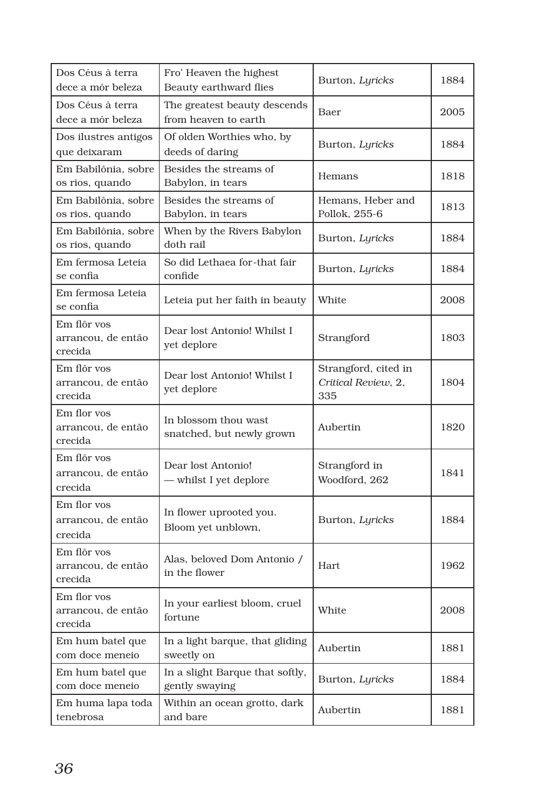| Dos Céus à terra<br>dece a mór beleza        | Fro' Heaven the highest<br>Beauty earthward flies    | Burton, Lyricks                                    | 1884 |
|----------------------------------------------|------------------------------------------------------|----------------------------------------------------|------|
| Dos Céus à terra<br>dece a mór beleza        | The greatest beauty descends<br>from heaven to earth | Baer                                               | 2005 |
| Dos ilustres antigos<br>que deixaram         | Of olden Worthies who, by<br>deeds of daring         | Burton, Lyricks                                    | 1884 |
| Em Babilônia, sobre<br>os rios, quando       | Besides the streams of<br>Babylon, in tears          | Hemans                                             | 1818 |
| Em Babilônia, sobre<br>os rios, quando       | Besides the streams of<br>Babylon, in tears          | Hemans, Heber and<br>Pollok, 255-6                 | 1813 |
| Em Babilônia, sobre<br>os rios, quando       | When by the Rivers Babylon<br>doth rail              | Burton, Lyricks                                    | 1884 |
| Em fermosa Leteia<br>se confia               | So did Lethaea for-that fair<br>confide              | Burton, Lyricks                                    | 1884 |
| Em fermosa Leteia<br>se confia               | Leteia put her faith in beauty                       | White                                              | 2008 |
| Em flôr vos<br>arrancou, de então<br>crecida | Dear lost Antonio! Whilst I<br>yet deplore           | Strangford                                         | 1803 |
| Em flôr vos<br>arrancou, de então<br>crecida | Dear lost Antonio! Whilst I<br>yet deplore           | Strangford, cited in<br>Critical Review, 2,<br>335 | 1804 |
| Em flor vos<br>arrancou, de então<br>crecida | In blossom thou wast<br>snatched, but newly grown    | Aubertin                                           | 1820 |
| Em flôr vos<br>arrancou, de então<br>crecida | Dear lost Antonio!<br>— whilst I yet deplore         | Strangford in<br>Woodford, 262                     | 1841 |
| Em flor vos<br>arrancou, de então<br>crecida | In flower uprooted you.<br>Bloom yet unblown,        | Burton, Lyricks                                    | 1884 |
| Em flôr vos<br>arrancou, de então<br>crecida | Alas, beloved Dom Antonio /<br>in the flower         | Hart                                               | 1962 |
| Em flor vos<br>arrancou, de então<br>crecida | In your earliest bloom, cruel<br>fortune             | White                                              | 2008 |
| Em hum batel que<br>com doce meneio          | In a light barque, that gliding<br>sweetly on        | Aubertin                                           | 1881 |
| Em hum batel que<br>com doce meneio          | In a slight Barque that softly,<br>gently swaying    | Burton, Lyricks                                    | 1884 |
| Em huma lapa toda<br>tenebrosa               | Within an ocean grotto, dark<br>and bare             | Aubertin                                           | 1881 |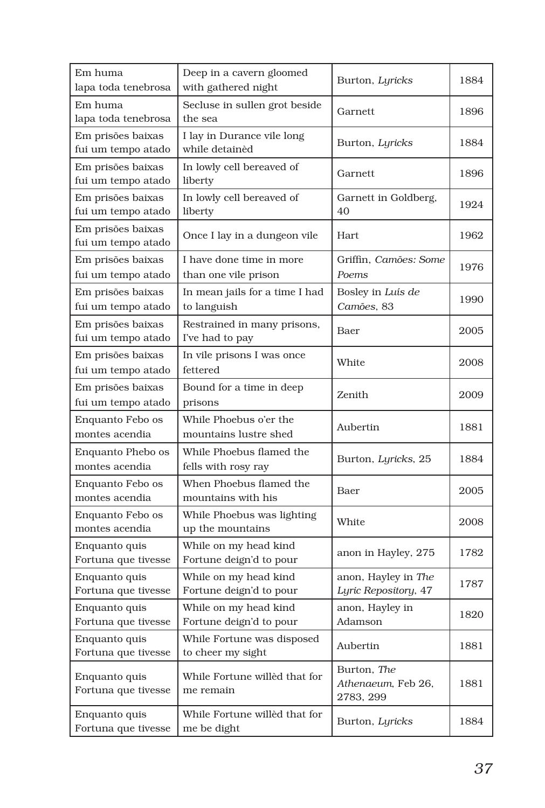| Em huma<br>lapa toda tenebrosa          | Deep in a cavern gloomed<br>with gathered night  | Burton, Lyricks                                | 1884 |
|-----------------------------------------|--------------------------------------------------|------------------------------------------------|------|
| Em huma<br>lapa toda tenebrosa          | Secluse in sullen grot beside<br>the sea         | Garnett                                        | 1896 |
| Em prisões baixas<br>fui um tempo atado | I lay in Durance vile long<br>while detainèd     | Burton, Lyricks                                | 1884 |
| Em prisões baixas<br>fui um tempo atado | In lowly cell bereaved of<br>liberty             | Garnett                                        | 1896 |
| Em prisões baixas<br>fui um tempo atado | In lowly cell bereaved of<br>liberty             | Garnett in Goldberg,<br>40                     | 1924 |
| Em prisões baixas<br>fui um tempo atado | Once I lay in a dungeon vile                     | Hart                                           | 1962 |
| Em prisões baixas<br>fui um tempo atado | I have done time in more<br>than one vile prison | Griffin, Camões: Some<br>Poems                 | 1976 |
| Em prisões baixas<br>fui um tempo atado | In mean jails for a time I had<br>to languish    | Bosley in Luís de<br>Camões, 83                | 1990 |
| Em prisões baixas<br>fui um tempo atado | Restrained in many prisons,<br>I've had to pay   | Baer                                           | 2005 |
| Em prisões baixas<br>fui um tempo atado | In vile prisons I was once<br>fettered           | White                                          | 2008 |
| Em prisões baixas<br>fui um tempo atado | Bound for a time in deep<br>prisons              | Zenith                                         | 2009 |
| Enquanto Febo os<br>montes acendia      | While Phoebus o'er the<br>mountains lustre shed  | Aubertin                                       | 1881 |
| Enquanto Phebo os<br>montes acendia     | While Phoebus flamed the<br>fells with rosy ray  | Burton, Lyricks, 25                            | 1884 |
| Enquanto Febo os<br>montes acendia      | When Phoebus flamed the<br>mountains with his    | Baer                                           | 2005 |
| Enquanto Febo os<br>montes acendia      | While Phoebus was lighting<br>up the mountains   | White                                          | 2008 |
| Enquanto quis<br>Fortuna que tivesse    | While on my head kind<br>Fortune deign'd to pour | anon in Hayley, 275                            | 1782 |
| Enquanto quis<br>Fortuna que tivesse    | While on my head kind<br>Fortune deign'd to pour | anon, Hayley in The<br>Lyric Repository, 47    | 1787 |
| Enquanto quis<br>Fortuna que tivesse    | While on my head kind<br>Fortune deign'd to pour | anon, Hayley in<br>Adamson                     | 1820 |
| Enquanto quis<br>Fortuna que tivesse    | While Fortune was disposed<br>to cheer my sight  | Aubertin                                       | 1881 |
| Enquanto quis<br>Fortuna que tivesse    | While Fortune willed that for<br>me remain       | Burton, The<br>Athenaeum, Feb 26,<br>2783, 299 | 1881 |
| Enquanto quis<br>Fortuna que tivesse    | While Fortune willed that for<br>me be dight     | Burton, Lyricks                                | 1884 |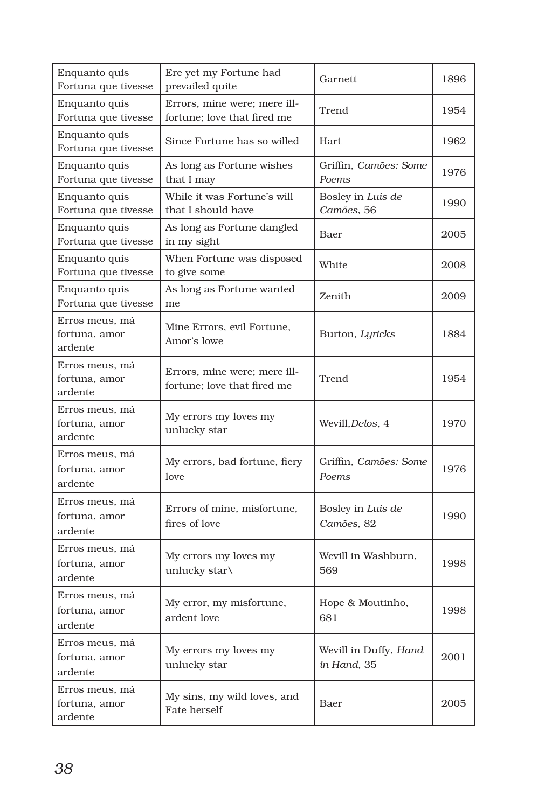| Enquanto quis<br>Fortuna que tivesse       | Ere yet my Fortune had<br>prevailed quite                   | Garnett                              | 1896 |
|--------------------------------------------|-------------------------------------------------------------|--------------------------------------|------|
| Enquanto quis<br>Fortuna que tivesse       | Errors, mine were: mere ill-<br>fortune; love that fired me | Trend                                | 1954 |
| Enquanto quis<br>Fortuna que tivesse       | Since Fortune has so willed                                 | Hart                                 | 1962 |
| Enquanto quis<br>Fortuna que tivesse       | As long as Fortune wishes<br>that I may                     | Griffin, Camões: Some<br>Poems       | 1976 |
| Enquanto quis<br>Fortuna que tivesse       | While it was Fortune's will<br>that I should have           | Bosley in Luís de<br>Camões, 56      | 1990 |
| Enquanto quis<br>Fortuna que tivesse       | As long as Fortune dangled<br>in my sight                   | Baer                                 | 2005 |
| Enquanto quis<br>Fortuna que tivesse       | When Fortune was disposed<br>to give some                   | White                                | 2008 |
| Enquanto quis<br>Fortuna que tivesse       | As long as Fortune wanted<br>me                             | Zenith                               | 2009 |
| Erros meus, má<br>fortuna, amor<br>ardente | Mine Errors, evil Fortune,<br>Amor's lowe                   | Burton, Lyricks                      | 1884 |
| Erros meus, má<br>fortuna, amor<br>ardente | Errors, mine were: mere ill-<br>fortune; love that fired me | Trend                                | 1954 |
| Erros meus, má<br>fortuna, amor<br>ardente | My errors my loves my<br>unlucky star                       | Wevill, Delos, 4                     | 1970 |
| Erros meus, má<br>fortuna, amor<br>ardente | My errors, bad fortune, fiery<br>love                       | Griffin, Camões: Some<br>Poems       | 1976 |
| Erros meus, má<br>fortuna, amor<br>ardente | Errors of mine, misfortune,<br>fires of love                | Bosley in Luís de<br>Camões, 82      | 1990 |
| Erros meus, má<br>fortuna, amor<br>ardente | My errors my loves my<br>unlucky star\                      | Wevill in Washburn,<br>569           | 1998 |
| Erros meus, má<br>fortuna, amor<br>ardente | My error, my misfortune,<br>ardent love                     | Hope & Moutinho,<br>681              | 1998 |
| Erros meus, má<br>fortuna, amor<br>ardente | My errors my loves my<br>unlucky star                       | Wevill in Duffy, Hand<br>in Hand, 35 | 2001 |
| Erros meus, má<br>fortuna, amor<br>ardente | My sins, my wild loves, and<br>Fate herself                 | Baer                                 | 2005 |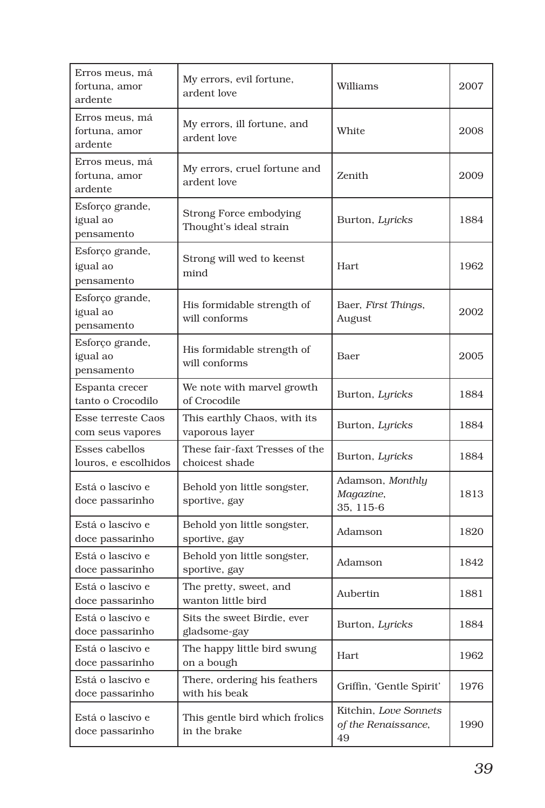| Erros meus, má<br>fortuna, amor<br>ardente    | My errors, evil fortune,<br>ardent love          | Williams                                           | 2007 |
|-----------------------------------------------|--------------------------------------------------|----------------------------------------------------|------|
| Erros meus, má<br>fortuna, amor<br>ardente    | My errors, ill fortune, and<br>ardent love       | White                                              | 2008 |
| Erros meus, má<br>fortuna, amor<br>ardente    | My errors, cruel fortune and<br>ardent love      | Zenith                                             | 2009 |
| Esforço grande,<br>igual ao<br>pensamento     | Strong Force embodying<br>Thought's ideal strain | Burton, Lyricks                                    | 1884 |
| Esforço grande,<br>igual ao<br>pensamento     | Strong will wed to keenst<br>mind                | Hart                                               | 1962 |
| Esforço grande,<br>igual ao<br>pensamento     | His formidable strength of<br>will conforms      | Baer, First Things,<br>August                      | 2002 |
| Esforço grande,<br>igual ao<br>pensamento     | His formidable strength of<br>will conforms      | Baer                                               | 2005 |
| Espanta crecer<br>tanto o Crocodilo           | We note with marvel growth<br>of Crocodile       | Burton, Lyricks                                    | 1884 |
| <b>Esse terreste Caos</b><br>com seus vapores | This earthly Chaos, with its<br>vaporous layer   | Burton, Lyricks                                    | 1884 |
| Esses cabellos<br>louros, e escolhidos        | These fair-faxt Tresses of the<br>choicest shade | Burton, Lyricks                                    | 1884 |
| Está o lascivo e<br>doce passarinho           | Behold yon little songster,<br>sportive, gay     | Adamson, Monthly<br>Magazine,<br>35, 115-6         | 1813 |
| Está o lascivo e<br>doce passarinho           | Behold yon little songster,<br>sportive, gay     | Adamson                                            | 1820 |
| Está o lascivo e<br>doce passarinho           | Behold yon little songster,<br>sportive, gay     | Adamson                                            | 1842 |
| Está o lascivo e<br>doce passarinho           | The pretty, sweet, and<br>wanton little bird     | Aubertin                                           | 1881 |
| Está o lascivo e<br>doce passarinho           | Sits the sweet Birdie, ever<br>gladsome-gay      | Burton, Lyricks                                    | 1884 |
| Está o lascivo e<br>doce passarinho           | The happy little bird swung<br>on a bough        | Hart                                               | 1962 |
| Está o lascivo e<br>doce passarinho           | There, ordering his feathers<br>with his beak    | Griffin, 'Gentle Spirit'                           | 1976 |
| Está o lascivo e<br>doce passarinho           | This gentle bird which frolics<br>in the brake   | Kitchin, Love Sonnets<br>of the Renaissance,<br>49 | 1990 |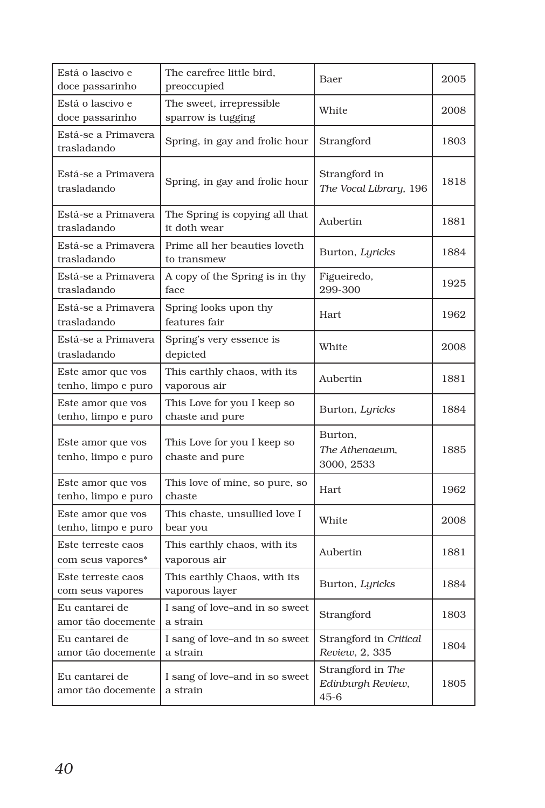| Está o lascivo e<br>doce passarinho      | The carefree little bird,<br>preoccupied        | Baer                                               | 2005 |
|------------------------------------------|-------------------------------------------------|----------------------------------------------------|------|
| Está o lascivo e<br>doce passarinho      | The sweet, irrepressible.<br>sparrow is tugging | White                                              | 2008 |
| Está-se a Primavera<br>trasladando       | Spring, in gay and frolic hour                  | Strangford                                         | 1803 |
| Está-se a Primavera<br>trasladando       | Spring, in gay and frolic hour                  | Strangford in<br>The Vocal Library, 196            | 1818 |
| Está-se a Primavera<br>trasladando       | The Spring is copying all that<br>it doth wear  | Aubertin                                           | 1881 |
| Está-se a Primavera<br>trasladando       | Prime all her beauties loveth<br>to transmew    | Burton, Lyricks                                    | 1884 |
| Está-se a Primavera<br>trasladando       | A copy of the Spring is in thy<br>face          | Figueiredo,<br>299-300                             | 1925 |
| Está-se a Primavera<br>trasladando       | Spring looks upon thy<br>features fair          | Hart.                                              | 1962 |
| Está-se a Primavera<br>trasladando       | Spring's very essence is<br>depicted            | White                                              | 2008 |
| Este amor que vos<br>tenho, limpo e puro | This earthly chaos, with its<br>vaporous air    | Aubertin                                           | 1881 |
| Este amor que vos<br>tenho, limpo e puro | This Love for you I keep so<br>chaste and pure  | Burton, Lyricks                                    | 1884 |
| Este amor que vos<br>tenho, limpo e puro | This Love for you I keep so<br>chaste and pure  | Burton,<br>The Athenaeum,<br>3000, 2533            | 1885 |
| Este amor que vos<br>tenho, limpo e puro | This love of mine, so pure, so<br>chaste        | Hart                                               | 1962 |
| Este amor que vos<br>tenho, limpo e puro | This chaste, unsullied love I<br>bear you       | White                                              | 2008 |
| Este terreste caos<br>com seus vapores*  | This earthly chaos, with its<br>vaporous air    | Aubertin                                           | 1881 |
| Este terreste caos<br>com seus vapores   | This earthly Chaos, with its<br>vaporous layer  | Burton, Lyricks                                    | 1884 |
| Eu cantarei de<br>amor tão docemente     | I sang of love-and in so sweet<br>a strain      | Strangford                                         | 1803 |
| Eu cantarei de<br>amor tão docemente     | I sang of love–and in so sweet<br>a strain      | Strangford in Critical<br>Review, 2, 335           | 1804 |
| Eu cantarei de<br>amor tão docemente     | I sang of love–and in so sweet<br>a strain      | Strangford in The<br>Edinburgh Review,<br>$45 - 6$ | 1805 |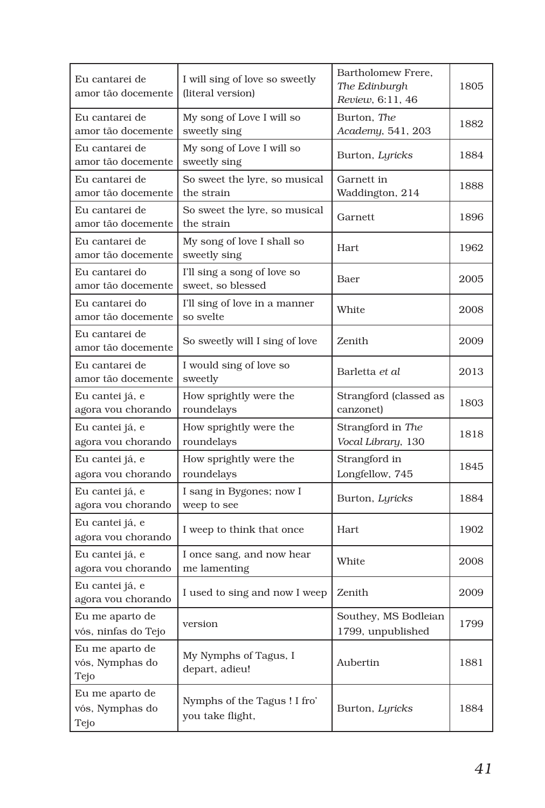| Eu cantarei de<br>amor tão docemente       | I will sing of love so sweetly<br>(literal version) | Bartholomew Frere.<br>The Edinburgh<br>Review, 6:11, 46 | 1805 |
|--------------------------------------------|-----------------------------------------------------|---------------------------------------------------------|------|
| Eu cantarei de<br>amor tão docemente       | My song of Love I will so<br>sweetly sing           | Burton, The<br>Academy, 541, 203                        | 1882 |
| Eu cantarei de<br>amor tão docemente       | My song of Love I will so<br>sweetly sing           | Burton, Lyricks                                         | 1884 |
| Eu cantarei de<br>amor tão docemente       | So sweet the lyre, so musical<br>the strain         | Garnett in<br>Waddington, 214                           | 1888 |
| Eu cantarei de<br>amor tão docemente       | So sweet the lyre, so musical<br>the strain         | Garnett                                                 | 1896 |
| Eu cantarei de<br>amor tão docemente       | My song of love I shall so<br>sweetly sing          | Hart                                                    | 1962 |
| Eu cantarei do<br>amor tão docemente       | I'll sing a song of love so<br>sweet, so blessed    | Baer                                                    | 2005 |
| Eu cantarei do<br>amor tão docemente       | I'll sing of love in a manner<br>so svelte          | White                                                   | 2008 |
| Eu cantarei de<br>amor tão docemente       | So sweetly will I sing of love                      | Zenith                                                  | 2009 |
| Eu cantarei de<br>amor tão docemente       | I would sing of love so<br>sweetly                  | Barletta et al                                          | 2013 |
| Eu cantei já, e<br>agora vou chorando      | How sprightly were the<br>roundelays                | Strangford (classed as<br>canzonet)                     | 1803 |
| Eu cantei já, e<br>agora vou chorando      | How sprightly were the<br>roundelays                | Strangford in The<br>Vocal Library, 130                 | 1818 |
| Eu cantei já, e<br>agora vou chorando      | How sprightly were the<br>roundelays                | Strangford in<br>Longfellow, 745                        | 1845 |
| Eu cantei já, e<br>agora vou chorando      | I sang in Bygones; now I<br>weep to see             | Burton, Lyricks                                         | 1884 |
| Eu cantei já, e<br>agora vou chorando      | I weep to think that once                           | Hart                                                    | 1902 |
| Eu cantei já, e<br>agora vou chorando      | I once sang, and now hear<br>me lamenting           | White                                                   | 2008 |
| Eu cantei já, e<br>agora vou chorando      | I used to sing and now I weep                       | Zenith                                                  | 2009 |
| Eu me aparto de<br>vós, ninfas do Tejo     | version                                             | Southey, MS Bodleian<br>1799, unpublished               | 1799 |
| Eu me aparto de<br>vós, Nymphas do<br>Tejo | My Nymphs of Tagus, I<br>depart, adieu!             | Aubertin                                                | 1881 |
| Eu me aparto de<br>vós, Nymphas do<br>Tejo | Nymphs of the Tagus! I fro'<br>you take flight,     | Burton, Lyricks                                         | 1884 |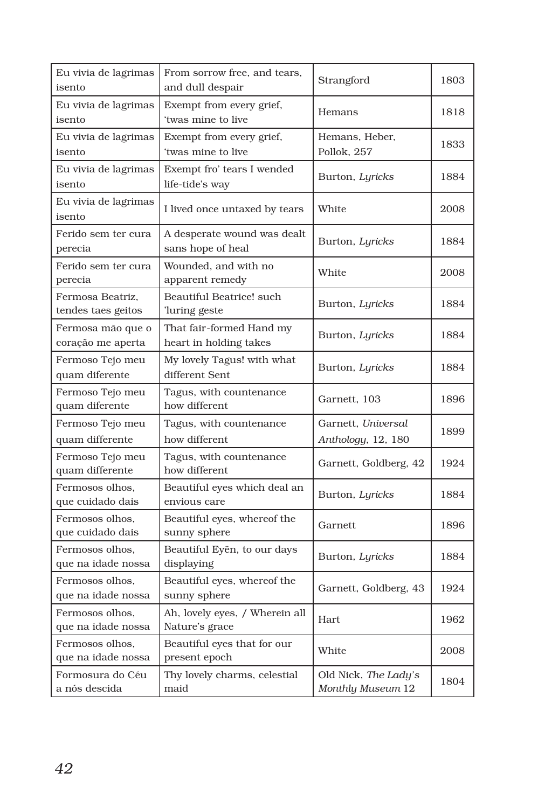| Eu vivia de lagrimas<br>isento         | From sorrow free, and tears,<br>and dull despair   | Strangford                                | 1803 |
|----------------------------------------|----------------------------------------------------|-------------------------------------------|------|
| Eu vivia de lagrimas<br>isento         | Exempt from every grief,<br>'twas mine to live     | Hemans                                    | 1818 |
| Eu vivia de lagrimas<br>isento         | Exempt from every grief,<br>'twas mine to live     | Hemans, Heber,<br>Pollok, 257             | 1833 |
| Eu vivia de lagrimas<br>isento         | Exempt fro' tears I wended<br>life-tide's way      | Burton, Lyricks                           | 1884 |
| Eu vivia de lagrimas<br>isento         | I lived once untaxed by tears                      | White                                     | 2008 |
| Ferido sem ter cura<br>perecia         | A desperate wound was dealt<br>sans hope of heal   | Burton, Lyricks                           | 1884 |
| Ferido sem ter cura<br>perecia         | Wounded, and with no<br>apparent remedy            | White                                     | 2008 |
| Fermosa Beatriz,<br>tendes taes geitos | Beautiful Beatrice! such<br>luring geste           | Burton, Lyricks                           | 1884 |
| Fermosa mão que o<br>coração me aperta | That fair-formed Hand my<br>heart in holding takes | Burton, Lyricks                           | 1884 |
| Fermoso Tejo meu<br>quam diferente     | My lovely Tagus! with what<br>different Sent       | Burton, Lyricks                           | 1884 |
| Fermoso Tejo meu<br>quam diferente     | Tagus, with countenance<br>how different           | Garnett, 103                              | 1896 |
| Fermoso Tejo meu<br>quam differente    | Tagus, with countenance<br>how different           | Garnett, Universal<br>Anthology, 12, 180  | 1899 |
| Fermoso Tejo meu<br>quam differente    | Tagus, with countenance<br>how different           | Garnett, Goldberg, 42                     | 1924 |
| Fermosos olhos,<br>que cuidado dais    | Beautiful eyes which deal an<br>envious care       | Burton, Lyricks                           | 1884 |
| Fermosos olhos.<br>que cuidado dais    | Beautiful eyes, whereof the<br>sunny sphere        | Garnett                                   | 1896 |
| Fermosos olhos.<br>que na idade nossa  | Beautiful Eyën, to our days<br>displaying          | Burton, Lyricks                           | 1884 |
| Fermosos olhos,<br>que na idade nossa  | Beautiful eyes, whereof the<br>sunny sphere        | Garnett, Goldberg, 43                     | 1924 |
| Fermosos olhos,<br>que na idade nossa  | Ah, lovely eyes, / Wherein all<br>Nature's grace   | Hart                                      | 1962 |
| Fermosos olhos,<br>que na idade nossa  | Beautiful eyes that for our<br>present epoch       | White                                     | 2008 |
| Formosura do Céu<br>a nós descida      | Thy lovely charms, celestial<br>maid               | Old Nick, The Lady's<br>Monthly Museum 12 | 1804 |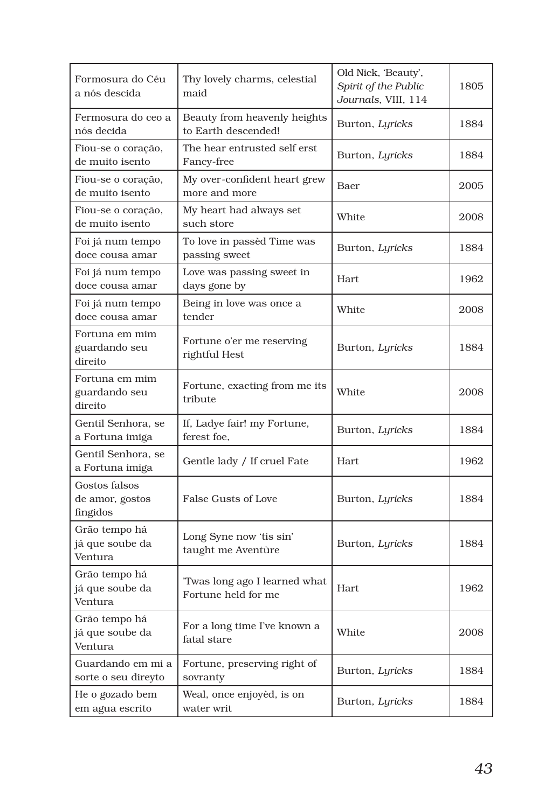| Formosura do Céu<br>a nós descida            | Thy lovely charms, celestial<br>maid                 | Old Nick, 'Beauty',<br>Spirit of the Public<br>Journals, VIII, 114 | 1805 |
|----------------------------------------------|------------------------------------------------------|--------------------------------------------------------------------|------|
| Fermosura do ceo a<br>nós decida             | Beauty from heavenly heights<br>to Earth descended!  | Burton, Lyricks                                                    | 1884 |
| Fiou-se o coração,<br>de muito isento        | The hear entrusted self erst<br>Fancy-free           | Burton, Lyricks                                                    | 1884 |
| Fiou-se o coração,<br>de muito isento        | My over-confident heart grew<br>more and more        | Baer                                                               | 2005 |
| Fiou-se o coração,<br>de muito isento        | My heart had always set<br>such store                | White                                                              | 2008 |
| Foi já num tempo<br>doce cousa amar          | To love in passèd Time was<br>passing sweet          | Burton, Lyricks                                                    | 1884 |
| Foi já num tempo<br>doce cousa amar          | Love was passing sweet in<br>days gone by            | Hart                                                               | 1962 |
| Foi já num tempo<br>doce cousa amar          | Being in love was once a<br>tender                   | White                                                              | 2008 |
| Fortuna em mim<br>guardando seu<br>direito   | Fortune o'er me reserving<br>rightful Hest           | Burton, Lyricks                                                    | 1884 |
| Fortuna em mim<br>guardando seu<br>direito   | Fortune, exacting from me its<br>tribute             | White                                                              | 2008 |
| Gentil Senhora, se<br>a Fortuna imiga        | If, Ladye fair! my Fortune,<br>ferest foe.           | Burton, Lyricks                                                    | 1884 |
| Gentil Senhora, se<br>a Fortuna imiga        | Gentle lady / If cruel Fate                          | Hart                                                               | 1962 |
| Gostos falsos<br>de amor, gostos<br>fingidos | False Gusts of Love                                  | Burton, Lyricks                                                    | 1884 |
| Grão tempo há<br>já que soube da<br>Ventura  | Long Syne now 'tis sin'<br>taught me Aventùre        | Burton, Lyricks                                                    | 1884 |
| Grão tempo há<br>já que soube da<br>Ventura  | 'Twas long ago I learned what<br>Fortune held for me | Hart                                                               | 1962 |
| Grão tempo há<br>já que soube da<br>Ventura  | For a long time I've known a<br>fatal stare          | White                                                              | 2008 |
| Guardando em mi a<br>sorte o seu direyto     | Fortune, preserving right of<br>sovranty             | Burton, Lyricks                                                    | 1884 |
| He o gozado bem<br>em agua escrito           | Weal, once enjoyèd, is on<br>water writ              | Burton, Lyricks                                                    | 1884 |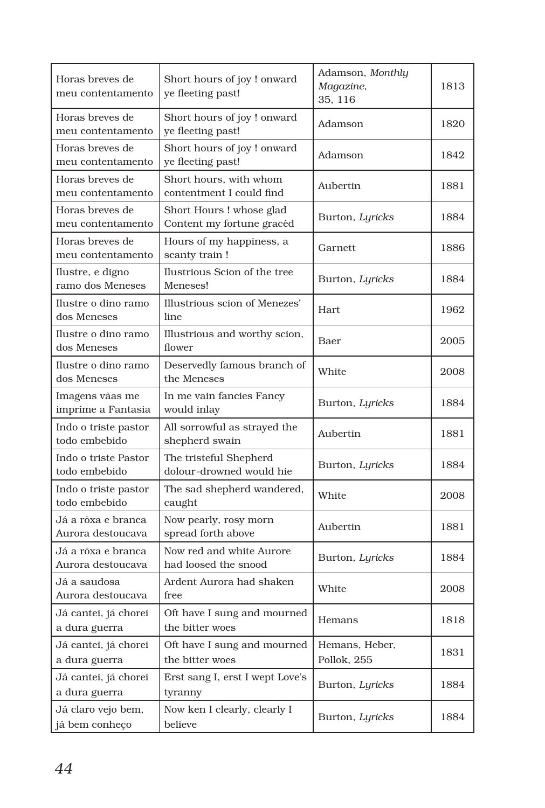| Horas breves de<br>meu contentamento    | Short hours of joy ! onward<br>ye fleeting past!     | Adamson, Monthly<br>Magazine,<br>35, 116 | 1813 |
|-----------------------------------------|------------------------------------------------------|------------------------------------------|------|
| Horas breves de<br>meu contentamento    | Short hours of joy ! onward<br>ye fleeting past!     | Adamson                                  | 1820 |
| Horas breves de<br>meu contentamento    | Short hours of joy ! onward<br>ye fleeting past!     | Adamson                                  | 1842 |
| Horas breves de<br>meu contentamento    | Short hours, with whom<br>contentment I could find   | Aubertin                                 | 1881 |
| Horas breves de<br>meu contentamento    | Short Hours! whose glad<br>Content my fortune gracèd | Burton, Lyricks                          | 1884 |
| Horas breves de<br>meu contentamento    | Hours of my happiness, a<br>scanty train!            | Garnett                                  | 1886 |
| Ilustre, e digno<br>ramo dos Meneses    | Ilustrious Scion of the tree<br>Meneses!             | Burton, Lyricks                          | 1884 |
| Ilustre o dino ramo<br>dos Meneses      | Illustrious scion of Menezes'<br>line                | Hart.                                    | 1962 |
| Ilustre o dino ramo<br>dos Meneses      | Illustrious and worthy scion,<br>flower              | Baer                                     | 2005 |
| Ilustre o dino ramo<br>dos Meneses      | Deservedly famous branch of<br>the Meneses           | White                                    | 2008 |
| Imagens vãas me<br>impríme a Fantasia   | In me vain fancies Fancy<br>would inlay              | Burton, Lyricks                          | 1884 |
| Indo o triste pastor<br>todo embebido   | All sorrowful as strayed the<br>shepherd swain       | Aubertin                                 | 1881 |
| Indo o triste Pastor<br>todo embebido   | The tristeful Shepherd<br>dolour-drowned would hie   | Burton, Lyricks                          | 1884 |
| Indo o triste pastor<br>todo embebido   | The sad shepherd wandered,<br>caught                 | White                                    | 2008 |
| Já a rôxa e branca<br>Aurora destoucava | Now pearly, rosy morn<br>spread forth above          | Aubertin                                 | 1881 |
| Já a rôxa e branca<br>Aurora destoucava | Now red and white Aurore<br>had loosed the snood     | Burton, Lyricks                          | 1884 |
| Já a saudosa<br>Aurora destoucava       | Ardent Aurora had shaken<br>free                     | White                                    | 2008 |
| Já cantei, já chorei<br>a dura guerra   | Oft have I sung and mourned<br>the bitter woes       | Hemans                                   | 1818 |
| Já cantei, já chorei<br>a dura guerra   | Oft have I sung and mourned<br>the bitter woes       | Hemans, Heber,<br>Pollok, 255            | 1831 |
| Já cantei, já chorei<br>a dura guerra   | Erst sang I, erst I wept Love's<br>tyranny           | Burton, Lyricks                          | 1884 |
| Já claro vejo bem,<br>já bem conheço    | Now ken I clearly, clearly I<br>believe              | Burton, Lyricks                          | 1884 |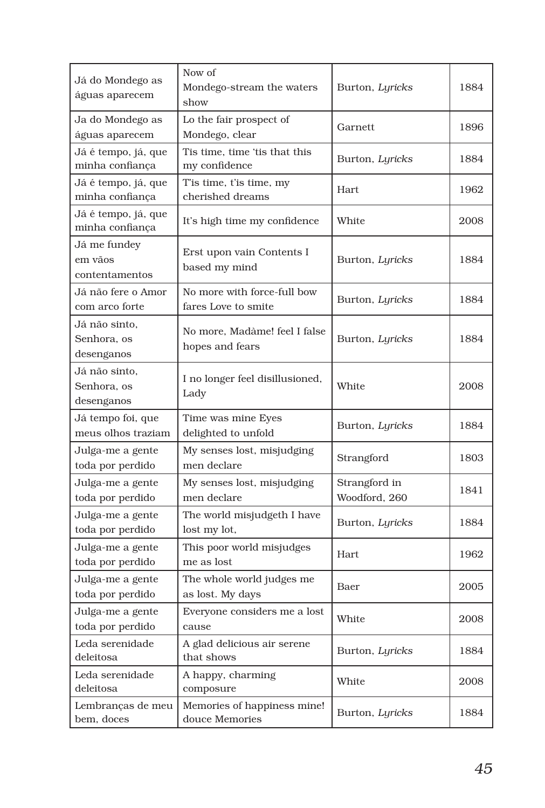| Já do Mondego as<br>águas aparecem         | Now of<br>Mondego-stream the waters<br>show        | Burton, Lyricks                | 1884 |
|--------------------------------------------|----------------------------------------------------|--------------------------------|------|
| Ja do Mondego as<br>águas aparecem         | Lo the fair prospect of<br>Mondego, clear          | Garnett                        | 1896 |
| Já é tempo, já, que<br>minha confiança     | Tis time, time 'tis that this<br>my confidence     | Burton, Lyricks                | 1884 |
| Já é tempo, já, que<br>minha confiança     | T'is time, t'is time, my<br>cherished dreams       | Hart                           | 1962 |
| Já é tempo, já, que<br>minha confiança     | It's high time my confidence                       | White                          | 2008 |
| Já me fundey<br>em vãos<br>contentamentos  | Erst upon vain Contents I<br>based my mind         | Burton, Lyricks                | 1884 |
| Já não fere o Amor<br>com arco forte       | No more with force-full bow<br>fares Love to smite | Burton, Lyricks                | 1884 |
| Já não sinto,<br>Senhora, os<br>desenganos | No more, Madàme! feel I false<br>hopes and fears   | Burton, Lyricks                | 1884 |
| Já não sinto.<br>Senhora, os<br>desenganos | I no longer feel disillusioned,<br>Lady            | White                          | 2008 |
| Já tempo foi, que<br>meus olhos traziam    | Time was mine Eyes<br>delighted to unfold          | Burton, Lyricks                | 1884 |
| Julga-me a gente<br>toda por perdido       | My senses lost, misjudging<br>men declare          | Strangford                     | 1803 |
| Julga-me a gente<br>toda por perdido       | My senses lost, misjudging<br>men declare          | Strangford in<br>Woodford, 260 | 1841 |
| Julga-me a gente<br>toda por perdido       | The world misjudgeth I have<br>lost my lot,        | Burton, Lyricks                | 1884 |
| Julga-me a gente<br>toda por perdido       | This poor world misjudges<br>me as lost            | Hart                           | 1962 |
| Julga-me a gente<br>toda por perdido       | The whole world judges me<br>as lost. My days      | Baer                           | 2005 |
| Julga-me a gente<br>toda por perdido       | Everyone considers me a lost<br>cause              | White                          | 2008 |
| Leda serenidade<br>deleitosa               | A glad delicious air serene<br>that shows          | Burton, Lyricks                | 1884 |
| Leda serenidade<br>deleitosa               | A happy, charming<br>composure                     | White                          | 2008 |
| Lembranças de meu<br>bem, doces            | Memories of happiness mine!<br>douce Memories      | Burton, Lyricks                | 1884 |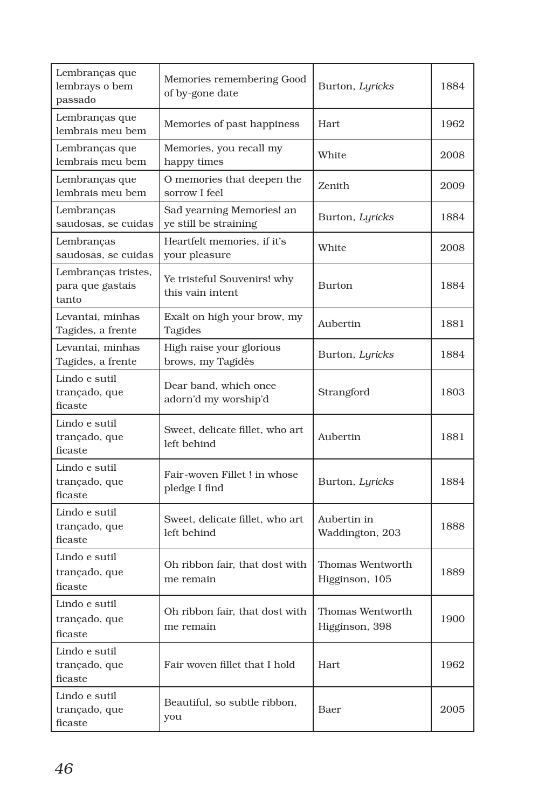| Lembranças que<br>lembrays o bem<br>passado      | Memories remembering Good<br>of by-gone date       | Burton, Lyricks                    | 1884 |
|--------------------------------------------------|----------------------------------------------------|------------------------------------|------|
| Lembranças que<br>lembrais meu bem               | Memories of past happiness                         | Hart                               | 1962 |
| Lembranças que<br>lembrais meu bem               | Memories, you recall my<br>happy times             | White                              | 2008 |
| Lembranças que<br>lembrais meu bem               | O memories that deepen the<br>sorrow I feel        | Zenith                             | 2009 |
| Lembranças<br>saudosas, se cuidas                | Sad yearning Memories! an<br>ye still be straining | Burton, Lyricks                    | 1884 |
| Lembranças<br>saudosas, se cuidas                | Heartfelt memories, if it's<br>your pleasure       | White                              | 2008 |
| Lembranças tristes,<br>para que gastais<br>tanto | Ye tristeful Souvenirs! why<br>this vain intent    | Burton                             | 1884 |
| Levantai, minhas<br>Tagides, a frente            | Exalt on high your brow, my<br>Tagides             | Aubertin                           | 1881 |
| Levantai, minhas<br>Tagides, a frente            | High raise your glorious<br>brows, my Tagidès      | Burton, Lyricks                    | 1884 |
| Lindo e sutil<br>trançado, que<br>ficaste        | Dear band, which once<br>adorn'd my worship'd      | Strangford                         | 1803 |
| Lindo e sutil<br>trançado, que<br>ficaste        | Sweet, delicate fillet, who art<br>left behind     | Aubertin                           | 1881 |
| Lindo e sutil<br>trançado, que<br>ficaste        | Fair-woven Fillet ! in whose<br>pledge I find      | Burton, Lyricks                    | 1884 |
| Lindo e sutil<br>trançado, que<br>ficaste        | Sweet, delicate fillet, who art<br>left behind     | Aubertin in<br>Waddington, 203     | 1888 |
| Lindo e sutil<br>trançado, que<br>ficaste        | Oh ribbon fair, that dost with<br>me remain        | Thomas Wentworth<br>Higginson, 105 | 1889 |
| Lindo e sutil<br>trançado, que<br>ficaste        | Oh ribbon fair, that dost with<br>me remain        | Thomas Wentworth<br>Higginson, 398 | 1900 |
| Lindo e sutil<br>trançado, que<br>ficaste        | Fair woven fillet that I hold                      | Hart                               | 1962 |
| Lindo e sutil<br>trançado, que<br>ficaste        | Beautiful, so subtle ribbon,<br>you                | Baer                               | 2005 |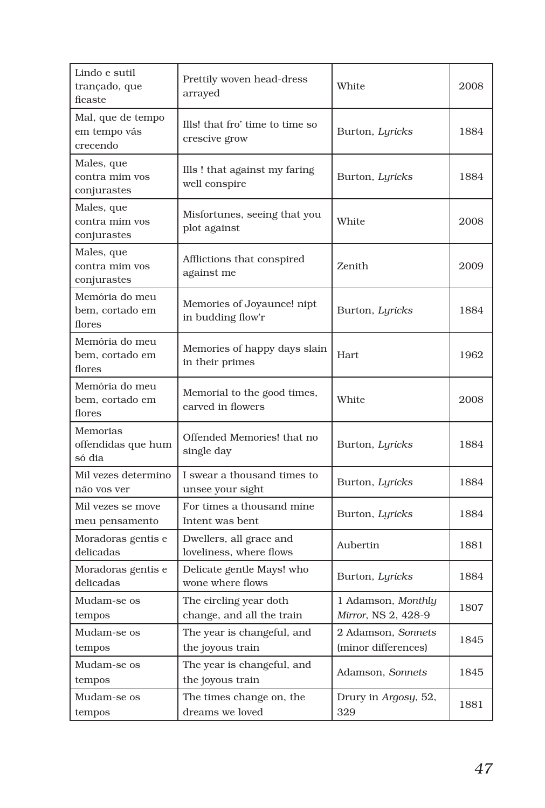| Lindo e sutil<br>trançado, que<br>ficaste     | Prettily woven head-dress<br>arrayed                | White                                     | 2008 |
|-----------------------------------------------|-----------------------------------------------------|-------------------------------------------|------|
| Mal, que de tempo<br>em tempo vás<br>crecendo | Ills! that fro' time to time so<br>crescive grow    | Burton, Lyricks                           | 1884 |
| Males, que<br>contra mim vos<br>conjurastes   | Ills! that against my faring<br>well conspire       | Burton, Lyricks                           | 1884 |
| Males, que<br>contra mim vos<br>conjurastes   | Misfortunes, seeing that you<br>plot against        | White                                     | 2008 |
| Males, que<br>contra mim vos<br>conjurastes   | Afflictions that conspired<br>against me            | Zenith                                    | 2009 |
| Memória do meu<br>bem, cortado em<br>flores   | Memories of Joyaunce! nipt<br>in budding flow'r     | Burton, Lyricks                           | 1884 |
| Memória do meu<br>bem, cortado em<br>flores   | Memories of happy days slain<br>in their primes     | Hart                                      | 1962 |
| Memória do meu<br>bem, cortado em<br>flores   | Memorial to the good times,<br>carved in flowers    | White                                     | 2008 |
| Memorias<br>offendidas que hum<br>só dia      | Offended Memories! that no<br>single day            | Burton, Lyricks                           | 1884 |
| Mil vezes determino<br>não vos ver            | I swear a thousand times to<br>unsee your sight     | Burton, Lyricks                           | 1884 |
| Mil vezes se move<br>meu pensamento           | For times a thousand mine<br>Intent was bent        | Burton, Lyricks                           | 1884 |
| Moradoras gentis e<br>delicadas               | Dwellers, all grace and<br>loveliness, where flows  | Aubertin                                  | 1881 |
| Moradoras gentis e<br>delicadas               | Delicate gentle Mays! who<br>wone where flows       | Burton, Lyricks                           | 1884 |
| Mudam-se os<br>tempos                         | The circling year doth<br>change, and all the train | 1 Adamson, Monthly<br>Mirror, NS 2, 428-9 | 1807 |
| Mudam-se os<br>tempos                         | The year is changeful, and<br>the joyous train      | 2 Adamson, Sonnets<br>(minor differences) | 1845 |
| Mudam-se os<br>tempos                         | The year is changeful, and<br>the joyous train      | Adamson, Sonnets                          | 1845 |
| Mudam-se os<br>tempos                         | The times change on, the<br>dreams we loved         | Drury in Argosy, 52,<br>329               | 1881 |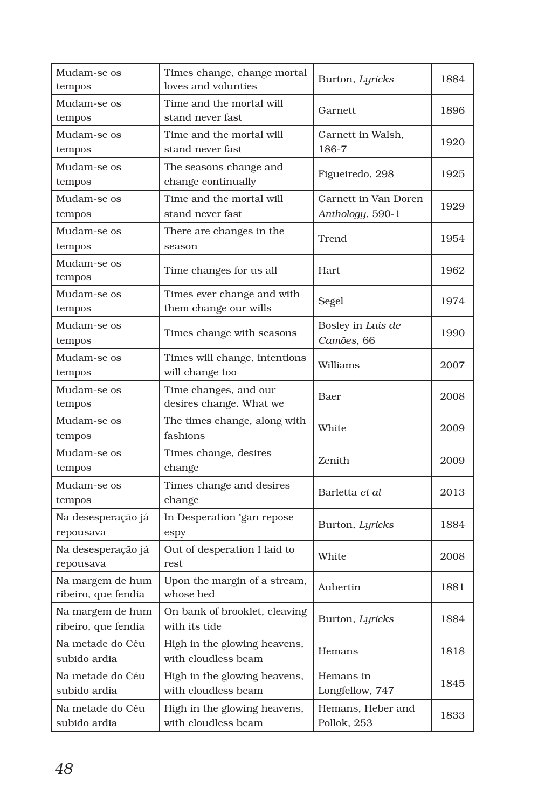| Mudam-se os<br>tempos                   | Times change, change mortal<br>loves and volunties  | Burton, Lyricks                          | 1884 |
|-----------------------------------------|-----------------------------------------------------|------------------------------------------|------|
| Mudam-se os<br>tempos                   | Time and the mortal will<br>stand never fast        | Garnett                                  | 1896 |
| Mudam-se os<br>tempos                   | Time and the mortal will<br>stand never fast        | Garnett in Walsh,<br>186-7               | 1920 |
| Mudam-se os<br>tempos                   | The seasons change and<br>change continually        | Figueiredo, 298                          | 1925 |
| Mudam-se os<br>tempos                   | Time and the mortal will<br>stand never fast        | Garnett in Van Doren<br>Anthology, 590-1 | 1929 |
| Mudam-se os<br>tempos                   | There are changes in the<br>season                  | Trend                                    | 1954 |
| Mudam-se os<br>tempos                   | Time changes for us all                             | Hart                                     | 1962 |
| Mudam-se os<br>tempos                   | Times ever change and with<br>them change our wills | Segel                                    | 1974 |
| Mudam-se os<br>tempos                   | Times change with seasons                           | Bosley in Luís de<br>Camões, 66          | 1990 |
| Mudam-se os<br>tempos                   | Times will change, intentions<br>will change too    | Williams                                 | 2007 |
| Mudam-se os<br>tempos                   | Time changes, and our<br>desires change. What we    | Baer                                     | 2008 |
| Mudam-se os<br>tempos                   | The times change, along with<br>fashions            | White                                    | 2009 |
| Mudam-se os<br>tempos                   | Times change, desires<br>change                     | Zenith                                   | 2009 |
| Mudam-se os<br>tempos                   | Times change and desires<br>change                  | Barletta et al                           | 2013 |
| Na desesperação já<br>repousava         | In Desperation 'gan repose<br>espy                  | Burton, Lyricks                          | 1884 |
| Na desesperação já<br>repousava         | Out of desperation I laid to<br>rest                | White                                    | 2008 |
| Na margem de hum<br>ribeiro, que fendia | Upon the margin of a stream,<br>whose bed           | Aubertin                                 | 1881 |
| Na margem de hum<br>ribeiro, que fendia | On bank of brooklet, cleaving<br>with its tide      | Burton, Lyricks                          | 1884 |
| Na metade do Céu<br>subido ardia        | High in the glowing heavens,<br>with cloudless beam | Hemans                                   | 1818 |
| Na metade do Céu<br>subido ardia        | High in the glowing heavens,<br>with cloudless beam | Hemans in<br>Longfellow, 747             | 1845 |
| Na metade do Céu<br>subido ardia        | High in the glowing heavens,<br>with cloudless beam | Hemans, Heber and<br>Pollok, 253         | 1833 |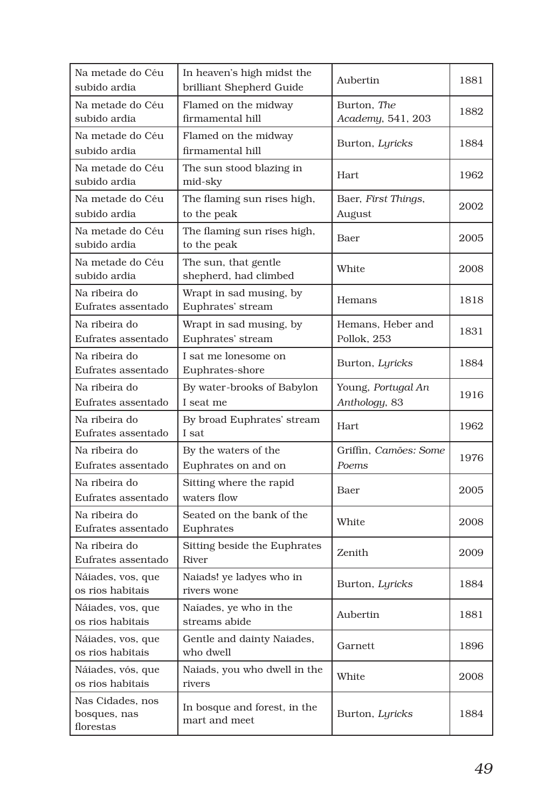| Na metade do Céu<br>subido ardia              | In heaven's high midst the<br>brilliant Shepherd Guide | Aubertin                            | 1881 |
|-----------------------------------------------|--------------------------------------------------------|-------------------------------------|------|
| Na metade do Céu<br>subido ardia              | Flamed on the midway<br>firmamental hill               | Burton, The<br>Academy, 541, 203    | 1882 |
| Na metade do Céu<br>subido ardia              | Flamed on the midway<br>firmamental hill               | Burton, Lyricks                     | 1884 |
| Na metade do Céu<br>subido ardia              | The sun stood blazing in<br>mid-sky                    | Hart                                | 1962 |
| Na metade do Céu<br>subido ardia              | The flaming sun rises high,<br>to the peak             | Baer, First Things,<br>August       | 2002 |
| Na metade do Céu<br>subido ardia              | The flaming sun rises high,<br>to the peak             | Baer                                | 2005 |
| Na metade do Céu<br>subido ardia              | The sun, that gentle<br>shepherd, had climbed          | White                               | 2008 |
| Na ribeira do<br>Eufrates assentado           | Wrapt in sad musing, by<br>Euphrates' stream           | Hemans                              | 1818 |
| Na ribeira do<br>Eufrates assentado           | Wrapt in sad musing, by<br>Euphrates' stream           | Hemans, Heber and<br>Pollok, 253    | 1831 |
| Na ribeira do<br>Eufrates assentado           | I sat me lonesome on<br>Euphrates-shore                | Burton, Lyricks                     | 1884 |
| Na ribeira do<br>Eufrates assentado           | By water-brooks of Babylon<br>I seat me                | Young, Portugal An<br>Anthology, 83 | 1916 |
| Na ribeira do<br>Eufrates assentado           | By broad Euphrates' stream<br>I sat                    | <b>Hart</b>                         | 1962 |
| Na ribeira do<br>Eufrates assentado           | By the waters of the<br>Euphrates on and on            | Griffin. Camões: Some<br>Poems      | 1976 |
| Na ribeira do<br>Eufrates assentado           | Sitting where the rapid<br>waters flow                 | Baer                                | 2005 |
| Na ribeira do<br>Eufrates assentado           | Seated on the bank of the<br>Euphrates                 | White                               | 2008 |
| Na ribeira do<br>Eufrates assentado           | Sitting beside the Euphrates<br>River                  | Zenith                              | 2009 |
| Náiades, vos, que<br>os rios habitais         | Naiads! ye ladyes who in<br>rivers wone                | Burton, Lyricks                     | 1884 |
| Náiades, vos, que<br>os rios habitais         | Naíades, ye who in the<br>streams abide                | Aubertin                            | 1881 |
| Náiades, vos, que<br>os rios habitais         | Gentle and dainty Naiades,<br>who dwell                | Garnett                             | 1896 |
| Náiades, vós, que<br>os rios habitais         | Naiads, you who dwell in the<br>rivers                 | White                               | 2008 |
| Nas Cidades, nos<br>bosques, nas<br>florestas | In bosque and forest, in the<br>mart and meet          | Burton, Lyricks                     | 1884 |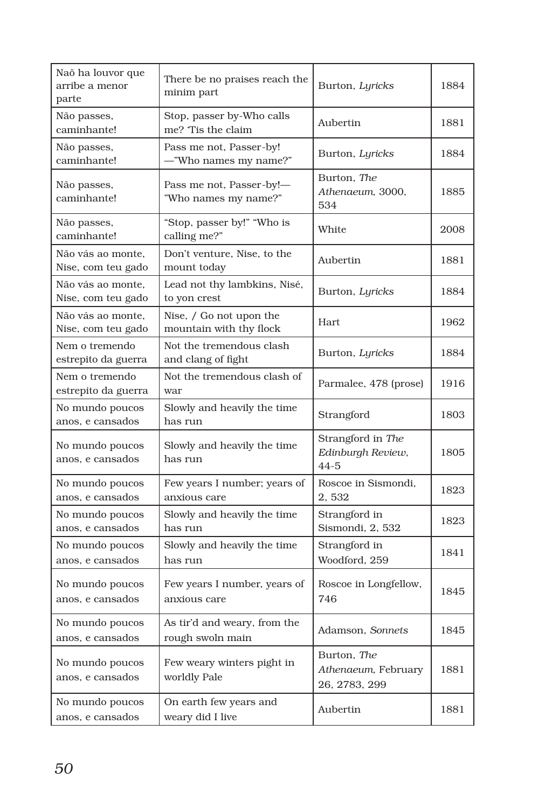| Naõ ha louvor que<br>arribe a menor<br>parte | There be no praises reach the<br>minim part        | Burton, Lyricks                                     | 1884 |
|----------------------------------------------|----------------------------------------------------|-----------------------------------------------------|------|
| Não passes,<br>caminhante!                   | Stop, passer by-Who calls<br>me? Tis the claim     | Aubertin                                            | 1881 |
| Não passes,<br>caminhante!                   | Pass me not, Passer-by!<br>-"Who names my name?"   | Burton, Lyricks                                     | 1884 |
| Não passes,<br>caminhante!                   | Pass me not, Passer-by!-<br>"Who names my name?"   | Burton, The<br>Athenaeum, 3000,<br>534              | 1885 |
| Não passes,<br>caminhante!                   | "Stop, passer by!" "Who is<br>calling me?"         | White                                               | 2008 |
| Não vás ao monte.<br>Nise, com teu gado      | Don't venture, Nise, to the<br>mount today         | Aubertin                                            | 1881 |
| Não vás ao monte,<br>Nise, com teu gado      | Lead not thy lambkins, Nisé,<br>to yon crest       | Burton, Lyricks                                     | 1884 |
| Não vás ao monte,<br>Nise, com teu gado      | Nise, / Go not upon the<br>mountain with thy flock | Hart.                                               | 1962 |
| Nem o tremendo<br>estrepito da guerra        | Not the tremendous clash<br>and clang of fight     | Burton, Lyricks                                     | 1884 |
| Nem o tremendo<br>estrepito da guerra        | Not the tremendous clash of<br>war                 | Parmalee, 478 (prose)                               | 1916 |
| No mundo poucos<br>anos, e cansados          | Slowly and heavily the time<br>has run             | Strangford                                          | 1803 |
| No mundo poucos<br>anos, e cansados          | Slowly and heavily the time<br>has run             | Strangford in The<br>Edinburgh Review,<br>$44 - 5$  | 1805 |
| No mundo poucos<br>anos, e cansados          | Few years I number; years of<br>anxious care       | Roscoe in Sismondi,<br>2,532                        | 1823 |
| No mundo poucos<br>anos, e cansados          | Slowly and heavily the time<br>has run             | Strangford in<br>Sismondi, 2, 532                   | 1823 |
| No mundo poucos<br>anos, e cansados          | Slowly and heavily the time<br>has run             | Strangford in<br>Woodford, 259                      | 1841 |
| No mundo poucos<br>anos, e cansados          | Few years I number, years of<br>anxious care       | Roscoe in Longfellow,<br>746                        | 1845 |
| No mundo poucos<br>anos, e cansados          | As tir'd and weary, from the<br>rough swoln main   | Adamson, Sonnets                                    | 1845 |
| No mundo poucos<br>anos, e cansados          | Few weary winters pight in<br>worldly Pale         | Burton, The<br>Athenaeum, February<br>26, 2783, 299 | 1881 |
| No mundo poucos<br>anos, e cansados          | On earth few years and<br>weary did I live         | Aubertin                                            | 1881 |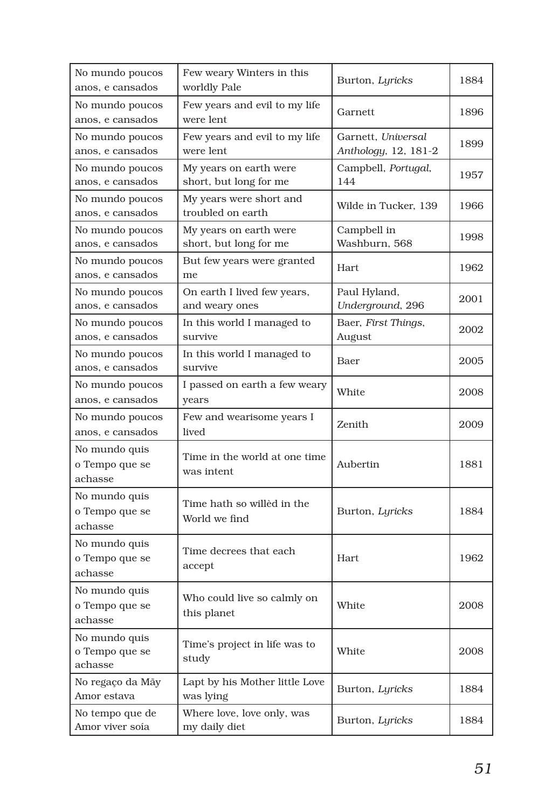| No mundo poucos<br>anos, e cansados        | Few weary Winters in this<br>worldly Pale        | Burton, Lyricks                            | 1884 |
|--------------------------------------------|--------------------------------------------------|--------------------------------------------|------|
| No mundo poucos<br>anos, e cansados        | Few years and evil to my life<br>were lent       | Garnett                                    | 1896 |
| No mundo poucos<br>anos, e cansados        | Few years and evil to my life<br>were lent       | Garnett, Universal<br>Anthology, 12, 181-2 | 1899 |
| No mundo poucos<br>anos, e cansados        | My years on earth were<br>short, but long for me | Campbell, Portugal,<br>144                 | 1957 |
| No mundo poucos<br>anos, e cansados        | My years were short and<br>troubled on earth     | Wilde in Tucker, 139                       | 1966 |
| No mundo poucos<br>anos, e cansados        | My years on earth were<br>short, but long for me | Campbell in<br>Washburn, 568               | 1998 |
| No mundo poucos<br>anos, e cansados        | But few years were granted<br>me                 | Hart                                       | 1962 |
| No mundo poucos<br>anos, e cansados        | On earth I lived few years,<br>and weary ones    | Paul Hyland,<br>Underground, 296           | 2001 |
| No mundo poucos<br>anos, e cansados        | In this world I managed to<br>survive            | Baer, First Things,<br>August              | 2002 |
| No mundo poucos<br>anos, e cansados        | In this world I managed to<br>survive            | Baer                                       | 2005 |
| No mundo poucos<br>anos, e cansados        | I passed on earth a few weary<br>years           | White                                      | 2008 |
| No mundo poucos<br>anos, e cansados        | Few and wearisome years I<br>lived               | Zenith                                     | 2009 |
| No mundo quis<br>o Tempo que se<br>achasse | Time in the world at one time<br>was intent      | Aubertin                                   | 1881 |
| No mundo quis<br>o Tempo que se<br>achasse | Time hath so willèd in the<br>World we find      | Burton, Lyricks                            | 1884 |
| No mundo quis<br>o Tempo que se<br>achasse | Time decrees that each<br>accept                 | Hart                                       | 1962 |
| No mundo quis<br>o Tempo que se<br>achasse | Who could live so calmly on<br>this planet       | White                                      | 2008 |
| No mundo quis<br>o Tempo que se<br>achasse | Time's project in life was to<br>study           | White                                      | 2008 |
| No regaço da Mãy<br>Amor estava            | Lapt by his Mother little Love<br>was lying      | Burton, Lyricks                            | 1884 |
| No tempo que de<br>Amor viver soía         | Where love, love only, was<br>my daily diet      | Burton, Lyricks                            | 1884 |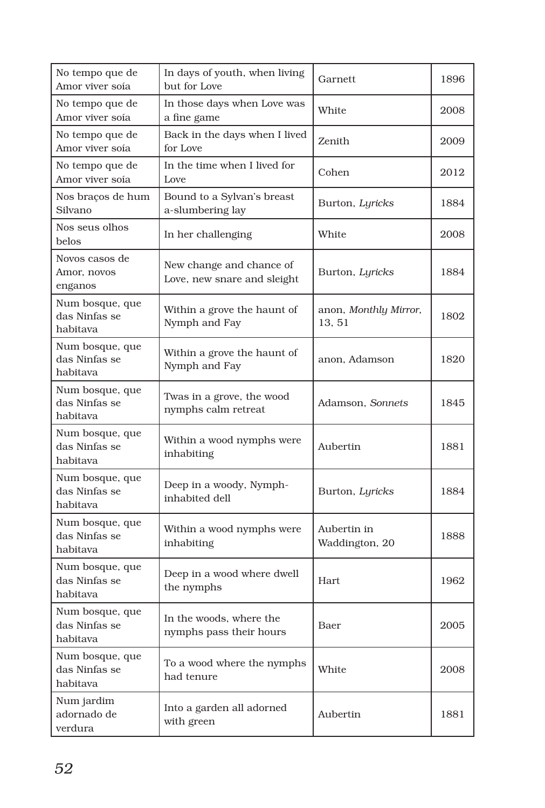| No tempo que de<br>Amor viver soía           | In days of youth, when living<br>but for Love           | Garnett                                 | 1896 |
|----------------------------------------------|---------------------------------------------------------|-----------------------------------------|------|
| No tempo que de<br>Amor viver soía           | In those days when Love was<br>a fine game              | White                                   | 2008 |
| No tempo que de<br>Amor viver soía           | Back in the days when I lived<br>for Love               | Zenith                                  | 2009 |
| No tempo que de<br>Amor viver soía           | In the time when I lived for<br>Love                    | Cohen                                   | 2012 |
| Nos bracos de hum<br>Silvano                 | Bound to a Sylvan's breast<br>a-slumbering lay          | Burton, Lyricks                         | 1884 |
| Nos seus olhos<br>belos                      | In her challenging                                      | White                                   | 2008 |
| Novos casos de<br>Amor, novos<br>enganos     | New change and chance of<br>Love, new snare and sleight | Burton, Lyricks                         | 1884 |
| Num bosque, que<br>das Ninfas se<br>habitava | Within a grove the haunt of<br>Nymph and Fay            | anon, <i>Monthly Mirror</i> ,<br>13, 51 | 1802 |
| Num bosque, que<br>das Ninfas se<br>habitava | Within a grove the haunt of<br>Nymph and Fay            | anon. Adamson                           | 1820 |
| Num bosque, que<br>das Ninfas se<br>habitava | Twas in a grove, the wood<br>nymphs calm retreat        | Adamson, Sonnets                        | 1845 |
| Num bosque, que<br>das Ninfas se<br>habitava | Within a wood nymphs were<br>inhabiting                 | Aubertin                                | 1881 |
| Num bosque, que<br>das Ninfas se<br>habitava | Deep in a woody, Nymph-<br>inhabited dell               | Burton, Lyricks                         | 1884 |
| Num bosque, que<br>das Ninfas se<br>habitava | Within a wood nymphs were<br>inhabiting                 | Aubertin in<br>Waddington, 20           | 1888 |
| Num bosque, que<br>das Ninfas se<br>habitava | Deep in a wood where dwell<br>the nymphs                | Hart                                    | 1962 |
| Num bosque, que<br>das Ninfas se<br>habitava | In the woods, where the<br>nymphs pass their hours      | Baer                                    | 2005 |
| Num bosque, que<br>das Ninfas se<br>habitava | To a wood where the nymphs<br>had tenure                | White                                   | 2008 |
| Num jardim<br>adornado de<br>verdura         | Into a garden all adorned<br>with green                 | Aubertin                                | 1881 |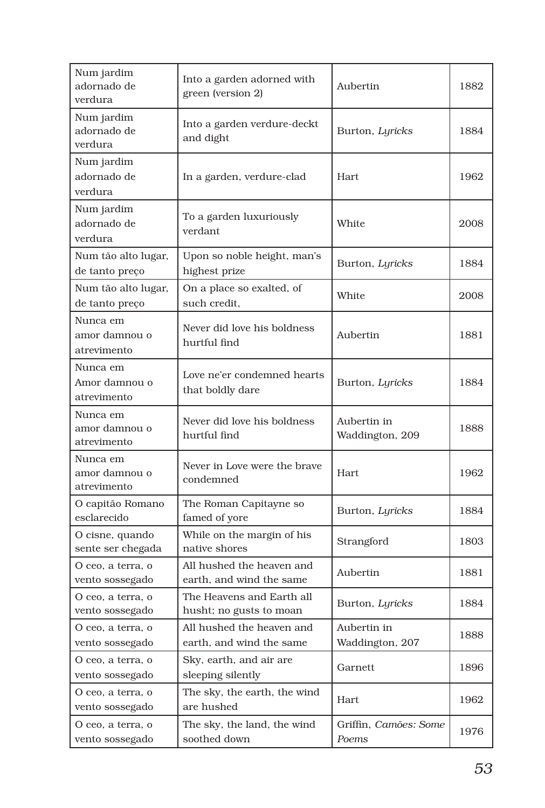| Num jardim<br>adornado de<br>verdura     | Into a garden adorned with<br>green (version 2)       | Aubertin                       | 1882 |
|------------------------------------------|-------------------------------------------------------|--------------------------------|------|
| Num jardim<br>adornado de<br>verdura     | Into a garden verdure-deckt<br>and dight              | Burton, Lyricks                | 1884 |
| Num jardim<br>adornado de<br>verdura     | In a garden, verdure-clad                             | Hart                           | 1962 |
| Num jardim<br>adornado de<br>verdura     | To a garden luxuriously<br>verdant                    | White                          | 2008 |
| Num tão alto lugar,<br>de tanto preço    | Upon so noble height, man's<br>highest prize          | Burton, Lyricks                | 1884 |
| Num tão alto lugar,<br>de tanto preço    | On a place so exalted, of<br>such credit.             | White                          | 2008 |
| Nunca em<br>amor damnou o<br>atrevimento | Never did love his boldness<br>hurtful find           | Aubertin                       | 1881 |
| Nunca em<br>Amor damnou o<br>atrevimento | Love ne'er condemned hearts<br>that boldly dare       | Burton, Lyricks                | 1884 |
| Nunca em<br>amor damnou o<br>atrevimento | Never did love his boldness<br>hurtful find           | Aubertin in<br>Waddington, 209 | 1888 |
| Nunca em<br>amor damnou o<br>atrevimento | Never in Love were the brave<br>condemned             | <b>Hart</b>                    | 1962 |
| O capitão Romano<br>esclarecido          | The Roman Capitayne so<br>famed of yore               | Burton, Lyricks                | 1884 |
| O cisne, quando<br>sente ser chegada     | While on the margin of his<br>native shores           | Strangford                     | 1803 |
| O ceo, a terra, o<br>vento sossegado     | All hushed the heaven and<br>earth, and wind the same | Aubertin                       | 1881 |
| O ceo, a terra, o<br>vento sossegado     | The Heavens and Earth all<br>husht; no gusts to moan  | Burton, Lyricks                | 1884 |
| O ceo, a terra, o<br>vento sossegado     | All hushed the heaven and<br>earth, and wind the same | Aubertin in<br>Waddington, 207 | 1888 |
| O ceo, a terra, o<br>vento sossegado     | Sky, earth, and air are<br>sleeping silently          | Garnett                        | 1896 |
| O ceo, a terra, o<br>vento sossegado     | The sky, the earth, the wind<br>are hushed            | Hart                           | 1962 |
| O ceo, a terra, o<br>vento sossegado     | The sky, the land, the wind<br>soothed down           | Griffin, Camões: Some<br>Poems | 1976 |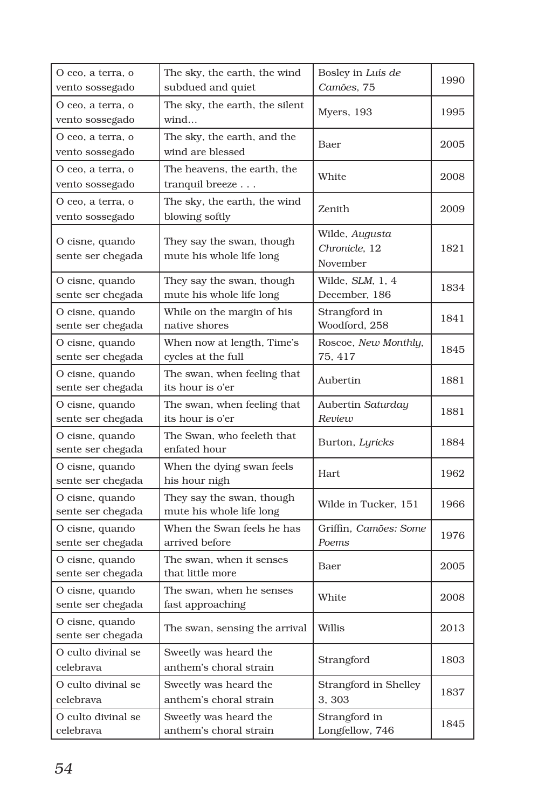| O ceo, a terra, o                    | The sky, the earth, the wind                          | Bosley in Luís de                           | 1990 |
|--------------------------------------|-------------------------------------------------------|---------------------------------------------|------|
| vento sossegado                      | subdued and quiet                                     | Camões, 75                                  |      |
| O ceo, a terra, o<br>vento sossegado | The sky, the earth, the silent<br>wind                | Myers, 193                                  | 1995 |
| O ceo, a terra, o<br>vento sossegado | The sky, the earth, and the<br>wind are blessed       | Baer                                        | 2005 |
| O ceo, a terra, o<br>vento sossegado | The heavens, the earth, the<br>tranquil breeze        | White                                       | 2008 |
| O ceo, a terra, o<br>vento sossegado | The sky, the earth, the wind<br>blowing softly        | Zenith                                      | 2009 |
| O cisne, quando<br>sente ser chegada | They say the swan, though<br>mute his whole life long | Wilde, Augusta<br>Chronicle, 12<br>November | 1821 |
| O cisne, quando<br>sente ser chegada | They say the swan, though<br>mute his whole life long | Wilde, SLM, 1, 4<br>December, 186           | 1834 |
| O cisne, quando<br>sente ser chegada | While on the margin of his<br>native shores           | Strangford in<br>Woodford, 258              | 1841 |
| O cisne, quando<br>sente ser chegada | When now at length, Time's<br>cycles at the full      | Roscoe, New Monthly,<br>75, 417             | 1845 |
| O cisne, quando<br>sente ser chegada | The swan, when feeling that<br>its hour is o'er       | Aubertin                                    | 1881 |
| O cisne, quando<br>sente ser chegada | The swan, when feeling that<br>its hour is o'er       | Aubertin Saturday<br>Review                 | 1881 |
| O cisne, quando<br>sente ser chegada | The Swan, who feeleth that<br>enfated hour            | Burton, Lyricks                             | 1884 |
| O cisne, quando<br>sente ser chegada | When the dying swan feels<br>his hour nigh            | Hart                                        | 1962 |
| O cisne, quando<br>sente ser chegada | They say the swan, though<br>mute his whole life long | Wilde in Tucker, 151                        | 1966 |
| O cisne, quando<br>sente ser chegada | When the Swan feels he has<br>arrived before          | Griffin, Camões: Some<br>Poems              | 1976 |
| O cisne, quando<br>sente ser chegada | The swan, when it senses<br>that little more          | Baer                                        | 2005 |
| O cisne, quando<br>sente ser chegada | The swan, when he senses<br>fast approaching          | White                                       | 2008 |
| O cisne, quando<br>sente ser chegada | The swan, sensing the arrival                         | Willis                                      | 2013 |
| O culto divinal se<br>celebrava      | Sweetly was heard the<br>anthem's choral strain       | Strangford                                  | 1803 |
| O culto divinal se<br>celebrava      | Sweetly was heard the<br>anthem's choral strain       | Strangford in Shelley<br>3,303              | 1837 |
| O culto divinal se<br>celebrava      | Sweetly was heard the<br>anthem's choral strain       | Strangford in<br>Longfellow, 746            | 1845 |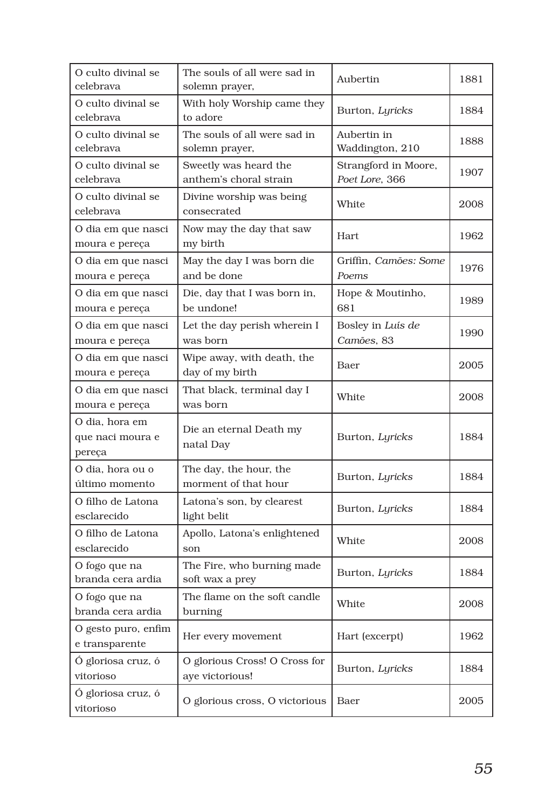| O culto divinal se<br>celebrava              | The souls of all were sad in<br>solemn prayer,   | Aubertin                               | 1881 |
|----------------------------------------------|--------------------------------------------------|----------------------------------------|------|
| O culto divinal se<br>celebrava              | With holy Worship came they<br>to adore          | Burton, Lyricks                        | 1884 |
| O culto divinal se<br>celebrava              | The souls of all were sad in<br>solemn prayer,   | Aubertin in<br>Waddington, 210         | 1888 |
| O culto divinal se<br>celebrava              | Sweetly was heard the<br>anthem's choral strain  | Strangford in Moore,<br>Poet Lore, 366 | 1907 |
| O culto divinal se<br>celebrava              | Divine worship was being<br>consecrated          | White                                  | 2008 |
| O dia em que nasci<br>moura e pereça         | Now may the day that saw<br>my birth             | Hart                                   | 1962 |
| O dia em que nasci<br>moura e pereça         | May the day I was born die<br>and be done        | Griffin, Camões: Some<br>Poems         | 1976 |
| O dia em que nasci<br>moura e pereça         | Die, day that I was born in,<br>be undone!       | Hope & Moutinho,<br>681                | 1989 |
| O dia em que nasci<br>moura e pereça         | Let the day perish wherein I<br>was born         | Bosley in Luís de<br>Camões, 83        | 1990 |
| O dia em que nasci<br>moura e pereça         | Wipe away, with death, the<br>day of my birth    | Baer                                   | 2005 |
| O dia em que nasci<br>moura e pereça         | That black, terminal day I<br>was born           | White                                  | 2008 |
| O dia, hora em<br>que naci moura e<br>pereça | Die an eternal Death my<br>natal Day             | Burton, Lyricks                        | 1884 |
| O dia, hora ou o<br>último momento           | The day, the hour, the<br>morment of that hour   | Burton, Lyricks                        | 1884 |
| O filho de Latona<br>esclarecido             | Latona's son, by clearest<br>light belit         | Burton, Lyricks                        | 1884 |
| O filho de Latona<br>esclarecido             | Apollo, Latona's enlightened<br>son              | White                                  | 2008 |
| O fogo que na<br>branda cera ardia           | The Fire, who burning made<br>soft wax a prey    | Burton, Lyricks                        | 1884 |
| O fogo que na<br>branda cera ardia           | The flame on the soft candle<br>burning          | White                                  | 2008 |
| O gesto puro, enfim<br>e transparente        | Her every movement                               | Hart (excerpt)                         | 1962 |
| Ó gloriosa cruz, ó<br>vitorioso              | O glorious Cross! O Cross for<br>aye victorious! | Burton, Lyricks                        | 1884 |
| Ó gloriosa cruz, ó<br>vitorioso              | O glorious cross, O victorious                   | Baer                                   | 2005 |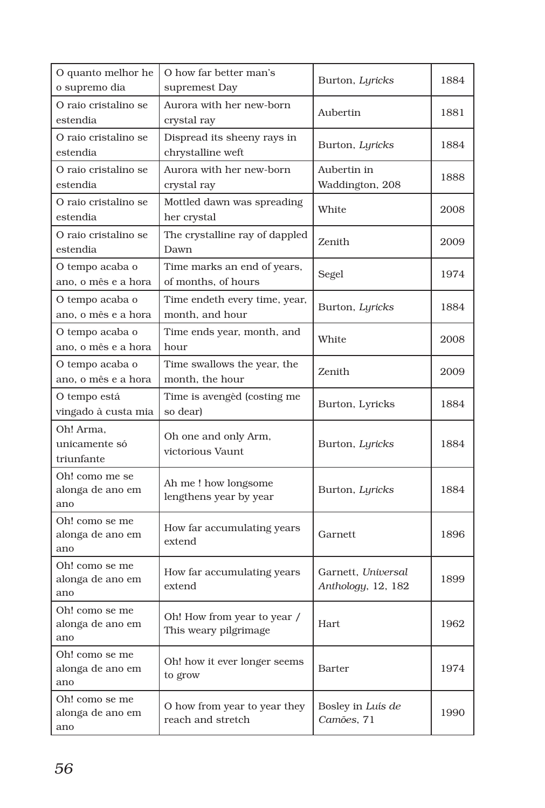| O quanto melhor he<br>o supremo dia       | O how far better man's<br>supremest Day              | Burton, Lyricks                          | 1884 |
|-------------------------------------------|------------------------------------------------------|------------------------------------------|------|
| O raio cristalino se<br>estendia          | Aurora with her new-born<br>crystal ray              | Aubertin                                 | 1881 |
| O raio cristalino se<br>estendia          | Dispread its sheeny rays in<br>chrystalline weft     | Burton, Lyricks                          | 1884 |
| O raio cristalino se<br>estendia          | Aurora with her new-born<br>crystal ray              | Aubertin in<br>Waddington, 208           | 1888 |
| O raio cristalino se<br>estendia          | Mottled dawn was spreading<br>her crystal            | White                                    | 2008 |
| O raio cristalino se<br>estendia          | The crystalline ray of dappled<br>Dawn               | Zenith                                   | 2009 |
| O tempo acaba o<br>ano, o mês e a hora    | Time marks an end of years,<br>of months, of hours   | Segel                                    | 1974 |
| O tempo acaba o<br>ano, o mês e a hora    | Time endeth every time, year,<br>month, and hour     | Burton, Lyricks                          | 1884 |
| O tempo acaba o<br>ano, o mês e a hora    | Time ends year, month, and<br>hour                   | White                                    | 2008 |
| O tempo acaba o<br>ano, o mês e a hora    | Time swallows the year, the<br>month, the hour       | Zenith                                   | 2009 |
| O tempo está<br>vingado à custa mia       | Time is avenged (costing me<br>so dear)              | Burton, Lyricks                          | 1884 |
| Oh! Arma,<br>unicamente só<br>triunfante  | Oh one and only Arm,<br>victorious Vaunt             | Burton, Lyricks                          | 1884 |
| Oh! como me se<br>alonga de ano em<br>ano | Ah me ! how longsome<br>lengthens year by year       | Burton, Lyricks                          | 1884 |
| Oh! como se me<br>alonga de ano em<br>ano | How far accumulating years<br>extend                 | Garnett                                  | 1896 |
| Oh! como se me<br>alonga de ano em<br>ano | How far accumulating years<br>extend                 | Garnett, Universal<br>Anthology, 12, 182 | 1899 |
| Oh! como se me<br>alonga de ano em<br>ano | Oh! How from year to year /<br>This weary pilgrimage | Hart                                     | 1962 |
| Oh! como se me<br>alonga de ano em<br>ano | Oh! how it ever longer seems<br>to grow              | Barter                                   | 1974 |
| Oh! como se me<br>alonga de ano em<br>ano | O how from year to year they<br>reach and stretch    | Bosley in Luís de<br>Camões, 71          | 1990 |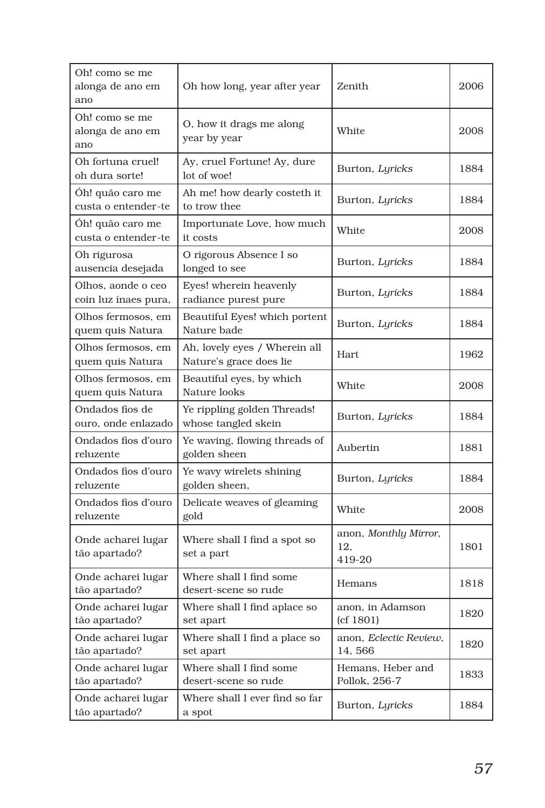| Oh! como se me<br>alonga de ano em<br>ano  | Oh how long, year after year                             | Zenith                                 | 2006 |
|--------------------------------------------|----------------------------------------------------------|----------------------------------------|------|
| Oh! como se me<br>alonga de ano em<br>ano  | O, how it drags me along<br>year by year                 | White                                  | 2008 |
| Oh fortuna cruel!<br>oh dura sorte!        | Ay, cruel Fortune! Ay, dure<br>lot of woe!               | Burton, Lyricks                        | 1884 |
| Oh! quão caro me<br>custa o entender-te    | Ah me! how dearly costeth it<br>to trow thee             | Burton, Lyricks                        | 1884 |
| Óh! quão caro me<br>custa o entender-te    | Importunate Love, how much<br>it costs                   | White                                  | 2008 |
| Oh rigurosa<br>ausencia desejada           | O rigorous Absence I so<br>longed to see                 | Burton, Lyricks                        | 1884 |
| Olhos, aonde o ceo<br>coin luz ínaes pura, | Eyes! wherein heavenly<br>radiance purest pure           | Burton, Lyricks                        | 1884 |
| Olhos fermosos, em<br>quem quis Natura     | Beautiful Eyes! which portent<br>Nature bade             | Burton, Lyricks                        | 1884 |
| Olhos fermosos, em<br>quem quis Natura     | Ah, lovely eyes / Wherein all<br>Nature's grace does lie | Hart                                   | 1962 |
| Olhos fermosos, em<br>quem quis Natura     | Beautiful eyes, by which<br>Nature looks                 | White                                  | 2008 |
| Ondados fios de<br>ouro, onde enlazado     | Ye rippling golden Threads!<br>whose tangled skein       | Burton, Lyricks                        | 1884 |
| Ondados fios d'ouro<br>reluzente           | Ye waving, flowing threads of<br>golden sheen            | Aubertin                               | 1881 |
| Ondados fios d'ouro<br>reluzente           | Ye wavy wirelets shining<br>golden sheen,                | Burton, Lyricks                        | 1884 |
| Ondados fios d'ouro<br>reluzente           | Delicate weaves of gleaming<br>gold                      | White                                  | 2008 |
| Onde acharei lugar<br>tão apartado?        | Where shall I find a spot so<br>set a part               | anon, Monthly Mirror,<br>12.<br>419-20 | 1801 |
| Onde acharei lugar<br>tão apartado?        | Where shall I find some<br>desert-scene so rude          | Hemans                                 | 1818 |
| Onde acharei lugar<br>tão apartado?        | Where shall I find aplace so<br>set apart                | anon, in Adamson<br>(cf 1801)          | 1820 |
| Onde acharei lugar<br>tão apartado?        | Where shall I find a place so<br>set apart               | anon, Eclectic Review,<br>14,566       | 1820 |
| Onde acharei lugar<br>tão apartado?        | Where shall I find some<br>desert-scene so rude          | Hemans, Heber and<br>Pollok, 256-7     | 1833 |
| Onde acharei lugar<br>tão apartado?        | Where shall I ever find so far<br>a spot                 | Burton, Lyricks                        | 1884 |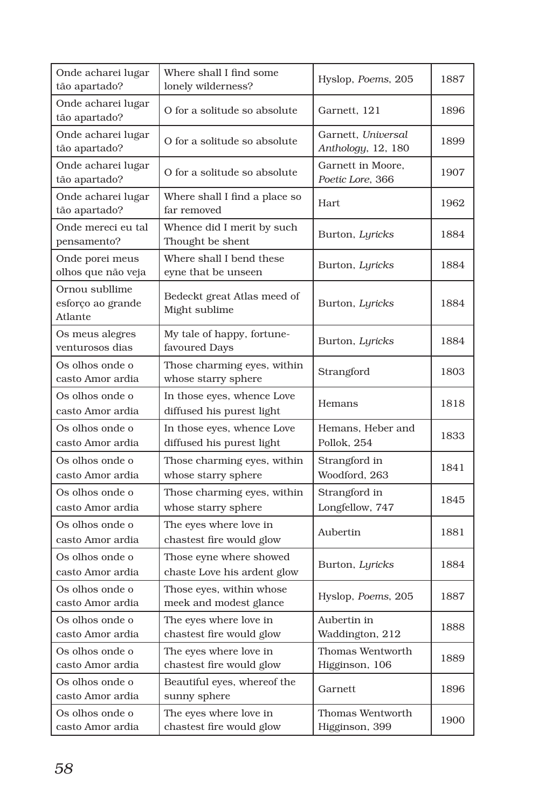| Onde acharei lugar<br>tão apartado?            | Where shall I find some<br>lonely wilderness?           | Hyslop, Poems, 205                       | 1887 |
|------------------------------------------------|---------------------------------------------------------|------------------------------------------|------|
| Onde acharei lugar<br>tão apartado?            | O for a solitude so absolute                            | Garnett, 121                             | 1896 |
| Onde acharei lugar<br>tão apartado?            | O for a solitude so absolute                            | Garnett, Universal<br>Anthology, 12, 180 | 1899 |
| Onde acharei lugar<br>tão apartado?            | O for a solitude so absolute                            | Garnett in Moore,<br>Poetic Lore, 366    | 1907 |
| Onde acharei lugar<br>tão apartado?            | Where shall I find a place so<br>far removed            | Hart.                                    | 1962 |
| Onde mereci eu tal<br>pensamento?              | Whence did I merit by such<br>Thought be shent          | Burton, Lyricks                          | 1884 |
| Onde porei meus<br>olhos que não veja          | Where shall I bend these<br>eyne that be unseen         | Burton, Lyricks                          | 1884 |
| Ornou subllime<br>esforço ao grande<br>Atlante | Bedeckt great Atlas meed of<br>Might sublime            | Burton, Lyricks                          | 1884 |
| Os meus alegres<br>venturosos dias             | My tale of happy, fortune-<br>favoured Days             | Burton, Lyricks                          | 1884 |
| Os olhos onde o<br>casto Amor ardia            | Those charming eyes, within<br>whose starry sphere      | Strangford                               | 1803 |
| Os olhos onde o<br>casto Amor ardia            | In those eyes, whence Love<br>diffused his purest light | Hemans                                   | 1818 |
| Os olhos onde o<br>casto Amor ardia            | In those eyes, whence Love<br>diffused his purest light | Hemans, Heber and<br>Pollok, 254         | 1833 |
| Os olhos onde o<br>casto Amor ardia            | Those charming eyes, within<br>whose starry sphere      | Strangford in<br>Woodford, 263           | 1841 |
| Os olhos onde o<br>casto Amor ardia            | Those charming eyes, within<br>whose starry sphere      | Strangford in<br>Longfellow, 747         | 1845 |
| Os olhos onde o<br>casto Amor ardia            | The eyes where love in<br>chastest fire would glow      | Aubertin                                 | 1881 |
| Os olhos onde o<br>casto Amor ardia            | Those eyne where showed<br>chaste Love his ardent glow  | Burton, Lyricks                          | 1884 |
| Os olhos onde o<br>casto Amor ardia            | Those eyes, within whose<br>meek and modest glance      | Hyslop, Poems, 205                       | 1887 |
| Os olhos onde o<br>casto Amor ardia            | The eyes where love in<br>chastest fire would glow      | Aubertin in<br>Waddington, 212           | 1888 |
| Os olhos onde o<br>casto Amor ardia            | The eyes where love in<br>chastest fire would glow      | Thomas Wentworth<br>Higginson, 106       | 1889 |
| Os olhos onde o<br>casto Amor ardia            | Beautiful eyes, whereof the<br>sunny sphere             | Garnett                                  | 1896 |
| Os olhos onde o<br>casto Amor ardia            | The eyes where love in<br>chastest fire would glow      | Thomas Wentworth<br>Higginson, 399       | 1900 |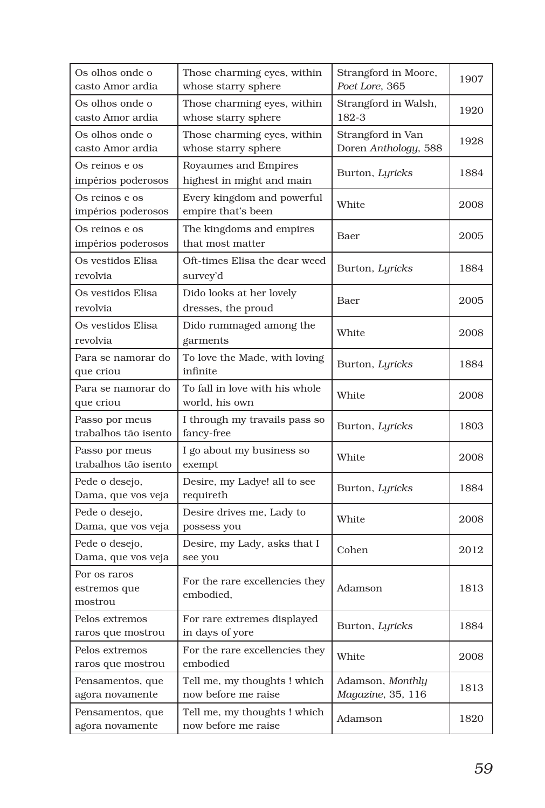| Os olhos onde o<br>casto Amor ardia     | Those charming eyes, within<br>whose starry sphere  | Strangford in Moore,<br>Poet Lore, 365    | 1907 |
|-----------------------------------------|-----------------------------------------------------|-------------------------------------------|------|
| Os olhos onde o<br>casto Amor ardia     | Those charming eyes, within<br>whose starry sphere  | Strangford in Walsh,<br>182-3             | 1920 |
| Os olhos onde o<br>casto Amor ardia     | Those charming eyes, within<br>whose starry sphere  | Strangford in Van<br>Doren Anthology, 588 | 1928 |
| Os reinos e os<br>impérios poderosos    | Royaumes and Empires<br>highest in might and main   | Burton, Lyricks                           | 1884 |
| Os reinos e os<br>impérios poderosos    | Every kingdom and powerful<br>empire that's been    | White                                     | 2008 |
| Os reinos e os<br>impérios poderosos    | The kingdoms and empires<br>that most matter        | Baer                                      | 2005 |
| Os vestidos Elisa<br>revolvia           | Oft-times Elisa the dear weed<br>survey'd           | Burton, Lyricks                           | 1884 |
| Os vestidos Elisa<br>revolvia           | Dido looks at her lovely<br>dresses, the proud      | Baer                                      | 2005 |
| Os vestidos Elisa<br>revolvia           | Dido rummaged among the<br>garments                 | White                                     | 2008 |
| Para se namorar do<br>que criou         | To love the Made, with loving<br>infinite           | Burton, Lyricks                           | 1884 |
| Para se namorar do<br>que criou         | To fall in love with his whole<br>world, his own    | White                                     | 2008 |
| Passo por meus<br>trabalhos tão isento  | I through my travails pass so<br>fancy-free         | Burton, Lyricks                           | 1803 |
| Passo por meus<br>trabalhos tão isento  | I go about my business so<br>exempt                 | White                                     | 2008 |
| Pede o desejo,<br>Dama, que vos veja    | Desire, my Ladye! all to see<br>requireth           | Burton, Lyricks                           | 1884 |
| Pede o desejo,<br>Dama, que vos veja    | Desire drives me, Lady to<br>possess you            | White                                     | 2008 |
| Pede o desejo,<br>Dama, que vos veja    | Desire, my Lady, asks that I<br>see you             | Cohen                                     | 2012 |
| Por os raros<br>estremos que<br>mostrou | For the rare excellencies they<br>embodied,         | Adamson                                   | 1813 |
| Pelos extremos<br>raros que mostrou     | For rare extremes displayed<br>in days of yore      | Burton, Lyricks                           | 1884 |
| Pelos extremos<br>raros que mostrou     | For the rare excellencies they<br>embodied          | White                                     | 2008 |
| Pensamentos, que<br>agora novamente     | Tell me, my thoughts! which<br>now before me raise  | Adamson, Monthly<br>Magazine, 35, 116     | 1813 |
| Pensamentos, que<br>agora novamente     | Tell me, my thoughts ! which<br>now before me raise | Adamson                                   | 1820 |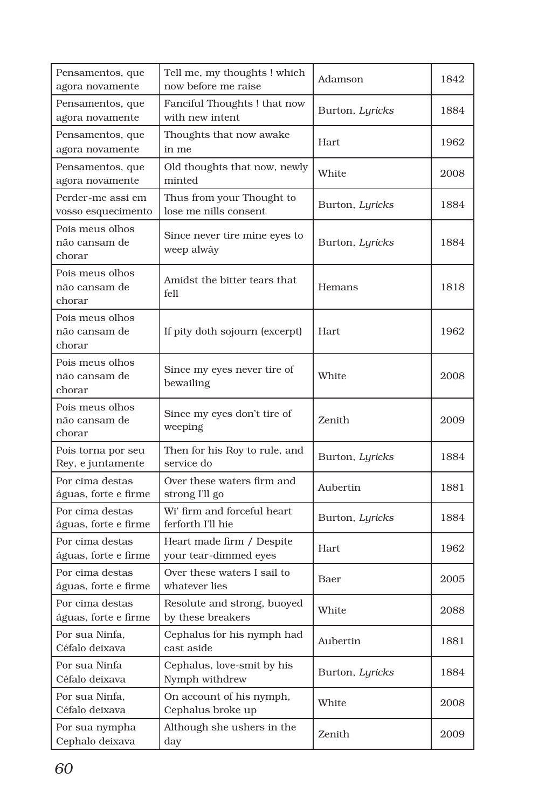| Pensamentos, que<br>agora novamente        | Tell me, my thoughts ! which<br>now before me raise | Adamson         | 1842 |
|--------------------------------------------|-----------------------------------------------------|-----------------|------|
| Pensamentos, que<br>agora novamente        | Fanciful Thoughts! that now<br>with new intent      | Burton, Lyricks | 1884 |
| Pensamentos, que<br>agora novamente        | Thoughts that now awake<br>in me                    | <b>Hart</b>     | 1962 |
| Pensamentos, que<br>agora novamente        | Old thoughts that now, newly<br>minted              | White           | 2008 |
| Perder-me assi em<br>vosso esquecimento    | Thus from your Thought to<br>lose me nills consent  | Burton, Lyricks | 1884 |
| Pois meus olhos<br>não cansam de<br>chorar | Since never tire mine eyes to<br>weep alwày         | Burton, Lyricks | 1884 |
| Pois meus olhos<br>não cansam de<br>chorar | Amidst the bitter tears that<br>fell                | Hemans          | 1818 |
| Pois meus olhos<br>não cansam de<br>chorar | If pity doth sojourn (excerpt)                      | Hart            | 1962 |
| Pois meus olhos<br>não cansam de<br>chorar | Since my eyes never tire of<br>bewailing            | White           | 2008 |
| Pois meus olhos<br>não cansam de<br>chorar | Since my eyes don't tire of<br>weeping              | Zenith          | 2009 |
| Pois torna por seu<br>Rey, e juntamente    | Then for his Roy to rule, and<br>service do         | Burton, Lyricks | 1884 |
| Por cima destas<br>águas, forte e firme    | Over these waters firm and<br>strong I'll go        | Aubertin        | 1881 |
| Por cima destas<br>águas, forte e firme    | Wi' firm and forceful heart<br>ferforth I'll hie    | Burton, Lyricks | 1884 |
| Por cima destas<br>águas, forte e firme    | Heart made firm / Despite<br>your tear-dimmed eyes  | Hart            | 1962 |
| Por cima destas<br>águas, forte e firme    | Over these waters I sail to<br>whatever lies        | Baer            | 2005 |
| Por cima destas<br>águas, forte e firme    | Resolute and strong, buoyed<br>by these breakers    | White           | 2088 |
| Por sua Ninfa,<br>Céfalo deixava           | Cephalus for his nymph had<br>cast aside            | Aubertin        | 1881 |
| Por sua Ninfa<br>Céfalo deixava            | Cephalus, love-smit by his<br>Nymph withdrew        | Burton, Lyricks | 1884 |
| Por sua Ninfa,<br>Céfalo deixava           | On account of his nymph,<br>Cephalus broke up       | White           | 2008 |
| Por sua nympha<br>Cephalo deixava          | Although she ushers in the<br>day                   | Zenith          | 2009 |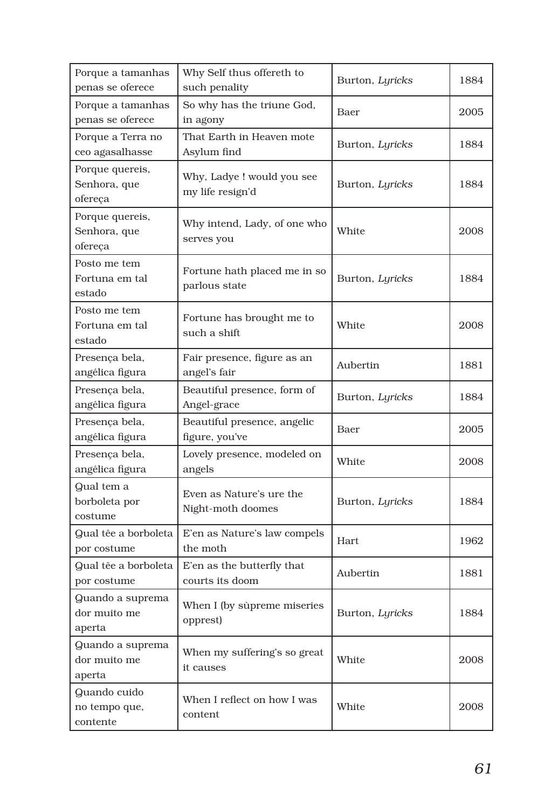| Porque a tamanhas<br>penas se oferece      | Why Self thus offereth to<br>such penality     | Burton, Lyricks | 1884 |
|--------------------------------------------|------------------------------------------------|-----------------|------|
| Porque a tamanhas<br>penas se oferece      | So why has the triune God,<br>in agony         | Baer            | 2005 |
| Porque a Terra no<br>ceo agasalhasse       | That Earth in Heaven mote<br>Asylum find       | Burton, Lyricks | 1884 |
| Porque quereis,<br>Senhora, que<br>ofereça | Why, Ladye ! would you see<br>my life resign'd | Burton, Lyricks | 1884 |
| Porque quereis,<br>Senhora, que<br>ofereça | Why intend, Lady, of one who<br>serves you     | White           | 2008 |
| Posto me tem<br>Fortuna em tal<br>estado   | Fortune hath placed me in so<br>parlous state  | Burton, Lyricks | 1884 |
| Posto me tem<br>Fortuna em tal<br>estado   | Fortune has brought me to<br>such a shift      | White           | 2008 |
| Presença bela,<br>angélica figura          | Fair presence, figure as an<br>angel's fair    | Aubertin        | 1881 |
| Presença bela,<br>angélica figura          | Beautiful presence, form of<br>Angel-grace     | Burton, Lyricks | 1884 |
| Presença bela,<br>angélica figura          | Beautiful presence, angelic<br>figure, you've  | Baer            | 2005 |
| Presença bela,<br>angélica figura          | Lovely presence, modeled on<br>angels          | White           | 2008 |
| Qual tem a<br>borboleta por<br>costume     | Even as Nature's ure the<br>Night-moth doomes  | Burton, Lyricks | 1884 |
| Qual têe a borboleta<br>por costume        | E'en as Nature's law compels<br>the moth       | Hart            | 1962 |
| Qual têe a borboleta<br>por costume        | E'en as the butterfly that<br>courts its doom  | Aubertin        | 1881 |
| Quando a suprema<br>dor muito me<br>aperta | When I (by sùpreme miseries<br>opprest)        | Burton, Lyricks | 1884 |
| Quando a suprema<br>dor muito me<br>aperta | When my suffering's so great<br>it causes      | White           | 2008 |
| Quando cuido<br>no tempo que,<br>contente  | When I reflect on how I was<br>content         | White           | 2008 |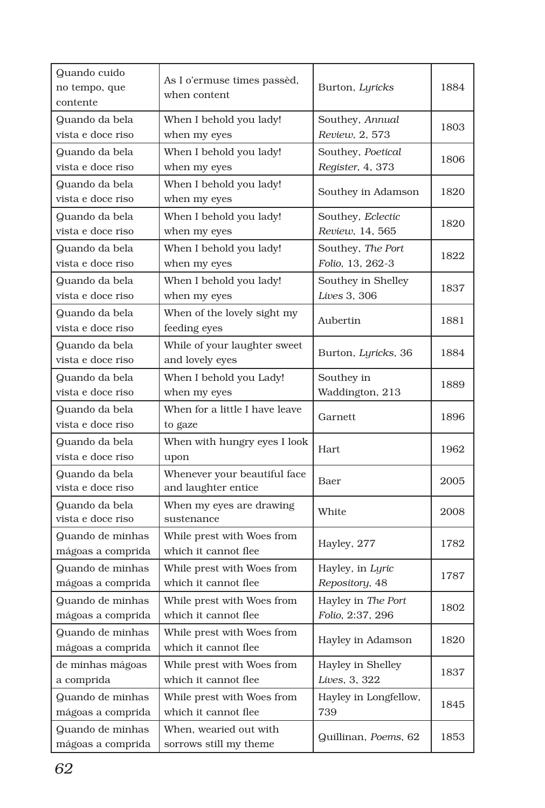| Quando cuido<br>no tempo, que<br>contente | As I o'ermuse times passèd,<br>when content         | Burton, Lyricks                        | 1884 |
|-------------------------------------------|-----------------------------------------------------|----------------------------------------|------|
| Quando da bela<br>vista e doce riso       | When I behold you lady!<br>when my eyes             | Southey, Annual<br>Review, 2, 573      | 1803 |
| Quando da bela<br>vista e doce riso       | When I behold you lady!<br>when my eyes             | Southey, Poetical<br>Register, 4, 373  | 1806 |
| Quando da bela<br>vista e doce riso       | When I behold you lady!<br>when my eyes             | Southey in Adamson                     | 1820 |
| Quando da bela<br>vista e doce riso       | When I behold you lady!<br>when my eyes             | Southey, Eclectic<br>Review, 14, 565   | 1820 |
| Quando da bela<br>vista e doce riso       | When I behold you lady!<br>when my eyes             | Southey, The Port<br>Folio, 13, 262-3  | 1822 |
| Quando da bela<br>vista e doce riso       | When I behold you lady!<br>when my eyes             | Southey in Shelley<br>Lives 3, 306     | 1837 |
| Quando da bela<br>vista e doce riso       | When of the lovely sight my<br>feeding eyes         | Aubertin                               | 1881 |
| Quando da bela<br>vista e doce riso       | While of your laughter sweet<br>and lovely eyes     | Burton, Lyricks, 36                    | 1884 |
| Quando da bela<br>vista e doce riso       | When I behold you Lady!<br>when my eyes             | Southey in<br>Waddington, 213          | 1889 |
| Quando da bela<br>vista e doce riso       | When for a little I have leave<br>to gaze           | Garnett                                | 1896 |
| Quando da bela<br>vista e doce riso       | When with hungry eyes I look<br>upon                | Hart                                   | 1962 |
| Quando da bela<br>vista e doce riso       | Whenever your beautiful face<br>and laughter entice | Baer                                   | 2005 |
| Quando da bela<br>vista e doce riso       | When my eyes are drawing<br>sustenance              | White                                  | 2008 |
| Quando de minhas<br>mágoas a comprida     | While prest with Woes from<br>which it cannot flee  | Hayley, 277                            | 1782 |
| Quando de minhas<br>mágoas a comprida     | While prest with Woes from<br>which it cannot flee  | Hayley, in Lyric<br>Repository, 48     | 1787 |
| Quando de minhas<br>mágoas a comprida     | While prest with Woes from<br>which it cannot flee  | Hayley in The Port<br>Folio, 2:37, 296 | 1802 |
| Quando de minhas<br>mágoas a comprida     | While prest with Woes from<br>which it cannot flee  | Hayley in Adamson                      | 1820 |
| de minhas mágoas<br>a comprida            | While prest with Woes from<br>which it cannot flee  | Hayley in Shelley<br>Lives, 3, 322     | 1837 |
| Quando de minhas<br>mágoas a comprida     | While prest with Woes from<br>which it cannot flee  | Hayley in Longfellow,<br>739           | 1845 |
| Quando de minhas<br>mágoas a comprida     | When, wearied out with<br>sorrows still my theme    | Quillinan, Poems, 62                   | 1853 |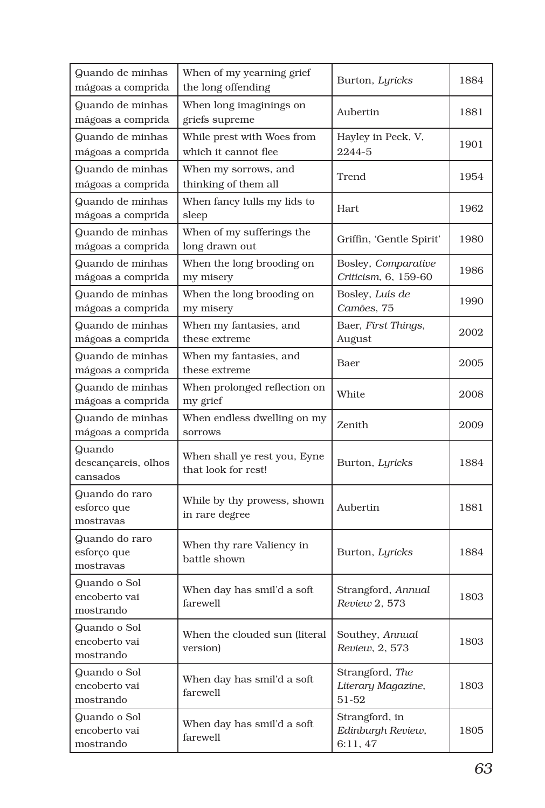| Quando de minhas<br>mágoas a comprida      | When of my yearning grief<br>the long offending     | Burton, Lyricks                                | 1884 |
|--------------------------------------------|-----------------------------------------------------|------------------------------------------------|------|
| Quando de minhas<br>mágoas a comprida      | When long imaginings on<br>griefs supreme           | Aubertin                                       | 1881 |
| Quando de minhas<br>mágoas a comprida      | While prest with Woes from<br>which it cannot flee  | Hayley in Peck, V,<br>2244-5                   | 1901 |
| Quando de minhas<br>mágoas a comprida      | When my sorrows, and<br>thinking of them all        | Trend                                          | 1954 |
| Quando de minhas<br>mágoas a comprida      | When fancy lulls my lids to<br>sleep                | Hart                                           | 1962 |
| Quando de minhas<br>mágoas a comprida      | When of my sufferings the<br>long drawn out         | Griffin, 'Gentle Spirit'                       | 1980 |
| Quando de minhas<br>mágoas a comprida      | When the long brooding on<br>my misery              | Bosley, Comparative<br>Criticism, 6, 159-60    | 1986 |
| Quando de minhas<br>mágoas a comprida      | When the long brooding on<br>my misery              | Bosley, Luís de<br>Camões, 75                  | 1990 |
| Quando de minhas<br>mágoas a comprida      | When my fantasies, and<br>these extreme             | Baer, First Things,<br>August                  | 2002 |
| Quando de minhas<br>mágoas a comprida      | When my fantasies, and<br>these extreme             | Baer                                           | 2005 |
| Quando de minhas<br>mágoas a comprida      | When prolonged reflection on<br>my grief            | White                                          | 2008 |
| Quando de minhas<br>mágoas a comprida      | When endless dwelling on my<br><b>SOTTOWS</b>       | Zenith                                         | 2009 |
| Quando<br>descançareis, olhos<br>cansados  | When shall ye rest you, Eyne<br>that look for rest! | Burton, Lyricks                                | 1884 |
| Quando do raro<br>esforco que<br>mostravas | While by thy prowess, shown<br>in rare degree       | Aubertin                                       | 1881 |
| Quando do raro<br>esforço que<br>mostravas | When thy rare Valiency in<br>battle shown           | Burton, Lyricks                                | 1884 |
| Quando o Sol<br>encoberto vai<br>mostrando | When day has smil'd a soft<br>farewell              | Strangford, Annual<br>Review 2, 573            | 1803 |
| Quando o Sol<br>encoberto vai<br>mostrando | When the clouded sun (literal<br>version)           | Southey, Annual<br>Review, 2, 573              | 1803 |
| Quando o Sol<br>encoberto vai<br>mostrando | When day has smil'd a soft<br>farewell              | Strangford, The<br>Literary Magazine,<br>51-52 | 1803 |
| Quando o Sol<br>encoberto vai<br>mostrando | When day has smil'd a soft<br>farewell              | Strangford, in<br>Edinburgh Review,<br>6:11,47 | 1805 |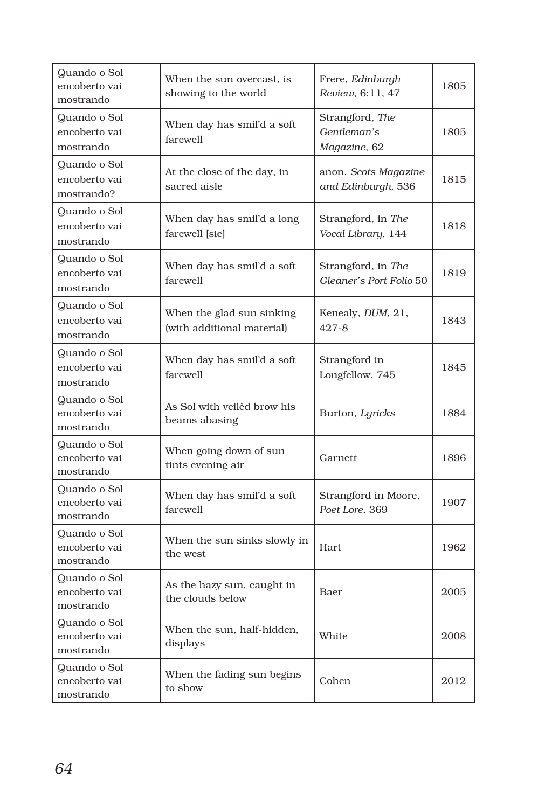| Quando o Sol<br>encoberto vai<br>mostrando  | When the sun overcast, is<br>showing to the world       | Frere, Edinburgh<br>Review, 6:11, 47           | 1805 |
|---------------------------------------------|---------------------------------------------------------|------------------------------------------------|------|
| Quando o Sol<br>encoberto vai<br>mostrando  | When day has smil'd a soft<br>farewell                  | Strangford, The<br>Gentleman's<br>Magazine, 62 | 1805 |
| Quando o Sol<br>encoberto vai<br>mostrando? | At the close of the day, in<br>sacred aisle             | anon, Scots Magazine<br>and Edinburgh, 536     | 1815 |
| Quando o Sol<br>encoberto vai<br>mostrando  | When day has smil'd a long<br>farewell [sic]            | Strangford, in The<br>Vocal Library, 144       | 1818 |
| Quando o Sol<br>encoberto vai<br>mostrando  | When day has smil'd a soft<br>farewell                  | Strangford, in The<br>Gleaner's Port-Folio 50  | 1819 |
| Quando o Sol<br>encoberto vai<br>mostrando  | When the glad sun sinking<br>(with additional material) | Kenealy, DUM, 21,<br>427-8                     | 1843 |
| Quando o Sol<br>encoberto vai<br>mostrando  | When day has smil'd a soft<br>farewell                  | Strangford in<br>Longfellow, 745               | 1845 |
| Quando o Sol<br>encoberto vai<br>mostrando  | As Sol with veiled brow his<br>beams abasing            | Burton, Lyricks                                | 1884 |
| Quando o Sol<br>encoberto vai<br>mostrando  | When going down of sun<br>tints evening air             | Garnett                                        | 1896 |
| Quando o Sol<br>encoberto vai<br>mostrando  | When day has smil'd a soft<br>farewell                  | Strangford in Moore,<br>Poet Lore, 369         | 1907 |
| Quando o Sol<br>encoberto vai<br>mostrando  | When the sun sinks slowly in<br>the west                | Hart.                                          | 1962 |
| Quando o Sol<br>encoberto vai<br>mostrando  | As the hazy sun, caught in<br>the clouds below          | Baer                                           | 2005 |
| Quando o Sol<br>encoberto vai<br>mostrando  | When the sun, half-hidden,<br>displays                  | White                                          | 2008 |
| Quando o Sol<br>encoberto vai<br>mostrando  | When the fading sun begins<br>to show                   | Cohen                                          | 2012 |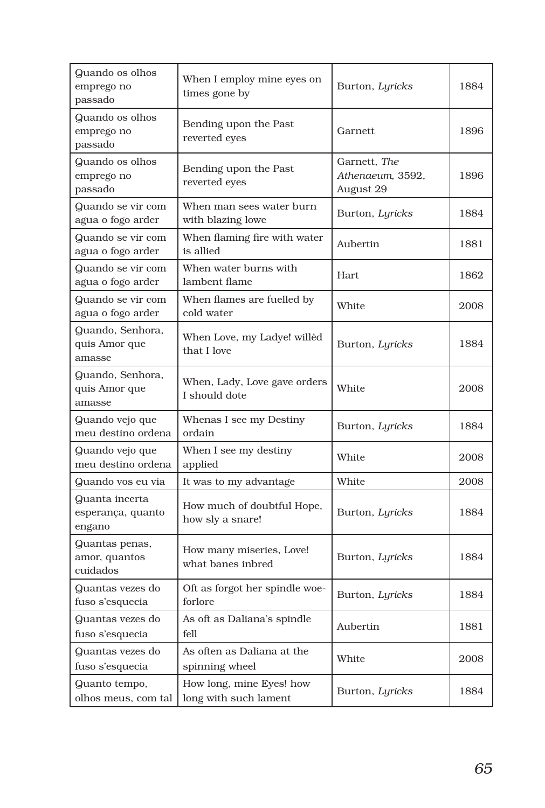| Quando os olhos<br>emprego no<br>passado      | When I employ mine eyes on<br>times gone by       | Burton, Lyricks                               | 1884 |
|-----------------------------------------------|---------------------------------------------------|-----------------------------------------------|------|
| Quando os olhos<br>emprego no<br>passado      | Bending upon the Past<br>reverted eyes            | Garnett                                       | 1896 |
| Quando os olhos<br>emprego no<br>passado      | Bending upon the Past<br>reverted eyes            | Garnett, The<br>Athenaeum, 3592,<br>August 29 | 1896 |
| Quando se vir com<br>agua o fogo arder        | When man sees water burn<br>with blazing lowe     | Burton, Lyricks                               | 1884 |
| Quando se vir com<br>agua o fogo arder        | When flaming fire with water<br>is allied         | Aubertin                                      | 1881 |
| Quando se vir com<br>agua o fogo arder        | When water burns with<br>lambent flame            | Hart                                          | 1862 |
| Quando se vir com<br>agua o fogo arder        | When flames are fuelled by<br>cold water          | White                                         | 2008 |
| Quando, Senhora,<br>quis Amor que<br>amasse   | When Love, my Ladye! willèd<br>that I love        | Burton, Lyricks                               | 1884 |
| Quando, Senhora,<br>quis Amor que<br>amasse   | When, Lady, Love gave orders<br>I should dote     | White                                         | 2008 |
| Quando vejo que<br>meu destino ordena         | Whenas I see my Destiny<br>ordain                 | Burton, Lyricks                               | 1884 |
| Quando vejo que<br>meu destino ordena         | When I see my destiny<br>applied                  | White                                         | 2008 |
| Quando vos eu via                             | It was to my advantage                            | White                                         | 2008 |
| Quanta incerta<br>esperança, quanto<br>engano | How much of doubtful Hope,<br>how sly a snare!    | Burton, Lyricks                               | 1884 |
| Quantas penas,<br>amor, quantos<br>cuidados   | How many miseries, Love!<br>what banes inbred     | Burton, Lyricks                               | 1884 |
| Quantas vezes do<br>fuso s'esquecia           | Oft as forgot her spindle woe-<br>forlore         | Burton, Lyricks                               | 1884 |
| Quantas vezes do<br>fuso s'esquecia           | As oft as Daliana's spindle<br>fell               | Aubertin                                      | 1881 |
| Quantas vezes do<br>fuso s'esquecia           | As often as Daliana at the<br>spinning wheel      | White                                         | 2008 |
| Quanto tempo,<br>olhos meus, com tal          | How long, mine Eyes! how<br>long with such lament | Burton, Lyricks                               | 1884 |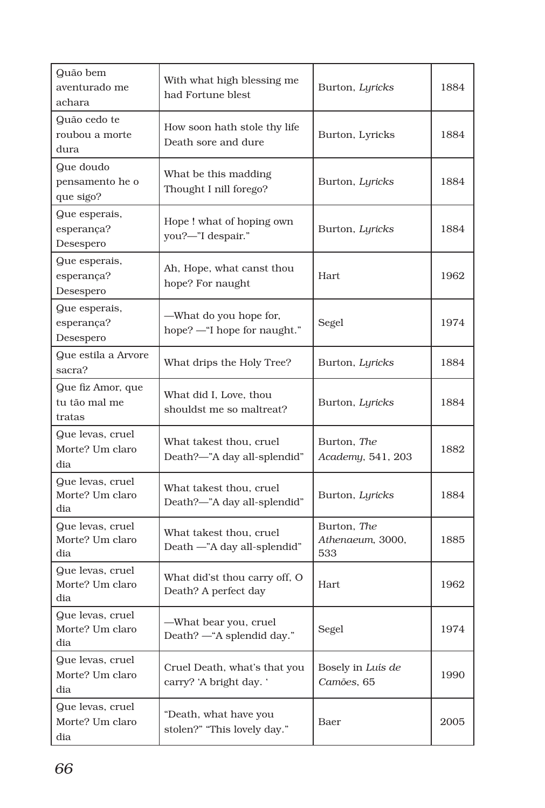| Quão bem<br>aventurado me<br>achara          | With what high blessing me<br>had Fortune blest         | Burton, Lyricks                        | 1884 |
|----------------------------------------------|---------------------------------------------------------|----------------------------------------|------|
| Quão cedo te<br>roubou a morte<br>dura       | How soon hath stole thy life<br>Death sore and dure     | Burton, Lyricks                        | 1884 |
| Que doudo<br>pensamento he o<br>que sigo?    | What be this madding<br>Thought I nill forego?          | Burton, Lyricks                        | 1884 |
| Que esperais,<br>esperança?<br>Desespero     | Hope! what of hoping own<br>you?-"I despair."           | Burton, Lyricks                        | 1884 |
| Que esperais,<br>esperança?<br>Desespero     | Ah, Hope, what canst thou<br>hope? For naught           | Hart                                   | 1962 |
| Que esperais,<br>esperança?<br>Desespero     | -What do you hope for,<br>hope? - "I hope for naught."  | Segel                                  | 1974 |
| Que estila a Arvore<br>sacra?                | What drips the Holy Tree?                               | Burton, Lyricks                        | 1884 |
| Que fiz Amor, que<br>tu tão mal me<br>tratas | What did I, Love, thou<br>shouldst me so maltreat?      | Burton, Lyricks                        | 1884 |
| Que levas, cruel<br>Morte? Um claro<br>dia   | What takest thou, cruel<br>Death?-"A day all-splendid"  | Burton, The<br>Academy, 541, 203       | 1882 |
| Que levas, cruel<br>Morte? Um claro<br>dia   | What takest thou, cruel<br>Death?-"A day all-splendid"  | Burton, Lyricks                        | 1884 |
| Que levas, cruel<br>Morte? Um claro<br>dia   | What takest thou, cruel<br>Death -"A day all-splendid"  | Burton, The<br>Athenaeum, 3000,<br>533 | 1885 |
| Que levas, cruel<br>Morte? Um claro<br>dia   | What did'st thou carry off, O<br>Death? A perfect day   | Hart                                   | 1962 |
| Que levas, cruel<br>Morte? Um claro<br>dia   | —What bear you, cruel<br>Death? - "A splendid day."     | Segel                                  | 1974 |
| Que levas, cruel<br>Morte? Um claro<br>dia   | Cruel Death, what's that you<br>carry? 'A bright day. ' | Bosely in Luís de<br>Camões, 65        | 1990 |
| Que levas, cruel<br>Morte? Um claro<br>dia   | "Death, what have you<br>stolen?" "This lovely day."    | Baer                                   | 2005 |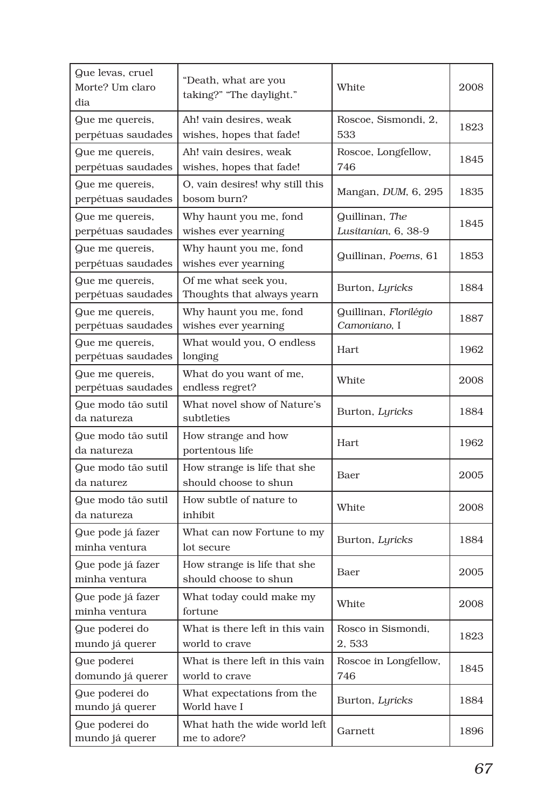| Que levas, cruel<br>Morte? Um claro<br>dia | "Death, what are you<br>taking?" "The daylight."      | White                                 | 2008 |
|--------------------------------------------|-------------------------------------------------------|---------------------------------------|------|
| Que me quereis,<br>perpétuas saudades      | Ah! vain desires, weak<br>wishes, hopes that fade!    | Roscoe, Sismondi, 2,<br>533           | 1823 |
| Que me quereis,<br>perpétuas saudades      | Ah! vain desires, weak<br>wishes, hopes that fade!    | Roscoe, Longfellow,<br>746            | 1845 |
| Que me quereis,<br>perpétuas saudades      | O, vain desires! why still this<br>bosom burn?        | Mangan, DUM, 6, 295                   | 1835 |
| Que me quereis,<br>perpétuas saudades      | Why haunt you me, fond<br>wishes ever yearning        | Quillinan, The<br>Lusitanian, 6, 38-9 | 1845 |
| Que me quereis,<br>perpétuas saudades      | Why haunt you me, fond<br>wishes ever yearning        | Quillinan, Poems, 61                  | 1853 |
| Que me quereis,<br>perpétuas saudades      | Of me what seek you,<br>Thoughts that always yearn    | Burton, Lyricks                       | 1884 |
| Que me quereis,<br>perpétuas saudades      | Why haunt you me, fond<br>wishes ever yearning        | Quillinan, Florilégio<br>Camoniano, I | 1887 |
| Que me quereis,<br>perpétuas saudades      | What would you, O endless<br>longing                  | Hart                                  | 1962 |
| Que me quereis,<br>perpétuas saudades      | What do you want of me,<br>endless regret?            | White                                 | 2008 |
| Que modo tão sutil<br>da natureza          | What novel show of Nature's<br>subtleties             | Burton, Lyricks                       | 1884 |
| Que modo tão sutil<br>da natureza          | How strange and how<br>portentous life                | <b>Hart</b>                           | 1962 |
| Que modo tão sutil<br>da naturez           | How strange is life that she<br>should choose to shun | Baer                                  | 2005 |
| Que modo tão sutil<br>da natureza          | How subtle of nature to<br>inhibit                    | White                                 | 2008 |
| Que pode já fazer<br>minha ventura         | What can now Fortune to my<br>lot secure              | Burton, Lyricks                       | 1884 |
| Que pode já fazer<br>minha ventura         | How strange is life that she<br>should choose to shun | Baer                                  | 2005 |
| Que pode já fazer<br>minha ventura         | What today could make my<br>fortune                   | White                                 | 2008 |
| Que poderei do<br>mundo já querer          | What is there left in this vain<br>world to crave     | Rosco in Sismondi,<br>2,533           | 1823 |
| Que poderei<br>domundo já querer           | What is there left in this vain<br>world to crave     | Roscoe in Longfellow,<br>746          | 1845 |
| Que poderei do<br>mundo já querer          | What expectations from the<br>World have I            | Burton, Lyricks                       | 1884 |
| Que poderei do<br>mundo já querer          | What hath the wide world left<br>me to adore?         | Garnett                               | 1896 |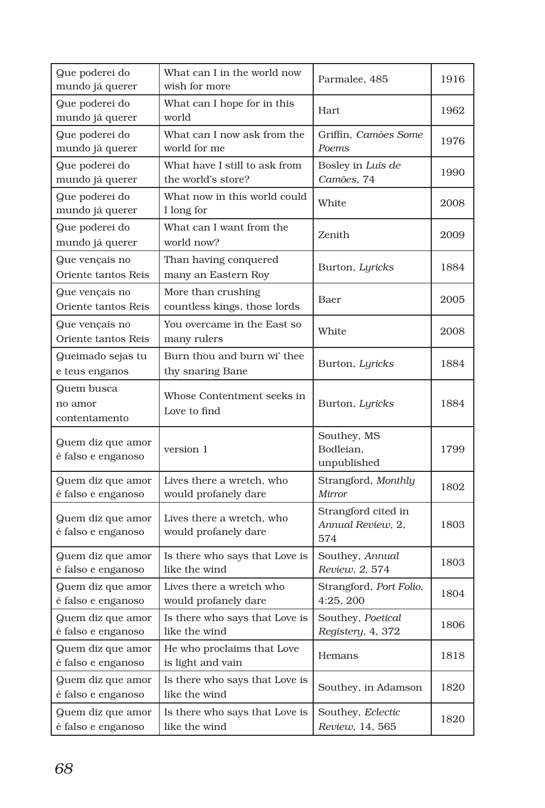| Que poderei do<br>mundo já querer       | What can I in the world now<br>wish for more        | Parmalee, 485                                   | 1916 |
|-----------------------------------------|-----------------------------------------------------|-------------------------------------------------|------|
| Que poderei do<br>mundo já querer       | What can I hope for in this<br>world                | Hart                                            | 1962 |
| Que poderei do<br>mundo já querer       | What can I now ask from the<br>world for me         | Griffin. Camões Some<br>Poems                   | 1976 |
| Que poderei do<br>mundo já querer       | What have I still to ask from<br>the world's store? | Bosley in Luís de<br>Camões, 74                 | 1990 |
| Que poderei do<br>mundo já querer       | What now in this world could<br>I long for          | White                                           | 2008 |
| Que poderei do<br>mundo já querer       | What can I want from the<br>world now?              | Zenith                                          | 2009 |
| Que vençais no<br>Oriente tantos Reis   | Than having conquered<br>many an Eastern Roy        | Burton, Lyricks                                 | 1884 |
| Que vençais no<br>Oriente tantos Reis   | More than crushing<br>countless kings, those lords  | Baer                                            | 2005 |
| Que vençais no<br>Oriente tantos Reis   | You overcame in the East so<br>many rulers          | White                                           | 2008 |
| Queimado sejas tu<br>e teus enganos     | Burn thou and burn wi' thee<br>thy snaring Bane     | Burton, Lyricks                                 | 1884 |
| Quem busca<br>no amor<br>contentamento  | Whose Contentment seeks in<br>Love to find          | Burton, Lyricks                                 | 1884 |
| Quem diz que amor<br>é falso e enganoso | version 1                                           | Southey, MS<br>Bodleian,<br>unpublished         | 1799 |
| Quem diz que amor<br>é falso e enganoso | Lives there a wretch, who<br>would profanely dare   | Strangford, Monthly<br>Mirror                   | 1802 |
| Quem diz que amor<br>é falso e enganoso | Lives there a wretch, who<br>would profanely dare   | Strangford cited in<br>Annual Review, 2,<br>574 | 1803 |
| Quem diz que amor<br>é falso e enganoso | Is there who says that Love is<br>like the wind     | Southey, Annual<br>Review, 2, 574               | 1803 |
| Quem diz que amor<br>é falso e enganoso | Lives there a wretch who<br>would profanely dare    | Strangford, Port Folio,<br>4:25, 200            | 1804 |
| Quem diz que amor<br>é falso e enganoso | Is there who says that Love is<br>like the wind     | Southey, Poetical<br>Registery, 4, 372          | 1806 |
| Quem diz que amor<br>é falso e enganoso | He who proclaims that Love<br>is light and vain     | Hemans                                          | 1818 |
| Quem diz que amor<br>é falso e enganoso | Is there who says that Love is<br>like the wind     | Southey, in Adamson                             | 1820 |
| Quem diz que amor<br>é falso e enganoso | Is there who says that Love is<br>like the wind     | Southey, Eclectic<br>Review, 14, 565            | 1820 |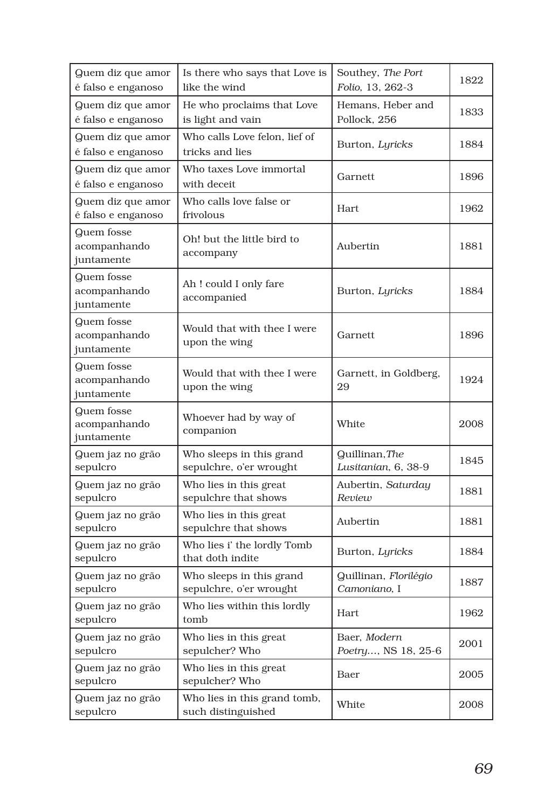| Quem diz que amor<br>é falso e enganoso  | Is there who says that Love is<br>like the wind     | Southey, The Port<br>Folio, 13, 262-3 | 1822 |
|------------------------------------------|-----------------------------------------------------|---------------------------------------|------|
| Quem diz que amor<br>é falso e enganoso  | He who proclaims that Love<br>is light and vain     | Hemans, Heber and<br>Pollock, 256     | 1833 |
| Quem diz que amor<br>é falso e enganoso  | Who calls Love felon, lief of<br>tricks and lies    | Burton, Lyricks                       | 1884 |
| Quem diz que amor<br>é falso e enganoso  | Who taxes Love immortal<br>with deceit              | Garnett                               | 1896 |
| Quem diz que amor<br>é falso e enganoso  | Who calls love false or<br>frivolous                | <b>Hart</b>                           | 1962 |
| Quem fosse<br>acompanhando<br>juntamente | Oh! but the little bird to<br>accompany             | Aubertin                              | 1881 |
| Quem fosse<br>acompanhando<br>juntamente | Ah! could I only fare<br>accompanied                | Burton, Lyricks                       | 1884 |
| Quem fosse<br>acompanhando<br>juntamente | Would that with thee I were<br>upon the wing        | Garnett                               | 1896 |
| Quem fosse<br>acompanhando<br>juntamente | Would that with thee I were<br>upon the wing        | Garnett, in Goldberg,<br>29           | 1924 |
| Quem fosse<br>acompanhando<br>juntamente | Whoever had by way of<br>companion                  | White                                 | 2008 |
| Quem jaz no grão<br>sepulcro             | Who sleeps in this grand<br>sepulchre, o'er wrought | Quillinan, The<br>Lusitanian, 6, 38-9 | 1845 |
| Quem jaz no grão<br>sepulcro             | Who lies in this great<br>sepulchre that shows      | Aubertin, Saturday<br>Review          | 1881 |
| Quem jaz no grão<br>sepulcro             | Who lies in this great<br>sepulchre that shows      | Aubertin                              | 1881 |
| Quem jaz no grão<br>sepulcro             | Who lies i' the lordly Tomb<br>that doth indite     | Burton, Lyricks                       | 1884 |
| Quem jaz no grão<br>sepulcro             | Who sleeps in this grand<br>sepulchre, o'er wrought | Quillinan, Florilégio<br>Camoniano. I | 1887 |
| Quem jaz no grão<br>sepulcro             | Who lies within this lordly<br>tomb                 | Hart                                  | 1962 |
| Quem jaz no grão<br>sepulcro             | Who lies in this great<br>sepulcher? Who            | Baer, Modern<br>Poetry, NS 18, 25-6   | 2001 |
| Quem jaz no grão<br>sepulcro             | Who lies in this great<br>sepulcher? Who            | Baer                                  | 2005 |
| Quem jaz no grão<br>sepulcro             | Who lies in this grand tomb,<br>such distinguished  | White                                 | 2008 |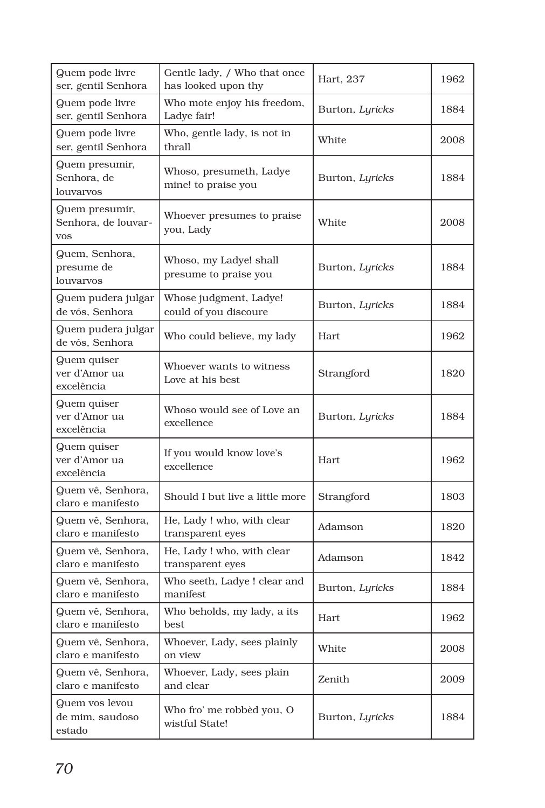| Quem pode livre<br>ser, gentil Senhora              | Gentle lady, / Who that once<br>has looked upon thy | Hart, 237       | 1962 |
|-----------------------------------------------------|-----------------------------------------------------|-----------------|------|
| Quem pode livre<br>ser, gentil Senhora              | Who mote enjoy his freedom,<br>Ladye fair!          | Burton, Lyricks | 1884 |
| Quem pode livre<br>ser, gentil Senhora              | Who, gentle lady, is not in<br>thrall               | White           | 2008 |
| Quem presumir,<br>Senhora, de<br>louvarvos          | Whoso, presumeth, Ladye<br>mine! to praise you      | Burton, Lyricks | 1884 |
| Quem presumir,<br>Senhora, de louvar-<br><b>VOS</b> | Whoever presumes to praise<br>you, Lady             | White           | 2008 |
| Quem, Senhora,<br>presume de<br>louvarvos           | Whoso, my Ladye! shall<br>presume to praise you     | Burton, Lyricks | 1884 |
| Quem pudera julgar<br>de vós, Senhora               | Whose judgment, Ladye!<br>could of you discoure     | Burton, Lyricks | 1884 |
| Quem pudera julgar<br>de vós, Senhora               | Who could believe, my lady                          | Hart            | 1962 |
| Quem quiser<br>ver d'Amor ua<br>excelência          | Whoever wants to witness<br>Love at his best        | Strangford      | 1820 |
| Quem quiser<br>ver d'Amor ua<br>excelência          | Whoso would see of Love an<br>excellence            | Burton, Lyricks | 1884 |
| Quem quiser<br>ver d'Amor ua<br>excelência          | If you would know love's<br>excellence              | Hart            | 1962 |
| Quem vê, Senhora,<br>claro e manifesto              | Should I but live a little more                     | Strangford      | 1803 |
| Quem vê, Senhora,<br>claro e manifesto              | He, Lady ! who, with clear<br>transparent eyes      | Adamson         | 1820 |
| Quem vê, Senhora,<br>claro e manifesto              | He, Lady ! who, with clear<br>transparent eyes      | Adamson         | 1842 |
| Quem vê, Senhora,<br>claro e manifesto              | Who seeth, Ladye ! clear and<br>manifest            | Burton, Lyricks | 1884 |
| Quem vê, Senhora,<br>claro e manifesto              | Who beholds, my lady, a its<br>best                 | Hart            | 1962 |
| Quem vê, Senhora,<br>claro e manifesto              | Whoever, Lady, sees plainly<br>on view              | White           | 2008 |
| Quem vê, Senhora,<br>claro e manifesto              | Whoever, Lady, sees plain<br>and clear              | Zenith          | 2009 |
| Quem vos levou<br>de mim, saudoso<br>estado         | Who fro' me robbèd you, O<br>wistful State!         | Burton, Lyricks | 1884 |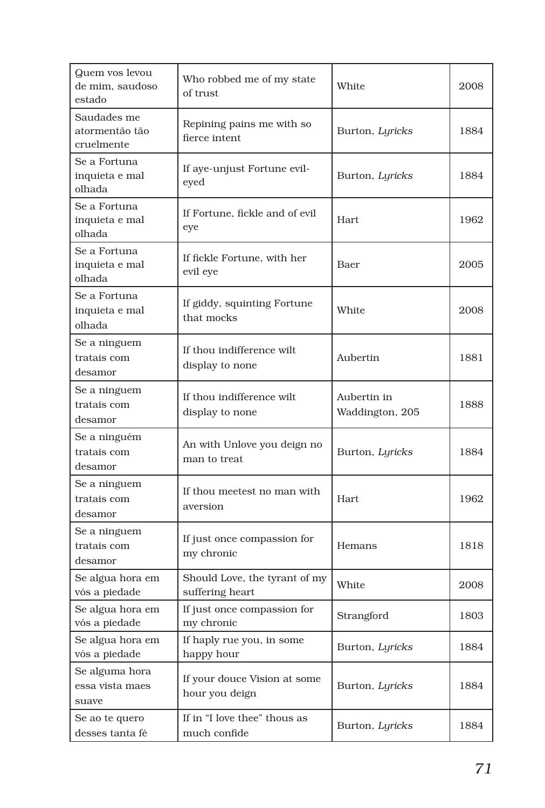| Quem vos levou<br>de mim, saudoso<br>estado | Who robbed me of my state<br>of trust            | White                          | 2008 |
|---------------------------------------------|--------------------------------------------------|--------------------------------|------|
| Saudades me<br>atormentão tão<br>cruelmente | Repining pains me with so<br>fierce intent       | Burton, Lyricks                | 1884 |
| Se a Fortuna<br>inquieta e mal<br>olhada    | If aye-unjust Fortune evil-<br>eyed              | Burton, Lyricks                | 1884 |
| Se a Fortuna<br>inquieta e mal<br>olhada    | If Fortune, fickle and of evil<br>eye            | <b>Hart</b>                    | 1962 |
| Se a Fortuna<br>inquieta e mal<br>olhada    | If fickle Fortune, with her<br>evil eye          | Baer                           | 2005 |
| Se a Fortuna<br>inquieta e mal<br>olhada    | If giddy, squinting Fortune<br>that mocks        | White                          | 2008 |
| Se a ninguem<br>tratais com<br>desamor      | If thou indifference wilt<br>display to none     | Aubertin                       | 1881 |
| Se a ninguem<br>tratais com<br>desamor      | If thou indifference wilt<br>display to none     | Aubertin in<br>Waddington, 205 | 1888 |
| Se a ninguém<br>tratais com<br>desamor      | An with Unlove you deign no<br>man to treat      | Burton, Lyricks                | 1884 |
| Se a ninguem<br>tratais com<br>desamor      | If thou meetest no man with<br>aversion          | <b>Hart</b>                    | 1962 |
| Se a ninguem<br>tratais com<br>desamor      | If just once compassion for<br>my chronic        | Hemans                         | 1818 |
| Se algua hora em<br>vós a piedade           | Should Love, the tyrant of my<br>suffering heart | White                          | 2008 |
| Se algua hora em<br>vós a piedade           | If just once compassion for<br>my chronic        | Strangford                     | 1803 |
| Se algua hora em<br>vós a piedade           | If haply rue you, in some<br>happy hour          | Burton, Lyricks                | 1884 |
| Se alguma hora<br>essa vista maes<br>suave  | If your douce Vision at some<br>hour you deign   | Burton, Lyricks                | 1884 |
| Se ao te quero<br>desses tanta fé           | If in "I love thee" thous as<br>much confide     | Burton, Lyricks                | 1884 |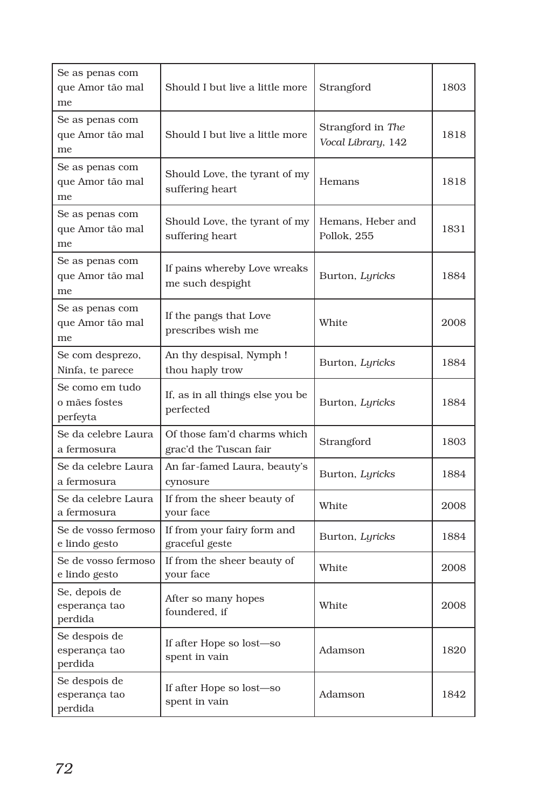| Se as penas com<br>que Amor tão mal<br>me    | Should I but live a little more                       | Strangford                              | 1803 |
|----------------------------------------------|-------------------------------------------------------|-----------------------------------------|------|
| Se as penas com<br>que Amor tão mal<br>me    | Should I but live a little more                       | Strangford in The<br>Vocal Library, 142 | 1818 |
| Se as penas com<br>que Amor tão mal<br>me    | Should Love, the tyrant of my<br>suffering heart      | Hemans                                  | 1818 |
| Se as penas com<br>que Amor tão mal<br>me    | Should Love, the tyrant of my<br>suffering heart      | Hemans, Heber and<br>Pollok, 255        | 1831 |
| Se as penas com<br>que Amor tão mal<br>me    | If pains whereby Love wreaks<br>me such despight      | Burton, Lyricks                         | 1884 |
| Se as penas com<br>que Amor tão mal<br>me    | If the pangs that Love<br>prescribes wish me          | White                                   | 2008 |
| Se com desprezo,<br>Ninfa, te parece         | An thy despisal, Nymph!<br>thou haply trow            | Burton, Lyricks                         | 1884 |
| Se como em tudo<br>o mães fostes<br>perfeyta | If, as in all things else you be<br>perfected         | Burton, Lyricks                         | 1884 |
| Se da celebre Laura<br>a fermosura           | Of those fam'd charms which<br>grac'd the Tuscan fair | Strangford                              | 1803 |
| Se da celebre Laura<br>a fermosura           | An far-famed Laura, beauty's<br>cynosure              | Burton, Lyricks                         | 1884 |
| Se da celebre Laura<br>a fermosura           | If from the sheer beauty of<br>your face              | White                                   | 2008 |
| Se de vosso fermoso<br>e lindo gesto         | If from your fairy form and<br>graceful geste         | Burton, Lyricks                         | 1884 |
| Se de vosso fermoso<br>e lindo gesto         | If from the sheer beauty of<br>your face              | White                                   | 2008 |
| Se, depois de<br>esperança tao<br>perdida    | After so many hopes<br>foundered, if                  | White                                   | 2008 |
| Se despois de<br>esperança tao<br>perdida    | If after Hope so lost-so<br>spent in vain             | Adamson                                 | 1820 |
| Se despois de<br>esperança tao<br>perdida    | If after Hope so lost—so<br>spent in vain             | Adamson                                 | 1842 |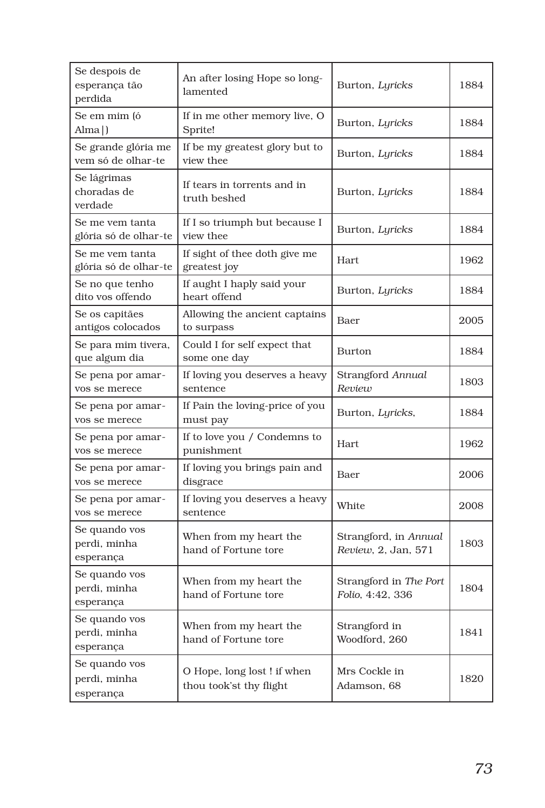| Se despois de<br>esperança tão<br>perdida  | An after losing Hope so long-<br>lamented             | Burton, Lyricks                              | 1884 |
|--------------------------------------------|-------------------------------------------------------|----------------------------------------------|------|
| Se em mim (ó<br>Alma )                     | If in me other memory live, O<br>Sprite!              | Burton, Lyricks                              | 1884 |
| Se grande glória me<br>vem só de olhar-te  | If be my greatest glory but to<br>view thee           | Burton, Lyricks                              | 1884 |
| Se lágrimas<br>choradas de<br>verdade      | If tears in torrents and in<br>truth beshed           | Burton, Lyricks                              | 1884 |
| Se me vem tanta<br>glória só de olhar-te   | If I so triumph but because I<br>view thee            | Burton, Lyricks                              | 1884 |
| Se me vem tanta<br>glória só de olhar-te   | If sight of thee doth give me<br>greatest joy         | <b>Hart</b>                                  | 1962 |
| Se no que tenho<br>dito vos offendo        | If aught I haply said your<br>heart offend            | Burton, Lyricks                              | 1884 |
| Se os capitães<br>antigos colocados        | Allowing the ancient captains<br>to surpass           | Baer                                         | 2005 |
| Se para mim tivera,<br>que algum dia       | Could I for self expect that<br>some one day          | Burton                                       | 1884 |
| Se pena por amar-<br>vos se merece         | If loving you deserves a heavy<br>sentence            | Strangford Annual<br>Review                  | 1803 |
| Se pena por amar-<br>vos se merece         | If Pain the loving-price of you<br>must pay           | Burton, Lyricks,                             | 1884 |
| Se pena por amar-<br>vos se merece         | If to love you / Condemns to<br>punishment            | <b>Hart</b>                                  | 1962 |
| Se pena por amar-<br>vos se merece         | If loving you brings pain and<br>disgrace             | Baer                                         | 2006 |
| Se pena por amar-<br>vos se merece         | If loving you deserves a heavy<br>sentence            | White                                        | 2008 |
| Se quando vos<br>perdi, minha<br>esperança | When from my heart the<br>hand of Fortune tore        | Strangford, in Annual<br>Review, 2, Jan, 571 | 1803 |
| Se quando vos<br>perdi, minha<br>esperança | When from my heart the<br>hand of Fortune tore        | Strangford in The Port<br>Folio, 4:42, 336   | 1804 |
| Se quando vos<br>perdi, minha<br>esperança | When from my heart the<br>hand of Fortune tore        | Strangford in<br>Woodford, 260               | 1841 |
| Se quando vos<br>perdi, minha<br>esperança | O Hope, long lost! if when<br>thou took'st thy flight | Mrs Cockle in<br>Adamson, 68                 | 1820 |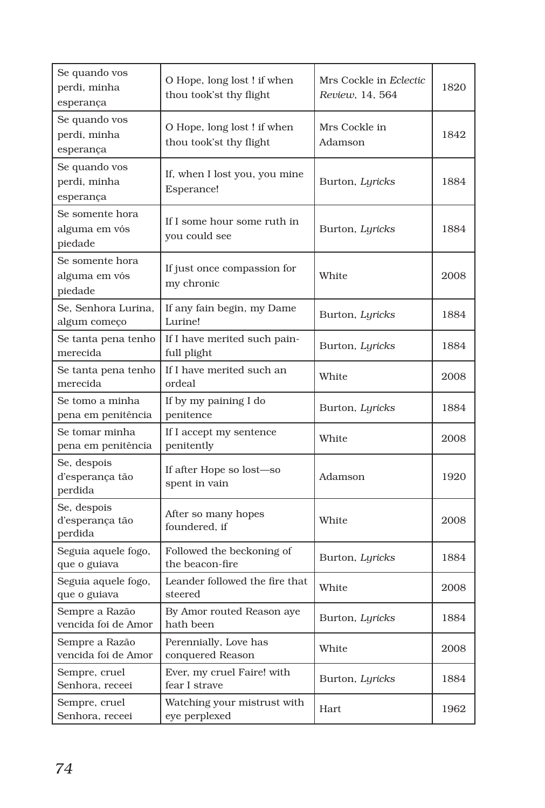| Se quando vos<br>perdi, minha<br>esperança  | O Hope, long lost! if when<br>thou took'st thy flight | Mrs Cockle in Eclectic<br>Review, 14, 564 | 1820 |
|---------------------------------------------|-------------------------------------------------------|-------------------------------------------|------|
| Se quando vos<br>perdi, minha<br>esperança  | O Hope, long lost! if when<br>thou took'st thy flight | Mrs Cockle in<br>Adamson                  | 1842 |
| Se quando vos<br>perdi, minha<br>esperança  | If, when I lost you, you mine<br>Esperance!           | Burton, Lyricks                           | 1884 |
| Se somente hora<br>alguma em vós<br>piedade | If I some hour some ruth in<br>you could see          | Burton, Lyricks                           | 1884 |
| Se somente hora<br>alguma em vós<br>piedade | If just once compassion for<br>my chronic             | White                                     | 2008 |
| Se, Senhora Lurina,<br>algum começo         | If any fain begin, my Dame<br>Lurine!                 | Burton, Lyricks                           | 1884 |
| Se tanta pena tenho<br>merecida             | If I have merited such pain-<br>full plight           | Burton, Lyricks                           | 1884 |
| Se tanta pena tenho<br>merecida             | If I have merited such an<br>ordeal                   | White                                     | 2008 |
| Se tomo a minha<br>pena em penitência       | If by my paining I do<br>penitence                    | Burton, Lyricks                           | 1884 |
| Se tomar minha<br>pena em penitência        | If I accept my sentence<br>penitently                 | White                                     | 2008 |
| Se, despois<br>d'esperança tão<br>perdida   | If after Hope so lost—so<br>spent in vain             | Adamson                                   | 1920 |
| Se, despois<br>d'esperança tão<br>perdida   | After so many hopes<br>foundered, if                  | White                                     | 2008 |
| Seguia aquele fogo,<br>que o guiava         | Followed the beckoning of<br>the beacon-fire          | Burton, Lyricks                           | 1884 |
| Seguia aquele fogo,<br>que o guiava         | Leander followed the fire that<br>steered             | White                                     | 2008 |
| Sempre a Razão<br>vencida foi de Amor       | By Amor routed Reason aye<br>hath been                | Burton, Lyricks                           | 1884 |
| Sempre a Razão<br>vencida foi de Amor       | Perennially, Love has<br>conquered Reason             | White                                     | 2008 |
| Sempre, cruel<br>Senhora, receei            | Ever, my cruel Faire! with<br>fear I strave           | Burton, Lyricks                           | 1884 |
| Sempre, cruel<br>Senhora, receei            | Watching your mistrust with<br>eye perplexed          | Hart                                      | 1962 |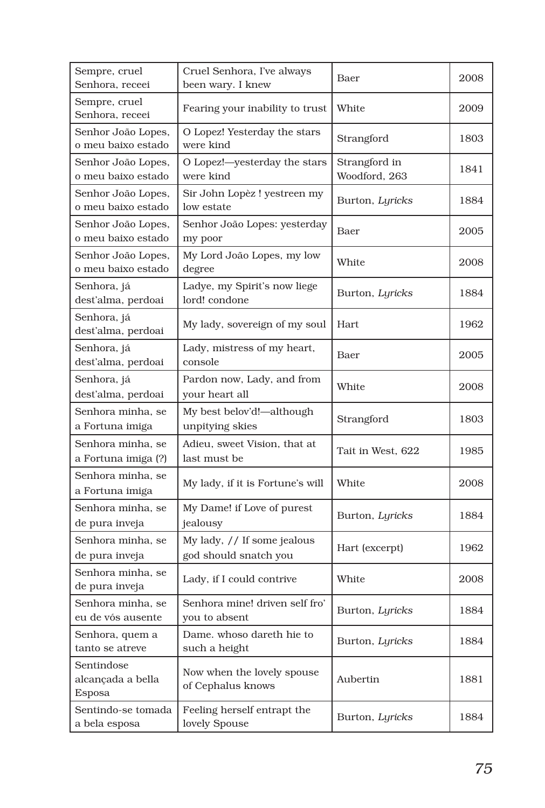| Sempre, cruel<br>Senhora, receei          | Cruel Senhora, I've always<br>been wary. I knew      | Baer                           | 2008 |
|-------------------------------------------|------------------------------------------------------|--------------------------------|------|
| Sempre, cruel<br>Senhora, receei          | Fearing your inability to trust                      | White                          | 2009 |
| Senhor João Lopes,<br>o meu baixo estado  | O Lopez! Yesterday the stars<br>were kind            | Strangford                     | 1803 |
| Senhor João Lopes,<br>o meu baixo estado  | O Lopez!-yesterday the stars<br>were kind            | Strangford in<br>Woodford, 263 | 1841 |
| Senhor João Lopes,<br>o meu baixo estado  | Sir John Lopèz ! yestreen my<br>low estate           | Burton, Lyricks                | 1884 |
| Senhor João Lopes,<br>o meu baixo estado  | Senhor João Lopes: yesterday<br>my poor              | Baer                           | 2005 |
| Senhor João Lopes,<br>o meu baixo estado  | My Lord João Lopes, my low<br>degree                 | White                          | 2008 |
| Senhora, já<br>dest'alma, perdoai         | Ladye, my Spirit's now liege<br>lord! condone        | Burton, Lyricks                | 1884 |
| Senhora, já<br>dest'alma, perdoai         | My lady, sovereign of my soul                        | <b>Hart</b>                    | 1962 |
| Senhora, já<br>dest'alma, perdoai         | Lady, mistress of my heart,<br>console               | Baer                           | 2005 |
| Senhora, já<br>dest'alma, perdoai         | Pardon now, Lady, and from<br>your heart all         | White                          | 2008 |
| Senhora minha, se<br>a Fortuna imiga      | My best belov'd!-although<br>unpitying skies         | Strangford                     | 1803 |
| Senhora minha, se<br>a Fortuna imiga (?)  | Adieu, sweet Vision, that at<br>last must be         | Tait in West, 622              | 1985 |
| Senhora minha, se<br>a Fortuna imiga      | My lady, if it is Fortune's will                     | White                          | 2008 |
| Senhora minha, se<br>de pura inveja       | My Dame! if Love of purest<br>jealousy               | Burton, Lyricks                | 1884 |
| Senhora minha, se<br>de pura inveja       | My lady, // If some jealous<br>god should snatch you | Hart (excerpt)                 | 1962 |
| Senhora minha, se<br>de pura inveja       | Lady, if I could contrive                            | White                          | 2008 |
| Senhora minha, se<br>eu de vós ausente    | Senhora mine! driven self fro'<br>you to absent      | Burton, Lyricks                | 1884 |
| Senhora, quem a<br>tanto se atreve        | Dame, whoso dareth hie to<br>such a height           | Burton, Lyricks                | 1884 |
| Sentindose<br>alcançada a bella<br>Esposa | Now when the lovely spouse<br>of Cephalus knows      | Aubertin                       | 1881 |
| Sentindo-se tomada<br>a bela esposa       | Feeling herself entrapt the<br>lovely Spouse         | Burton, Lyricks                | 1884 |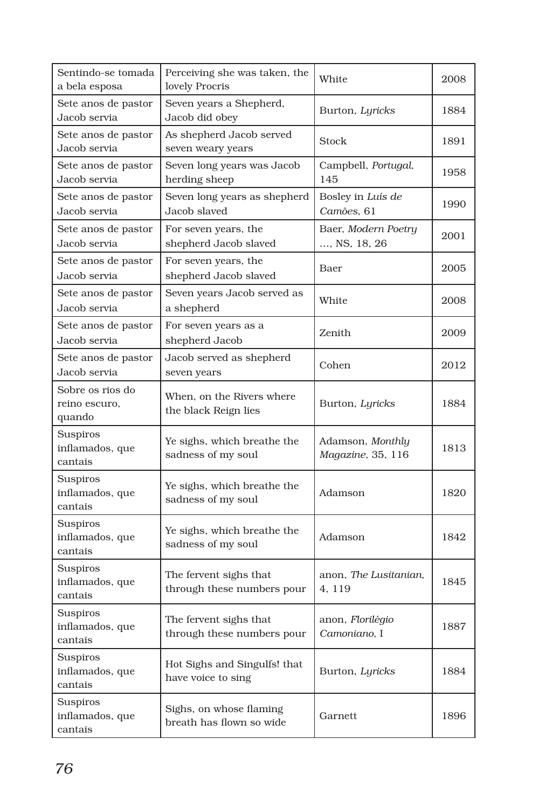| Sentindo-se tomada<br>a bela esposa           | Perceiving she was taken, the<br>lovely Procris      | White                                        | 2008 |
|-----------------------------------------------|------------------------------------------------------|----------------------------------------------|------|
| Sete anos de pastor<br>Jacob servia           | Seven years a Shepherd,<br>Jacob did obey            | Burton, Lyricks                              | 1884 |
| Sete anos de pastor<br>Jacob servia           | As shepherd Jacob served<br>seven weary years        | Stock                                        | 1891 |
| Sete anos de pastor<br>Jacob servia           | Seven long years was Jacob<br>herding sheep          | Campbell, Portugal,<br>145                   | 1958 |
| Sete anos de pastor<br>Jacob servia           | Seven long years as shepherd<br>Jacob slaved         | Bosley in Luís de<br>Camões, 61              | 1990 |
| Sete anos de pastor<br>Jacob servia           | For seven years, the<br>shepherd Jacob slaved        | Baer, Modern Poetry<br>, NS, 18, 26          | 2001 |
| Sete anos de pastor<br>Jacob servia           | For seven years, the<br>shepherd Jacob slaved        | Baer                                         | 2005 |
| Sete anos de pastor<br>Jacob servia           | Seven years Jacob served as<br>a shepherd            | White                                        | 2008 |
| Sete anos de pastor<br>Jacob servia           | For seven years as a<br>shepherd Jacob               | Zenith                                       | 2009 |
| Sete anos de pastor<br>Jacob servia           | Jacob served as shepherd<br>seven years              | Cohen                                        | 2012 |
| Sobre os rios do<br>reino escuro,<br>quando   | When, on the Rivers where<br>the black Reign lies    | Burton, Lyricks                              | 1884 |
| Suspiros<br>inflamados, que<br>cantais        | Ye sighs, which breathe the<br>sadness of my soul    | Adamson, <i>Monthly</i><br>Magazine, 35, 116 | 1813 |
| Suspiros<br>inflamados, que<br>cantais        | Ye sighs, which breathe the<br>sadness of my soul    | Adamson                                      | 1820 |
| Suspiros<br>inflamados, que<br>cantais        | Ye sighs, which breathe the<br>sadness of my soul    | Adamson                                      | 1842 |
| Suspiros<br>inflamados, que<br>cantais        | The fervent sighs that<br>through these numbers pour | anon, The Lusitanian,<br>4.119               | 1845 |
| Suspiros<br>inflamados, que<br>cantais        | The fervent sighs that<br>through these numbers pour | anon, Florilégio<br>Camoniano, I             | 1887 |
| Suspiros<br>inflamados, que<br>cantais        | Hot Sighs and Singulfs! that<br>have voice to sing   | Burton, Lyricks                              | 1884 |
| <b>Suspiros</b><br>inflamados, que<br>cantais | Sighs, on whose flaming<br>breath has flown so wide  | Garnett                                      | 1896 |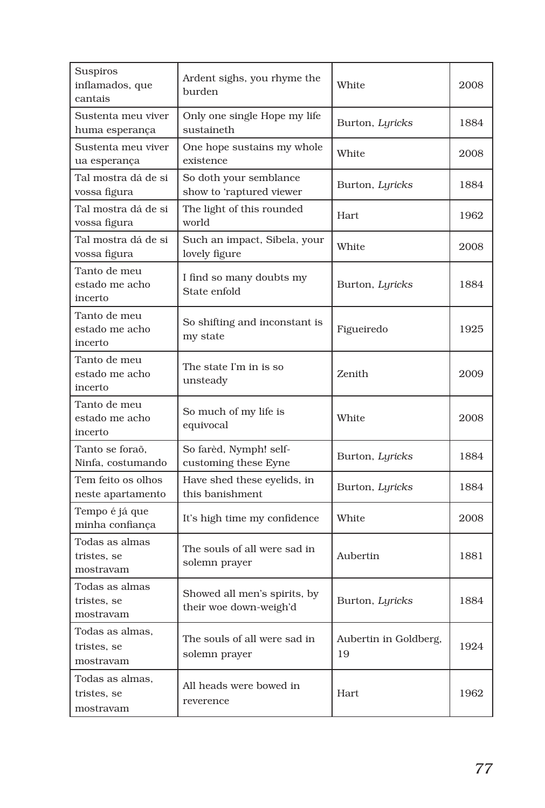| Suspiros<br>inflamados, que<br>cantais      | Ardent sighs, you rhyme the<br>burden                  | White                       | 2008 |
|---------------------------------------------|--------------------------------------------------------|-----------------------------|------|
| Sustenta meu viver<br>huma esperança        | Only one single Hope my life<br>sustaineth             | Burton, Lyricks             | 1884 |
| Sustenta meu viver<br>ua esperança          | One hope sustains my whole<br>existence                | White                       | 2008 |
| Tal mostra dá de si<br>vossa figura         | So doth your semblance<br>show to 'raptured viewer     | Burton, Lyricks             | 1884 |
| Tal mostra dá de si<br>vossa figura         | The light of this rounded<br>world                     | Hart                        | 1962 |
| Tal mostra dá de si<br>vossa figura         | Such an impact, Sibela, your<br>lovely figure          | White                       | 2008 |
| Tanto de meu<br>estado me acho<br>incerto   | I find so many doubts my<br>State enfold               | Burton, Lyricks             | 1884 |
| Tanto de meu<br>estado me acho<br>incerto   | So shifting and inconstant is<br>my state              | Figueiredo                  | 1925 |
| Tanto de meu<br>estado me acho<br>incerto   | The state I'm in is so<br>unsteady                     | Zenith                      | 2009 |
| Tanto de meu<br>estado me acho<br>incerto   | So much of my life is<br>equivocal                     | White                       | 2008 |
| Tanto se foraõ,<br>Ninfa, costumando        | So farèd, Nymph! self-<br>customing these Eyne         | Burton, Lyricks             | 1884 |
| Tem feito os olhos<br>neste apartamento     | Have shed these eyelids, in<br>this banishment         | Burton, Lyricks             | 1884 |
| Tempo é já que<br>minha confiança           | It's high time my confidence                           | White                       | 2008 |
| Todas as almas<br>tristes, se<br>mostravam  | The souls of all were sad in<br>solemn prayer          | Aubertin                    | 1881 |
| Todas as almas<br>tristes, se<br>mostravam  | Showed all men's spirits, by<br>their woe down-weigh'd | Burton, Lyricks             | 1884 |
| Todas as almas,<br>tristes, se<br>mostravam | The souls of all were sad in<br>solemn prayer          | Aubertin in Goldberg,<br>19 | 1924 |
| Todas as almas,<br>tristes, se<br>mostravam | All heads were bowed in<br>reverence                   | Hart                        | 1962 |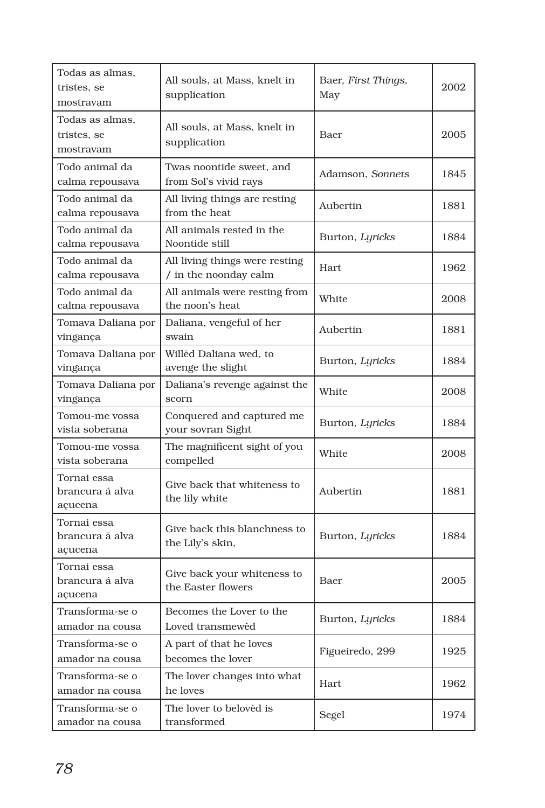| Todas as almas,<br>tristes, se<br>mostravam | All souls, at Mass, knelt in<br>supplication            | Baer, First Things,<br>May | 2002 |
|---------------------------------------------|---------------------------------------------------------|----------------------------|------|
| Todas as almas.<br>tristes, se<br>mostravam | All souls, at Mass, knelt in<br>supplication            | Baer                       | 2005 |
| Todo animal da<br>calma repousava           | Twas noontide sweet, and<br>from Sol's vivid rays       | Adamson, Sonnets           | 1845 |
| Todo animal da<br>calma repousava           | All living things are resting<br>from the heat          | Aubertin                   | 1881 |
| Todo animal da<br>calma repousava           | All animals rested in the<br>Noontide still             | Burton, Lyricks            | 1884 |
| Todo animal da<br>calma repousava           | All living things were resting<br>/ in the noonday calm | Hart                       | 1962 |
| Todo animal da<br>calma repousava           | All animals were resting from<br>the noon's heat        | White                      | 2008 |
| Tomava Daliana por<br>vingança              | Daliana, vengeful of her<br>swain                       | Aubertin                   | 1881 |
| Tomava Daliana por<br>vingança              | Willèd Daliana wed, to<br>avenge the slight             | Burton, Lyricks            | 1884 |
| Tomava Daliana por<br>vingança              | Daliana's revenge against the<br>scorn                  | White                      | 2008 |
| Tomou-me vossa<br>vista soberana            | Conquered and captured me<br>your sovran Sight          | Burton, Lyricks            | 1884 |
| Tomou-me vossa<br>vista soberana            | The magnificent sight of you<br>compelled               | White                      | 2008 |
| Tornai essa<br>brancura á alva<br>açucena   | Give back that whiteness to<br>the lily white           | Aubertin                   | 1881 |
| Tornai essa<br>brancura á alva<br>açucena   | Give back this blanchness to<br>the Lily's skin,        | Burton, Lyricks            | 1884 |
| Tornai essa<br>brancura á alva<br>açucena   | Give back your whiteness to<br>the Easter flowers       | Baer                       | 2005 |
| Transforma-se o<br>amador na cousa          | Becomes the Lover to the<br>Loved transmewed            | Burton, <i>Lyricks</i>     | 1884 |
| Transforma-se o<br>amador na cousa          | A part of that he loves<br>becomes the lover            | Figueiredo, 299            | 1925 |
| Transforma-se o<br>amador na cousa          | The lover changes into what<br>he loves                 | Hart                       | 1962 |
| Transforma-se o<br>amador na cousa          | The lover to beloved is<br>transformed                  | Segel                      | 1974 |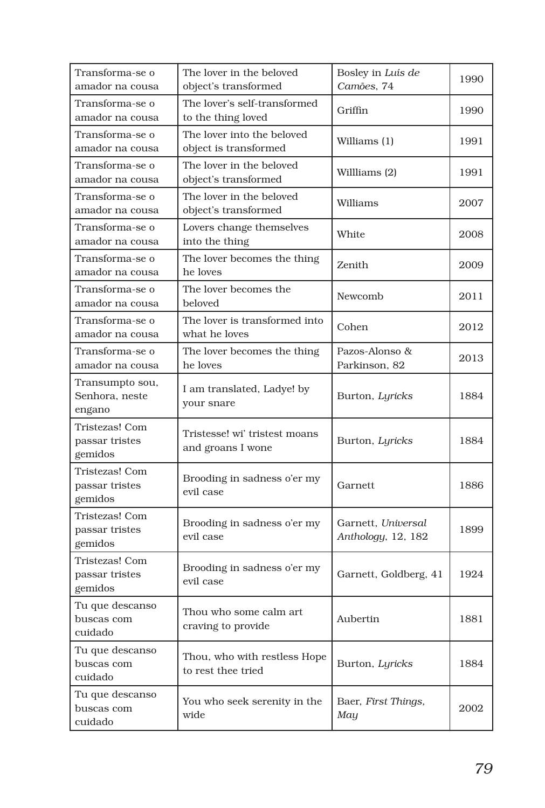| Transforma-se o<br>amador na cousa          | The lover in the beloved<br>object's transformed    | Bosley in Luís de<br>Camões, 74          | 1990 |
|---------------------------------------------|-----------------------------------------------------|------------------------------------------|------|
| Transforma-se o<br>amador na cousa          | The lover's self-transformed<br>to the thing loved  | Griffin                                  | 1990 |
| Transforma-se o<br>amador na cousa          | The lover into the beloved<br>object is transformed | Williams (1)                             | 1991 |
| Transforma-se o<br>amador na cousa          | The lover in the beloved<br>object's transformed    | Willliams (2)                            | 1991 |
| Transforma-se o<br>amador na cousa          | The lover in the beloved<br>object's transformed    | Williams                                 | 2007 |
| Transforma-se o<br>amador na cousa          | Lovers change themselves<br>into the thing          | White                                    | 2008 |
| Transforma-se o<br>amador na cousa          | The lover becomes the thing<br>he loves             | Zenith                                   | 2009 |
| Transforma-se o<br>amador na cousa          | The lover becomes the<br>beloved                    | Newcomb                                  | 2011 |
| Transforma-se o<br>amador na cousa          | The lover is transformed into<br>what he loves      | Cohen                                    | 2012 |
| Transforma-se o<br>amador na cousa          | The lover becomes the thing<br>he loves             | Pazos-Alonso &<br>Parkinson, 82          | 2013 |
| Transumpto sou,<br>Senhora, neste<br>engano | I am translated, Ladye! by<br>your snare            | Burton, Lyricks                          | 1884 |
| Tristezas! Com<br>passar tristes<br>gemidos | Tristesse! wi' tristest moans<br>and groans I wone  | Burton, Lyricks                          | 1884 |
| Tristezas! Com<br>passar tristes<br>gemidos | Brooding in sadness o'er my<br>evil case            | Garnett                                  | 1886 |
| Tristezas! Com<br>passar tristes<br>gemidos | Brooding in sadness o'er my<br>evil case            | Garnett, Universal<br>Anthology, 12, 182 | 1899 |
| Tristezas! Com<br>passar tristes<br>gemidos | Brooding in sadness o'er my<br>evil case            | Garnett, Goldberg, 41                    | 1924 |
| Tu que descanso<br>buscas com<br>cuidado    | Thou who some calm art<br>craving to provide        | Aubertin                                 | 1881 |
| Tu que descanso<br>buscas com<br>cuidado    | Thou, who with restless Hope<br>to rest thee tried  | Burton, Lyricks                          | 1884 |
| Tu que descanso<br>buscas com<br>cuidado    | You who seek serenity in the<br>wide                | Baer, First Things,<br>May               | 2002 |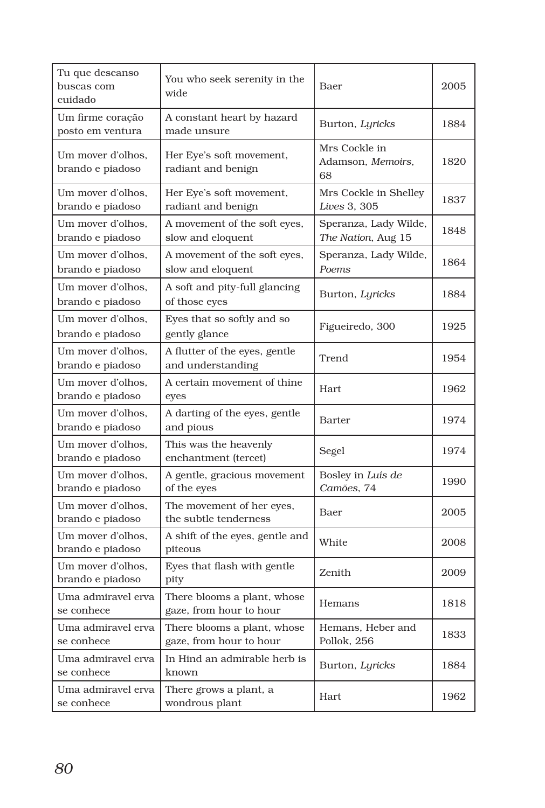| Tu que descanso<br>buscas com<br>cuidado | You who seek serenity in the<br>wide                   | Baer                                        | 2005 |
|------------------------------------------|--------------------------------------------------------|---------------------------------------------|------|
| Um firme coração<br>posto em ventura     | A constant heart by hazard<br>made unsure              | Burton, Lyricks                             | 1884 |
| Um mover d'olhos,<br>brando e piadoso    | Her Eye's soft movement,<br>radiant and benign         | Mrs Cockle in<br>Adamson, Memoirs,<br>68    | 1820 |
| Um mover d'olhos,<br>brando e piadoso    | Her Eye's soft movement,<br>radiant and benign         | Mrs Cockle in Shelley<br>Lives 3, 305       | 1837 |
| Um mover d'olhos,<br>brando e piadoso    | A movement of the soft eyes,<br>slow and eloquent      | Speranza, Lady Wilde,<br>The Nation, Aug 15 | 1848 |
| Um mover d'olhos.<br>brando e piadoso    | A movement of the soft eyes,<br>slow and eloquent      | Speranza, Lady Wilde,<br>Poems              | 1864 |
| Um mover d'olhos,<br>brando e piadoso    | A soft and pity-full glancing<br>of those eyes         | Burton, Lyricks                             | 1884 |
| Um mover d'olhos,<br>brando e piadoso    | Eyes that so softly and so<br>gently glance            | Figueiredo, 300                             | 1925 |
| Um mover d'olhos,<br>brando e piadoso    | A flutter of the eyes, gentle<br>and understanding     | Trend                                       | 1954 |
| Um mover d'olhos,<br>brando e piadoso    | A certain movement of thine<br>eyes                    | Hart                                        | 1962 |
| Um mover d'olhos,<br>brando e piadoso    | A darting of the eyes, gentle<br>and pious             | <b>Barter</b>                               | 1974 |
| Um mover d'olhos,<br>brando e piadoso    | This was the heavenly<br>enchantment (tercet)          | Segel                                       | 1974 |
| Um mover d'olhos,<br>brando e piadoso    | A gentle, gracious movement<br>of the eyes             | Bosley in Luís de<br>Camões, 74             | 1990 |
| Um mover d'olhos,<br>brando e piadoso    | The movement of her eyes,<br>the subtle tenderness     | Baer                                        | 2005 |
| Um mover d'olhos,<br>brando e piadoso    | A shift of the eyes, gentle and<br>piteous             | White                                       | 2008 |
| Um mover d'olhos,<br>brando e piadoso    | Eyes that flash with gentle<br>pity                    | Zenith                                      | 2009 |
| Uma admiravel erva<br>se conhece         | There blooms a plant, whose<br>gaze, from hour to hour | Hemans                                      | 1818 |
| Uma admiravel erva<br>se conhece         | There blooms a plant, whose<br>gaze, from hour to hour | Hemans, Heber and<br>Pollok, 256            | 1833 |
| Uma admiravel erva<br>se conhece         | In Hind an admirable herb is<br>known                  | Burton, Lyricks                             | 1884 |
| Uma admiravel erva<br>se conhece         | There grows a plant, a<br>wondrous plant               | Hart                                        | 1962 |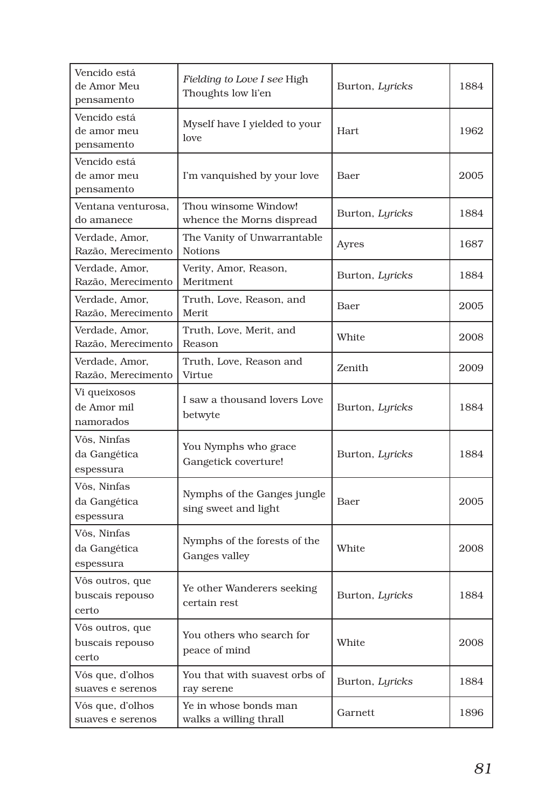| Vencido está<br>de Amor Meu<br>pensamento   | Fielding to Love I see High<br>Thoughts low li'en   | Burton, Lyricks | 1884 |
|---------------------------------------------|-----------------------------------------------------|-----------------|------|
| Vencido está<br>de amor meu<br>pensamento   | Myself have I yielded to your<br>love               | <b>Hart</b>     | 1962 |
| Vencido está<br>de amor meu<br>pensamento   | I'm vanquished by your love                         | Baer            | 2005 |
| Ventana venturosa,<br>do amanece            | Thou winsome Window!<br>whence the Morns dispread   | Burton, Lyricks | 1884 |
| Verdade, Amor.<br>Razão, Merecimento        | The Vanity of Unwarrantable<br><b>Notions</b>       | Ayres           | 1687 |
| Verdade, Amor,<br>Razão, Merecimento        | Verity, Amor, Reason,<br>Meritment                  | Burton, Lyricks | 1884 |
| Verdade, Amor,<br>Razão, Merecimento        | Truth, Love, Reason, and<br>Merit                   | Baer            | 2005 |
| Verdade, Amor,<br>Razão, Merecimento        | Truth, Love, Merit, and<br>Reason                   | White           | 2008 |
| Verdade, Amor,<br>Razão, Merecimento        | Truth, Love, Reason and<br>Virtue                   | Zenith          | 2009 |
| Vi queixosos<br>de Amor mil<br>namorados    | I saw a thousand lovers Love<br>betwyte             | Burton, Lyricks | 1884 |
| Vôs. Ninfas<br>da Gangética<br>espessura    | You Nymphs who grace<br>Gangetick coverture!        | Burton, Lyricks | 1884 |
| Vôs, Ninfas<br>da Gangética<br>espessura    | Nymphs of the Ganges jungle<br>sing sweet and light | Baer            | 2005 |
| Vôs, Ninfas<br>da Gangética<br>espessura    | Nymphs of the forests of the<br>Ganges valley       | White           | 2008 |
| Vôs outros, que<br>buscais repouso<br>certo | Ye other Wanderers seeking<br>certain rest          | Burton, Lyricks | 1884 |
| Vôs outros, que<br>buscais repouso<br>certo | You others who search for<br>peace of mind          | White           | 2008 |
| Vós que, d'olhos<br>suaves e serenos        | You that with suavest orbs of<br>ray serene         | Burton, Lyricks | 1884 |
| Vós que, d'olhos<br>suaves e serenos        | Ye in whose bonds man<br>walks a willing thrall     | Garnett         | 1896 |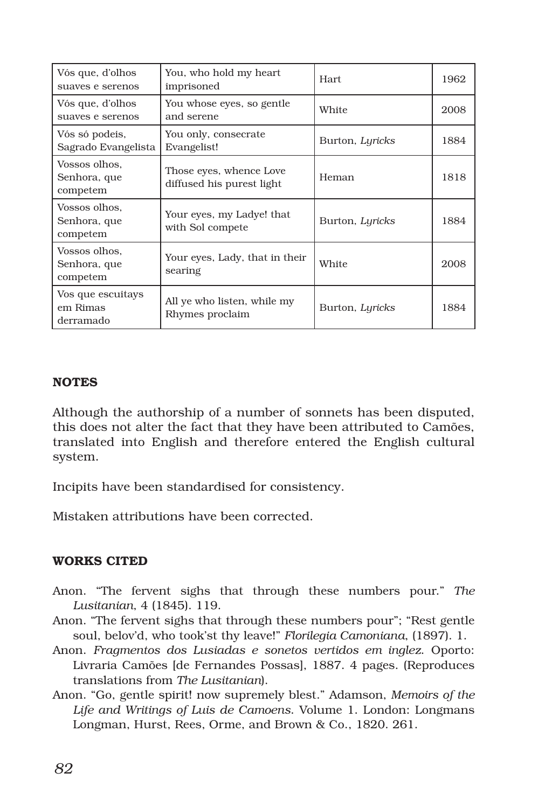| Vós que, d'olhos<br>suaves e serenos       | You, who hold my heart<br>imprisoned                 | Hart.           | 1962 |
|--------------------------------------------|------------------------------------------------------|-----------------|------|
| Vós que, d'olhos<br>suaves e serenos       | You whose eyes, so gentle<br>and serene              | White           | 2008 |
| Vós só podeis,<br>Sagrado Evangelista      | You only, consecrate<br>Evangelist!                  | Burton, Lyricks | 1884 |
| Vossos olhos,<br>Senhora, que<br>competem  | Those eyes, whence Love<br>diffused his purest light | Heman           | 1818 |
| Vossos olhos.<br>Senhora, que<br>competem  | Your eyes, my Ladye! that<br>with Sol compete        | Burton, Lyricks | 1884 |
| Vossos olhos,<br>Senhora, que<br>competem  | Your eyes, Lady, that in their<br>searing            | White           | 2008 |
| Vos que escuitays<br>em Rimas<br>derramado | All ye who listen, while my<br>Rhymes proclaim       | Burton, Lyricks | 1884 |

## **NOTES**

Although the authorship of a number of sonnets has been disputed, this does not alter the fact that they have been attributed to Camões, translated into English and therefore entered the English cultural system.

Incipits have been standardised for consistency.

Mistaken attributions have been corrected.

## WORKS CITED

- Anon. "The fervent sighs that through these numbers pour." *The Lusitanian*, 4 (1845). 119.
- Anon. "The fervent sighs that through these numbers pour"; "Rest gentle soul, belov'd, who took'st thy leave!" *Florilegia Camoniana*, (1897). 1.
- Anon. *Fragmentos dos Lusiadas e sonetos vertidos em inglez*. Oporto: Livraria Camões [de Fernandes Possas], 1887. 4 pages. (Reproduces translations from *The Lusitanian*).
- Anon. "Go, gentle spirit! now supremely blest." Adamson, *Memoirs of the Life and Writings of Luis de Camoens*. Volume 1. London: Longmans Longman, Hurst, Rees, Orme, and Brown & Co., 1820. 261.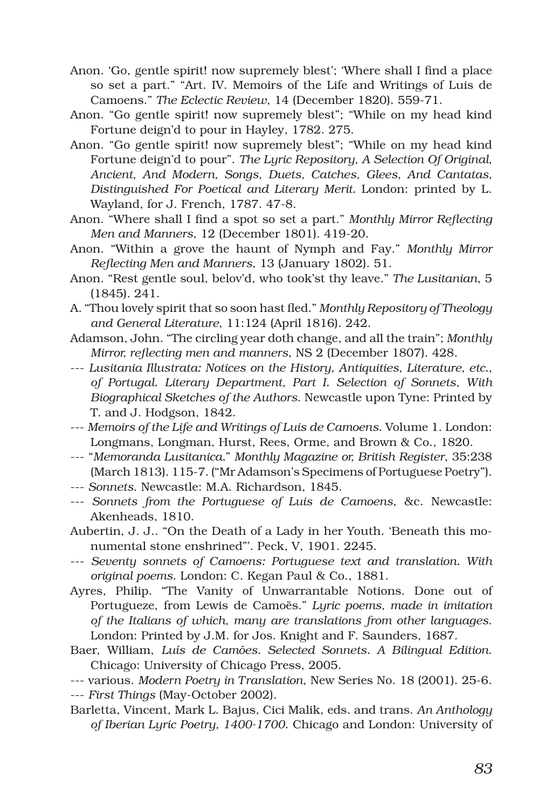- Anon. 'Go, gentle spirit! now supremely blest'; 'Where shall I find a place so set a part." "Art. IV. Memoirs of the Life and Writings of Luis de Camoens." *The Eclectic Review*, 14 (December 1820). 559-71.
- Anon. "Go gentle spirit! now supremely blest"; "While on my head kind Fortune deign'd to pour in Hayley, 1782. 275.
- Anon. "Go gentle spirit! now supremely blest"; "While on my head kind Fortune deign'd to pour". *The Lyric Repository, A Selection Of Original, Ancient, And Modern, Songs, Duets, Catches, Glees, And Cantatas, Distinguished For Poetical and Literary Merit.* London: printed by L. Wayland, for J. French, 1787. 47-8.
- Anon. "Where shall I find a spot so set a part." *Monthly Mirror Reflecting Men and Manners*, 12 (December 1801). 419-20.
- Anon. "Within a grove the haunt of Nymph and Fay." *Monthly Mirror Reflecting Men and Manners*, 13 (January 1802). 51.
- Anon. "Rest gentle soul, belov'd, who took'st thy leave." *The Lusitanian*, 5 (1845). 241.
- A. "Thou lovely spirit that so soon hast fled." *Monthly Repository of Theology and General Literature*, 11:124 (April 1816). 242.
- Adamson, John. "The circling year doth change, and all the train"; *Monthly Mirror, reflecting men and manners*, NS 2 (December 1807). 428.
- --- *Lusitania Illustrata: Notices on the History, Antiquities, Literature, etc., of Portugal. Literary Department, Part I. Selection of Sonnets, With Biographical Sketches of the Authors*. Newcastle upon Tyne: Printed by T. and J. Hodgson, 1842.
- --- *Memoirs of the Life and Writings of Luis de Camoens*. Volume 1. London: Longmans, Longman, Hurst, Rees, Orme, and Brown & Co., 1820.
- --- "*Memoranda Lusitanica.*" *Monthly Magazine or, British Register*, 35:238 (March 1813). 115-7. ("Mr Adamson's Specimens of Portuguese Poetry").
- --- *Sonnets*. Newcastle: M.A. Richardson, 1845.
- --- *Sonnets from the Portuguese of Luis de Camoens*, &c. Newcastle: Akenheads, 1810.
- Aubertin, J. J.. "On the Death of a Lady in her Youth. 'Beneath this monumental stone enshrined"'. Peck, V, 1901. 2245.
- --- *Seventy sonnets of Camoens: Portuguese text and translation. With original poems*. London: C. Kegan Paul & Co., 1881.
- Ayres, Philip. "The Vanity of Unwarrantable Notions. Done out of Portugueze, from Lewis de Camoës." *Lyric poems, made in imitation of the Italians of which, many are translations from other languages*. London: Printed by J.M. for Jos. Knight and F. Saunders, 1687.
- Baer, William, *Luís de Camões. Selected Sonnets. A Bilingual Edition*. Chicago: University of Chicago Press, 2005.
- --- various. *Modern Poetry in Translation*, New Series No. 18 (2001). 25-6.
- --- *First Things* (May-October 2002).
- Barletta, Vincent, Mark L. Bajus, Cici Malik, eds. and trans. *An Anthology of Iberian Lyric Poetry, 1400-1700*. Chicago and London: University of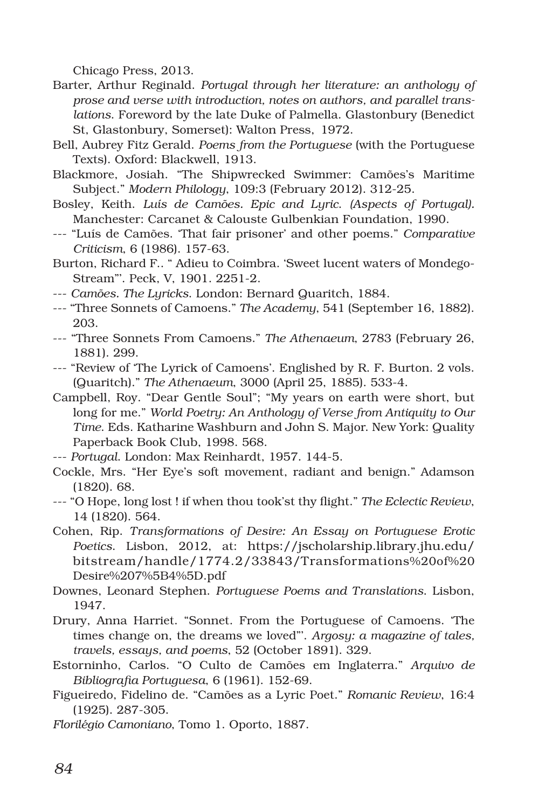Chicago Press, 2013.

- Barter, Arthur Reginald. *Portugal through her literature: an anthology of prose and verse with introduction, notes on authors, and parallel translations*. Foreword by the late Duke of Palmella. Glastonbury (Benedict St, Glastonbury, Somerset): Walton Press, 1972.
- Bell, Aubrey Fitz Gerald. *Poems from the Portuguese* (with the Portuguese Texts). Oxford: Blackwell, 1913.
- Blackmore, Josiah. "The Shipwrecked Swimmer: Camões's Maritime Subject." *Modern Philology*, 109:3 (February 2012). 312-25.
- Bosley, Keith. *Luís de Camões. Epic and Lyric*. *(Aspects of Portugal).*  Manchester: Carcanet & Calouste Gulbenkian Foundation, 1990.
- --- "Luís de Camões. 'That fair prisoner' and other poems." *Comparative Criticism*, 6 (1986). 157-63.
- Burton, Richard F.. " Adieu to Coimbra. 'Sweet lucent waters of Mondego-Stream"'. Peck, V, 1901. 2251-2.
- --- *Camões. The Lyricks*. London: Bernard Quaritch, 1884.
- --- "Three Sonnets of Camoens." *The Academy*, 541 (September 16, 1882). 203.
- --- "Three Sonnets From Camoens." *The Athenaeum*, 2783 (February 26, 1881). 299.
- --- "Review of 'The Lyrick of Camoens'. Englished by R. F. Burton. 2 vols. (Quaritch)." *The Athenaeum*, 3000 (April 25, 1885). 533-4.
- Campbell, Roy. "Dear Gentle Soul"; "My years on earth were short, but long for me." *World Poetry: An Anthology of Verse from Antiquity to Our Time*. Eds. Katharine Washburn and John S. Major. New York: Quality Paperback Book Club, 1998. 568.
- --- *Portugal*. London: Max Reinhardt, 1957. 144-5.
- Cockle, Mrs. "Her Eye's soft movement, radiant and benign." Adamson (1820). 68.
- --- "O Hope, long lost ! if when thou took'st thy flight." *The Eclectic Review*, 14 (1820). 564.
- Cohen, Rip. *Transformations of Desire: An Essay on Portuguese Erotic Poetics*. Lisbon, 2012, at: https://jscholarship.library.jhu.edu/ bitstream/handle/1774.2/33843/Transformations%20of%20 Desire%207%5B4%5D.pdf
- Downes, Leonard Stephen. *Portuguese Poems and Translations*. Lisbon, 1947.
- Drury, Anna Harriet. "Sonnet. From the Portuguese of Camoens. 'The times change on, the dreams we loved"'. *Argosy: a magazine of tales, travels, essays, and poems*, 52 (October 1891). 329.
- Estorninho, Carlos. "O Culto de Camões em Inglaterra." *Arquivo de Bibliografia Portuguesa*, 6 (1961). 152-69.
- Figueiredo, Fidelino de. "Camões as a Lyric Poet." *Romanic Review*, 16:4 (1925). 287-305.
- *Florilégio Camoniano*, Tomo 1. Oporto, 1887.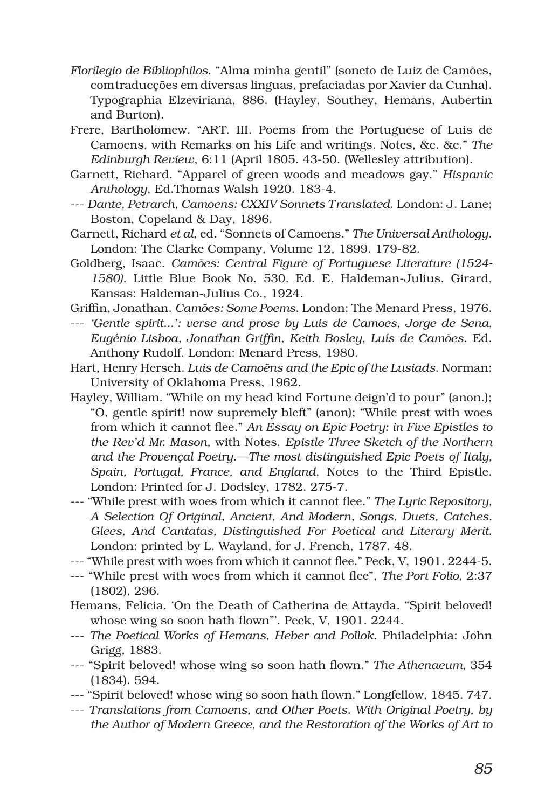- *Florilegio de Bibliophilos*. "Alma minha gentil" (soneto de Luiz de Camões, comtraducções em diversas linguas, prefaciadas por Xavier da Cunha). Typographia Elzeviriana, 886. (Hayley, Southey, Hemans, Aubertin and Burton).
- Frere, Bartholomew. "ART. III. Poems from the Portuguese of Luis de Camoens, with Remarks on his Life and writings. Notes, &c. &c." *The Edinburgh Review*, 6:11 (April 1805. 43-50. (Wellesley attribution).
- Garnett, Richard. "Apparel of green woods and meadows gay." *Hispanic Anthology*, Ed.Thomas Walsh 1920. 183-4.
- --- *Dante, Petrarch, Camoens: CXXIV Sonnets Translated*. London: J. Lane; Boston, Copeland & Day, 1896.
- Garnett, Richard *et al*, ed. "Sonnets of Camoens." *The Universal Anthology*. London: The Clarke Company, Volume 12, 1899. 179-82.
- Goldberg, Isaac. *Camões: Central Figure of Portuguese Literature (1524- 1580)*. Little Blue Book No. 530. Ed. E. Haldeman-Julius. Girard, Kansas: Haldeman-Julius Co., 1924.
- Griffin, Jonathan. *Camões: Some Poems*. London: The Menard Press, 1976.
- --- *'Gentle spirit...': verse and prose by Luis de Camoes, Jorge de Sena, Eugénio Lisboa, Jonathan Griffin, Keith Bosley, Luís de Camões*. Ed. Anthony Rudolf. London: Menard Press, 1980.
- Hart, Henry Hersch. *Luis de Camoëns and the Epic of the Lusiads*. Norman: University of Oklahoma Press, 1962.
- Hayley, William. "While on my head kind Fortune deign'd to pour" (anon.); "O, gentle spirit! now supremely bleft" (anon); "While prest with woes from which it cannot flee." *An Essay on Epic Poetry: in Five Epistles to the Rev'd Mr. Mason*, with Notes. *Epistle Three Sketch of the Northern and the Provençal Poetry.—The most distinguished Epic Poets of Italy, Spain, Portugal, France, and England*. Notes to the Third Epistle. London: Printed for J. Dodsley, 1782. 275-7.
- --- "While prest with woes from which it cannot flee." *The Lyric Repository, A Selection Of Original, Ancient, And Modern, Songs, Duets, Catches, Glees, And Cantatas, Distinguished For Poetical and Literary Merit.* London: printed by L. Wayland, for J. French, 1787. 48.
- --- "While prest with woes from which it cannot flee." Peck, V, 1901. 2244-5.
- --- "While prest with woes from which it cannot flee", *The Port Folio*, 2:37 (1802), 296.
- Hemans, Felicia. 'On the Death of Catherina de Attayda. "Spirit beloved! whose wing so soon hath flown"'. Peck, V, 1901. 2244.
- --- *The Poetical Works of Hemans, Heber and Pollok*. Philadelphia: John Grigg, 1883.
- --- "Spirit beloved! whose wing so soon hath flown." *The Athenaeum*, 354 (1834). 594.
- --- "Spirit beloved! whose wing so soon hath flown." Longfellow, 1845. 747.
- --- *Translations from Camoens, and Other Poets. With Original Poetry, by the Author of Modern Greece, and the Restoration of the Works of Art to*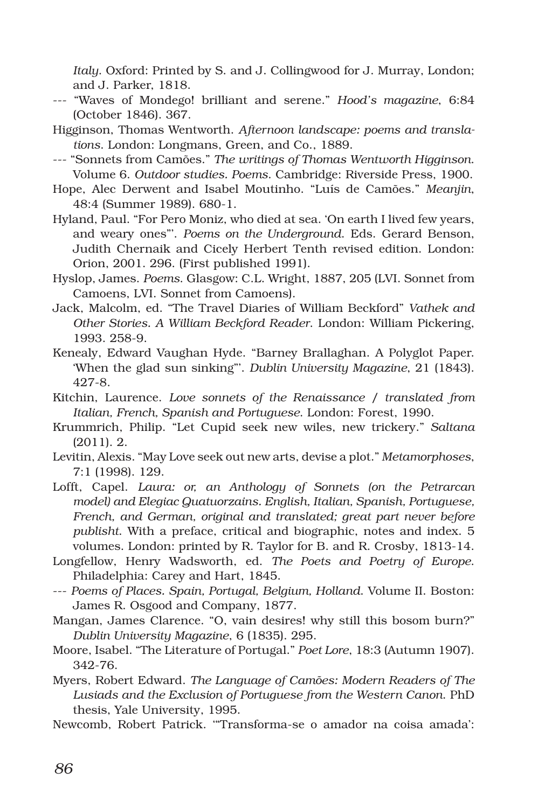*Italy*. Oxford: Printed by S. and J. Collingwood for J. Murray, London; and J. Parker, 1818.

- --- "Waves of Mondego! brilliant and serene." *Hood's magazine*, 6:84 (October 1846). 367.
- Higginson, Thomas Wentworth. *Afternoon landscape: poems and translations*. London: Longmans, Green, and Co., 1889.
- --- "Sonnets from Camões." *The writings of Thomas Wentworth Higginson*. Volume 6. *Outdoor studies. Poems*. Cambridge: Riverside Press, 1900.
- Hope, Alec Derwent and Isabel Moutinho. "Luís de Camões." *Meanjin*, 48:4 (Summer 1989). 680-1.
- Hyland, Paul. "For Pero Moniz, who died at sea. 'On earth I lived few years, and weary ones"'. *Poems on the Underground*. Eds. Gerard Benson, Judith Chernaik and Cicely Herbert Tenth revised edition. London: Orion, 2001. 296. (First published 1991).
- Hyslop, James. *Poems*. Glasgow: C.L. Wright, 1887, 205 (LVI. Sonnet from Camoens, LVI. Sonnet from Camoens).
- Jack, Malcolm, ed. "The Travel Diaries of William Beckford" *Vathek and Other Stories. A William Beckford Reader*. London: William Pickering, 1993. 258-9.
- Kenealy, Edward Vaughan Hyde. "Barney Brallaghan. A Polyglot Paper. 'When the glad sun sinking"'. *Dublin University Magazine*, 21 (1843). 427-8.
- Kitchin, Laurence. *Love sonnets of the Renaissance / translated from Italian, French, Spanish and Portuguese*. London: Forest, 1990.
- Krummrich, Philip. "Let Cupid seek new wiles, new trickery." *Saltana* (2011). 2.
- Levitin, Alexis. "May Love seek out new arts, devise a plot." *Metamorphoses*, 7:1 (1998). 129.
- Lofft, Capel. *Laura: or, an Anthology of Sonnets (on the Petrarcan model) and Elegiac Quatuorzains. English, Italian, Spanish, Portuguese, French, and German, original and translated; great part never before publisht*. With a preface, critical and biographic, notes and index. 5 volumes. London: printed by R. Taylor for B. and R. Crosby, 1813-14.
- Longfellow, Henry Wadsworth, ed. *The Poets and Poetry of Europe*. Philadelphia: Carey and Hart, 1845.
- --- *Poems of Places. Spain, Portugal, Belgium, Holland*. Volume II. Boston: James R. Osgood and Company, 1877.
- Mangan, James Clarence. "O, vain desires! why still this bosom burn?" *Dublin University Magazine*, 6 (1835). 295.
- Moore, Isabel. "The Literature of Portugal." *Poet Lore*, 18:3 (Autumn 1907). 342-76.
- Myers, Robert Edward. *The Language of Camões: Modern Readers of The Lusiads and the Exclusion of Portuguese from the Western Canon*. PhD thesis, Yale University, 1995.
- Newcomb, Robert Patrick. '"Transforma-se o amador na coisa amada':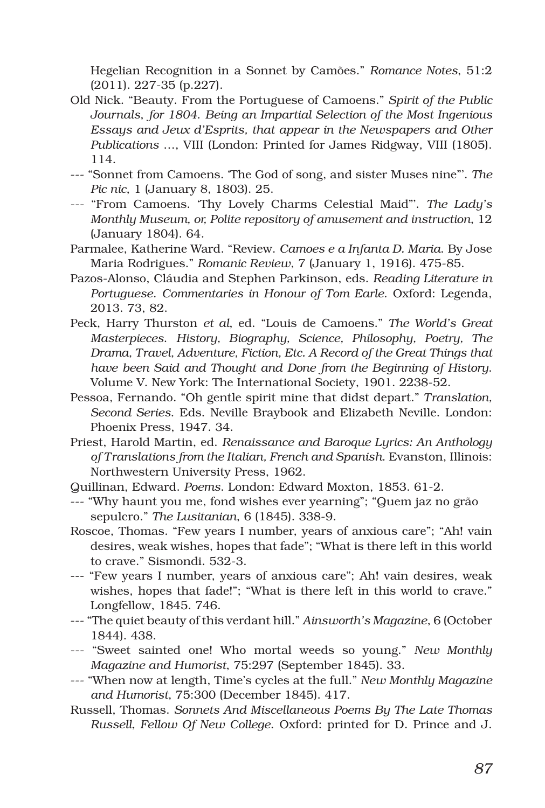Hegelian Recognition in a Sonnet by Camões." *Romance Notes*, 51:2 (2011). 227-35 (p.227).

- Old Nick. "Beauty. From the Portuguese of Camoens." *Spirit of the Public Journals*, *for 1804*. *Being an Impartial Selection of the Most Ingenious Essays and Jeux d'Esprits, that appear in the Newspapers and Other Publications* …, VIII (London: Printed for James Ridgway, VIII (1805). 114.
- --- "Sonnet from Camoens. 'The God of song, and sister Muses nine"'. *The Pic nic*, 1 (January 8, 1803). 25.
- --- "From Camoens. 'Thy Lovely Charms Celestial Maid"'. *The Lady's Monthly Museum, or, Polite repository of amusement and instruction*, 12 (January 1804). 64.
- Parmalee, Katherine Ward. "Review. *Camoes e a Infanta D. Maria*. By Jose Maria Rodrigues." *Romanic Review*, 7 (January 1, 1916). 475-85.
- Pazos-Alonso, Cláudia and Stephen Parkinson, eds. *Reading Literature in Portuguese*. *Commentaries in Honour of Tom Earle*. Oxford: Legenda, 2013. 73, 82.
- Peck, Harry Thurston *et al*, ed. "Louis de Camoens." *The World's Great Masterpieces*. *History, Biography, Science, Philosophy, Poetry, The Drama, Travel, Adventure, Fiction, Etc. A Record of the Great Things that have been Said and Thought and Done from the Beginning of History*. Volume V. New York: The International Society, 1901. 2238-52.
- Pessoa, Fernando. "Oh gentle spirit mine that didst depart." *Translation, Second Series*. Eds. Neville Braybook and Elizabeth Neville. London: Phoenix Press, 1947. 34.
- Priest, Harold Martin, ed. *Renaissance and Baroque Lyrics: An Anthology of Translations from the Italian, French and Spanish*. Evanston, Illinois: Northwestern University Press, 1962.
- Quillinan, Edward. *Poems*. London: Edward Moxton, 1853. 61-2.
- --- "Why haunt you me, fond wishes ever yearning"; "Quem jaz no grão sepulcro." *The Lusitanian*, 6 (1845). 338-9.
- Roscoe, Thomas. "Few years I number, years of anxious care"; "Ah! vain desires, weak wishes, hopes that fade"; "What is there left in this world to crave." Sismondi. 532-3.
- --- "Few years I number, years of anxious care"; Ah! vain desires, weak wishes, hopes that fade!"; "What is there left in this world to crave." Longfellow, 1845. 746.
- --- "The quiet beauty of this verdant hill." *Ainsworth's Magazine*, 6 (October 1844). 438.
- --- "Sweet sainted one! Who mortal weeds so young." *New Monthly Magazine and Humorist*, 75:297 (September 1845). 33.
- --- "When now at length, Time's cycles at the full." *New Monthly Magazine and Humorist*, 75:300 (December 1845). 417.
- Russell, Thomas. *Sonnets And Miscellaneous Poems By The Late Thomas Russell, Fellow Of New College*. Oxford: printed for D. Prince and J.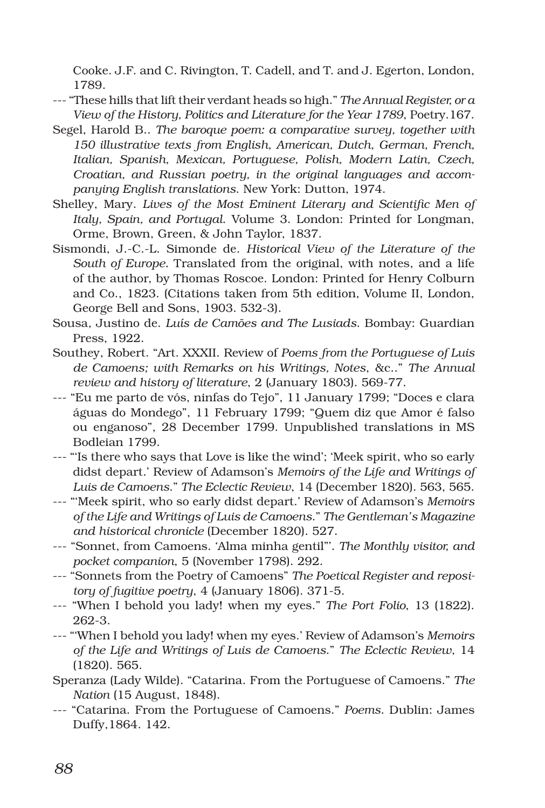Cooke. J.F. and C. Rivington, T. Cadell, and T. and J. Egerton, London, 1789.

- --- "These hills that lift their verdant heads so high." *The Annual Register, or a View of the History, Politics and Literature for the Year 1789*, Poetry.167.
- Segel, Harold B.. *The baroque poem: a comparative survey, together with 150 illustrative texts from English, American, Dutch, German, French, Italian, Spanish, Mexican, Portuguese, Polish, Modern Latin, Czech, Croatian, and Russian poetry, in the original languages and accompanying English translations*. New York: Dutton, 1974.
- Shelley, Mary. *Lives of the Most Eminent Literary and Scientific Men of Italy, Spain, and Portugal*. Volume 3. London: Printed for Longman, Orme, Brown, Green, & John Taylor, 1837.
- Sismondi, J.-C.-L. Simonde de. *Historical View of the Literature of the South of Europe.* Translated from the original, with notes, and a life of the author, by Thomas Roscoe. London: Printed for Henry Colburn and Co., 1823. (Citations taken from 5th edition, Volume II, London, George Bell and Sons, 1903. 532-3).
- Sousa, Justino de. *Luís de Camões and The Lusiads*. Bombay: Guardian Press, 1922.
- Southey, Robert. "Art. XXXII. Review of *Poems from the Portuguese of Luis de Camoens; with Remarks on his Writings, Notes*, &c.." *The Annual review and history of literature*, 2 (January 1803). 569-77.
- --- "Eu me parto de vós, ninfas do Tejo", 11 January 1799; "Doces e clara águas do Mondego", 11 February 1799; "Quem diz que Amor é falso ou enganoso", 28 December 1799. Unpublished translations in MS Bodleian 1799.
- --- "'Is there who says that Love is like the wind'; 'Meek spirit, who so early didst depart.' Review of Adamson's *Memoirs of the Life and Writings of Luis de Camoens*." *The Eclectic Review*, 14 (December 1820). 563, 565.
- --- "'Meek spirit, who so early didst depart.' Review of Adamson's *Memoirs of the Life and Writings of Luis de Camoens*." *The Gentleman's Magazine and historical chronicle* (December 1820). 527.
- --- "Sonnet, from Camoens. 'Alma minha gentil"'. *The Monthly visitor, and pocket companion*, 5 (November 1798). 292.
- --- "Sonnets from the Poetry of Camoens" *The Poetical Register and repository of fugitive poetry*, 4 (January 1806). 371-5.
- --- "When I behold you lady! when my eyes." *The Port Folio*, 13 (1822). 262-3.
- --- "'When I behold you lady! when my eyes.' Review of Adamson's *Memoirs of the Life and Writings of Luis de Camoens*." *The Eclectic Review*, 14 (1820). 565.
- Speranza (Lady Wilde). "Catarina. From the Portuguese of Camoens." *The Nation* (15 August, 1848).
- --- "Catarina. From the Portuguese of Camoens." *Poems*. Dublin: James Duffy,1864. 142.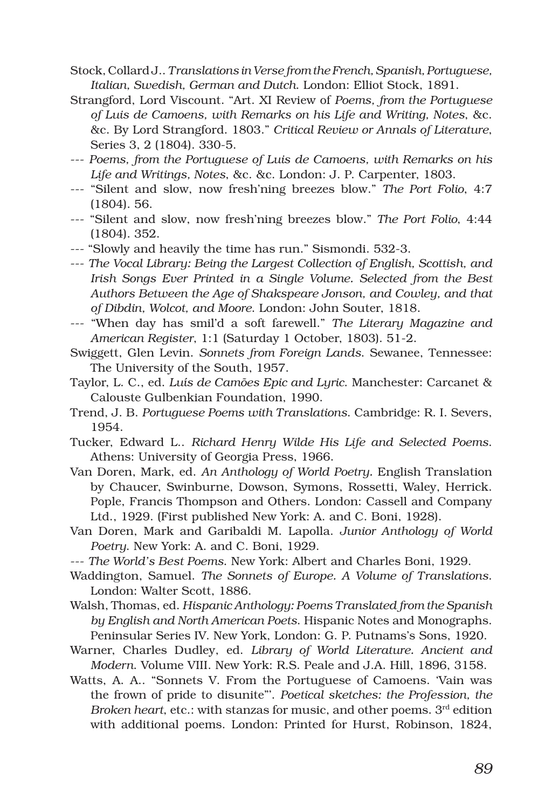- Stock, Collard J.. *Translations in Verse from the French, Spanish, Portuguese, Italian, Swedish, German and Dutch*. London: Elliot Stock, 1891.
- Strangford, Lord Viscount. "Art. XI Review of *Poems, from the Portuguese of Luis de Camoens, with Remarks on his Life and Writing, Notes*, &c. &c. By Lord Strangford. 1803." *Critical Review or Annals of Literature*, Series 3, 2 (1804). 330-5.
- --- *Poems, from the Portuguese of Luis de Camoens, with Remarks on his Life and Writings, Notes*, &c. &c. London: J. P. Carpenter, 1803.
- --- "Silent and slow, now fresh'ning breezes blow." *The Port Folio*, 4:7 (1804). 56.
- --- "Silent and slow, now fresh'ning breezes blow." *The Port Folio*, 4:44 (1804). 352.
- --- "Slowly and heavily the time has run." Sismondi. 532-3.
- --- *The Vocal Library: Being the Largest Collection of English, Scottish, and Irish Songs Ever Printed in a Single Volume. Selected from the Best Authors Between the Age of Shakspeare Jonson, and Cowley, and that of Dibdin, Wolcot, and Moore*. London: John Souter, 1818.
- --- "When day has smil'd a soft farewell." *The Literary Magazine and American Register*, 1:1 (Saturday 1 October, 1803). 51-2.
- Swiggett, Glen Levin. *Sonnets from Foreign Lands*. Sewanee, Tennessee: The University of the South, 1957.
- Taylor, L. C., ed. *Luís de Camões Epic and Lyric*. Manchester: Carcanet & Calouste Gulbenkian Foundation, 1990.
- Trend, J. B. *Portuguese Poems with Translations*. Cambridge: R. I. Severs, 1954.
- Tucker, Edward L.. *Richard Henry Wilde His Life and Selected Poems*. Athens: University of Georgia Press, 1966.
- Van Doren, Mark, ed. *An Anthology of World Poetry.* English Translation by Chaucer, Swinburne, Dowson, Symons, Rossetti, Waley, Herrick. Pople, Francis Thompson and Others. London: Cassell and Company Ltd., 1929. (First published New York: A. and C. Boni, 1928).
- Van Doren, Mark and Garibaldi M. Lapolla. *Junior Anthology of World Poetry*. New York: A. and C. Boni, 1929.
- --- *The World's Best Poems*. New York: Albert and Charles Boni, 1929.
- Waddington, Samuel. *The Sonnets of Europe. A Volume of Translations*. London: Walter Scott, 1886.
- Walsh, Thomas, ed. *Hispanic Anthology: Poems Translated from the Spanish by English and North American Poets*. Hispanic Notes and Monographs. Peninsular Series IV. New York, London: G. P. Putnams's Sons, 1920.
- Warner, Charles Dudley, ed. *Library of World Literature. Ancient and Modern*. Volume VIII. New York: R.S. Peale and J.A. Hill, 1896, 3158.
- Watts, A. A.. "Sonnets V. From the Portuguese of Camoens. 'Vain was the frown of pride to disunite"'. *Poetical sketches: the Profession, the Broken heart*, etc.: with stanzas for music, and other poems. 3<sup>rd</sup> edition with additional poems. London: Printed for Hurst, Robinson, 1824,